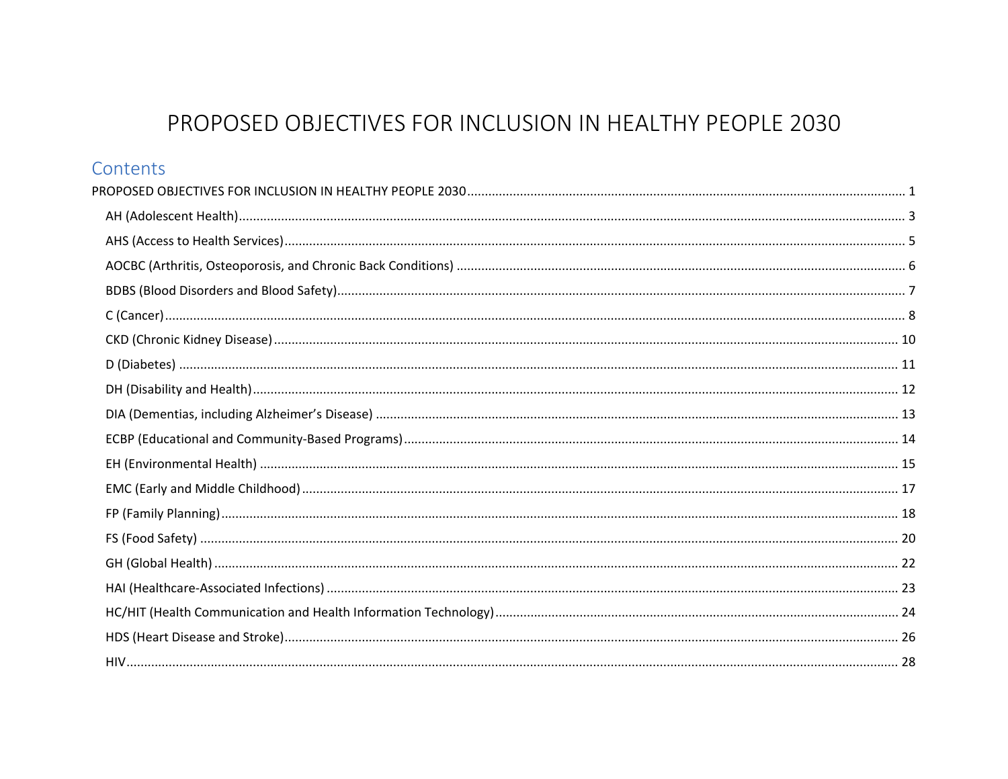# PROPOSED OBJECTIVES FOR INCLUSION IN HEALTHY PEOPLE 2030

## <span id="page-0-0"></span>Contents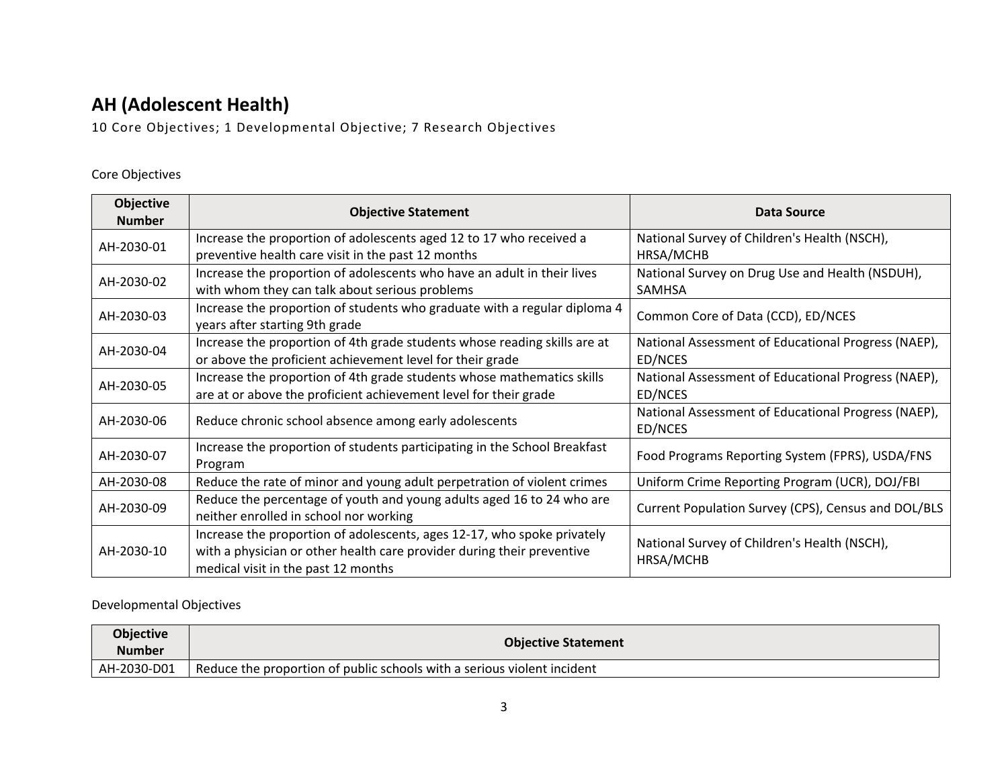# <span id="page-2-0"></span>**AH (Adolescent Health)**

10 Core Objectives; 1 Developmental Objective; 7 Research Objectives

### Core Objectives

| <b>Objective</b><br><b>Number</b> | <b>Objective Statement</b>                                                                                                                                                               | Data Source                                                    |
|-----------------------------------|------------------------------------------------------------------------------------------------------------------------------------------------------------------------------------------|----------------------------------------------------------------|
| AH-2030-01                        | Increase the proportion of adolescents aged 12 to 17 who received a<br>preventive health care visit in the past 12 months                                                                | National Survey of Children's Health (NSCH),<br>HRSA/MCHB      |
| AH-2030-02                        | Increase the proportion of adolescents who have an adult in their lives<br>with whom they can talk about serious problems                                                                | National Survey on Drug Use and Health (NSDUH),<br>SAMHSA      |
| AH-2030-03                        | Increase the proportion of students who graduate with a regular diploma 4<br>years after starting 9th grade                                                                              | Common Core of Data (CCD), ED/NCES                             |
| AH-2030-04                        | Increase the proportion of 4th grade students whose reading skills are at<br>or above the proficient achievement level for their grade                                                   | National Assessment of Educational Progress (NAEP),<br>ED/NCES |
| AH-2030-05                        | Increase the proportion of 4th grade students whose mathematics skills<br>are at or above the proficient achievement level for their grade                                               | National Assessment of Educational Progress (NAEP),<br>ED/NCES |
| AH-2030-06                        | Reduce chronic school absence among early adolescents                                                                                                                                    | National Assessment of Educational Progress (NAEP),<br>ED/NCES |
| AH-2030-07                        | Increase the proportion of students participating in the School Breakfast<br>Program                                                                                                     | Food Programs Reporting System (FPRS), USDA/FNS                |
| AH-2030-08                        | Reduce the rate of minor and young adult perpetration of violent crimes                                                                                                                  | Uniform Crime Reporting Program (UCR), DOJ/FBI                 |
| AH-2030-09                        | Reduce the percentage of youth and young adults aged 16 to 24 who are<br>neither enrolled in school nor working                                                                          | Current Population Survey (CPS), Census and DOL/BLS            |
| AH-2030-10                        | Increase the proportion of adolescents, ages 12-17, who spoke privately<br>with a physician or other health care provider during their preventive<br>medical visit in the past 12 months | National Survey of Children's Health (NSCH),<br>HRSA/MCHB      |

| <b>Objective</b><br><b>Number</b> | <b>Objective Statement</b>                                              |
|-----------------------------------|-------------------------------------------------------------------------|
| AH-2030-D01                       | Reduce the proportion of public schools with a serious violent incident |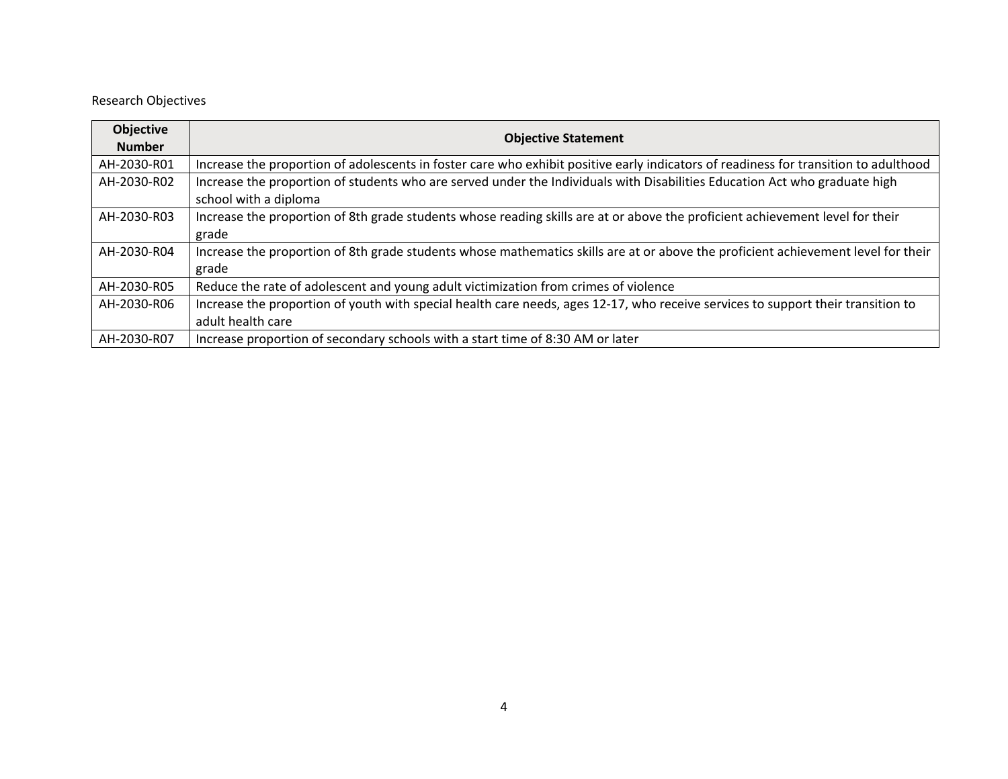### Research Objectives

| <b>Objective</b><br><b>Number</b> | <b>Objective Statement</b>                                                                                                           |  |
|-----------------------------------|--------------------------------------------------------------------------------------------------------------------------------------|--|
| AH-2030-R01                       | Increase the proportion of adolescents in foster care who exhibit positive early indicators of readiness for transition to adulthood |  |
| AH-2030-R02                       | Increase the proportion of students who are served under the Individuals with Disabilities Education Act who graduate high           |  |
|                                   | school with a diploma                                                                                                                |  |
| AH-2030-R03                       | Increase the proportion of 8th grade students whose reading skills are at or above the proficient achievement level for their        |  |
|                                   | grade                                                                                                                                |  |
| AH-2030-R04                       | Increase the proportion of 8th grade students whose mathematics skills are at or above the proficient achievement level for their    |  |
|                                   | grade                                                                                                                                |  |
| AH-2030-R05                       | Reduce the rate of adolescent and young adult victimization from crimes of violence                                                  |  |
| AH-2030-R06                       | Increase the proportion of youth with special health care needs, ages 12-17, who receive services to support their transition to     |  |
|                                   | adult health care                                                                                                                    |  |
| AH-2030-R07                       | Increase proportion of secondary schools with a start time of 8:30 AM or later                                                       |  |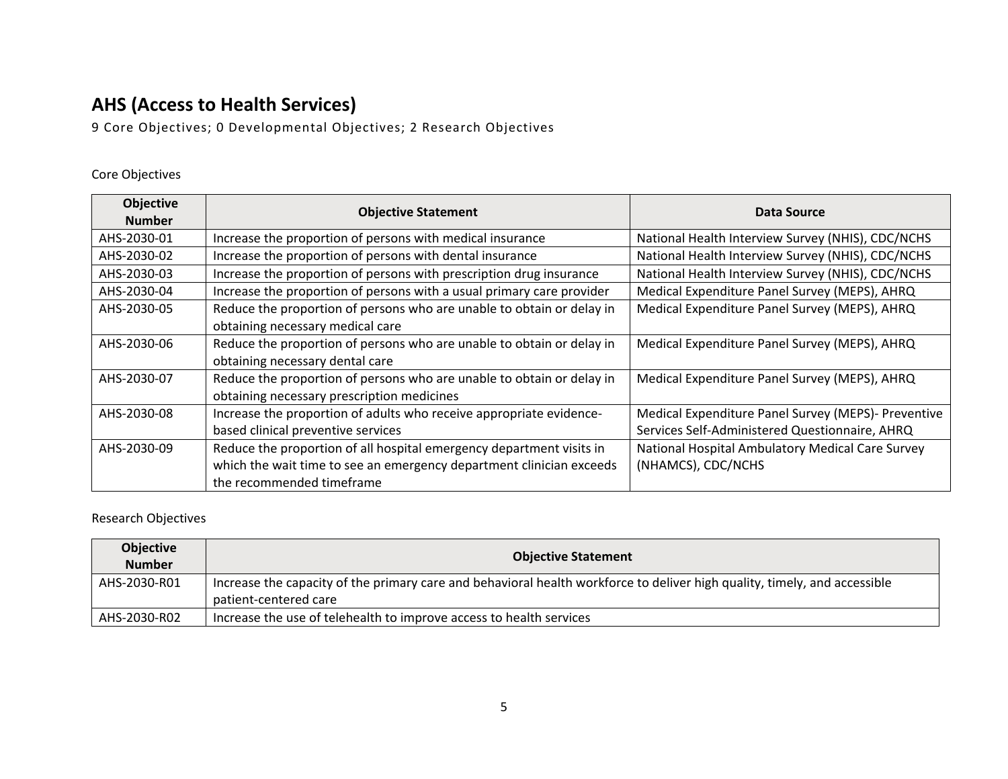# <span id="page-4-0"></span>**AHS (Access to Health Services)**

9 Core Objectives; 0 Developmental Objectives; 2 Research Objectives

### Core Objectives

| Objective<br><b>Number</b> | <b>Objective Statement</b>                                            | Data Source                                         |
|----------------------------|-----------------------------------------------------------------------|-----------------------------------------------------|
| AHS-2030-01                | Increase the proportion of persons with medical insurance             | National Health Interview Survey (NHIS), CDC/NCHS   |
| AHS-2030-02                | Increase the proportion of persons with dental insurance              | National Health Interview Survey (NHIS), CDC/NCHS   |
| AHS-2030-03                | Increase the proportion of persons with prescription drug insurance   | National Health Interview Survey (NHIS), CDC/NCHS   |
| AHS-2030-04                | Increase the proportion of persons with a usual primary care provider | Medical Expenditure Panel Survey (MEPS), AHRQ       |
| AHS-2030-05                | Reduce the proportion of persons who are unable to obtain or delay in | Medical Expenditure Panel Survey (MEPS), AHRQ       |
|                            | obtaining necessary medical care                                      |                                                     |
| AHS-2030-06                | Reduce the proportion of persons who are unable to obtain or delay in | Medical Expenditure Panel Survey (MEPS), AHRQ       |
|                            | obtaining necessary dental care                                       |                                                     |
| AHS-2030-07                | Reduce the proportion of persons who are unable to obtain or delay in | Medical Expenditure Panel Survey (MEPS), AHRQ       |
|                            | obtaining necessary prescription medicines                            |                                                     |
| AHS-2030-08                | Increase the proportion of adults who receive appropriate evidence-   | Medical Expenditure Panel Survey (MEPS)- Preventive |
|                            | based clinical preventive services                                    | Services Self-Administered Questionnaire, AHRQ      |
| AHS-2030-09                | Reduce the proportion of all hospital emergency department visits in  | National Hospital Ambulatory Medical Care Survey    |
|                            | which the wait time to see an emergency department clinician exceeds  | (NHAMCS), CDC/NCHS                                  |
|                            | the recommended timeframe                                             |                                                     |

### Research Objectives

| <b>Objective</b><br><b>Number</b> | <b>Objective Statement</b>                                                                                                                         |  |
|-----------------------------------|----------------------------------------------------------------------------------------------------------------------------------------------------|--|
| AHS-2030-R01                      | Increase the capacity of the primary care and behavioral health workforce to deliver high quality, timely, and accessible<br>patient-centered care |  |
| AHS-2030-R02                      | Increase the use of telehealth to improve access to health services                                                                                |  |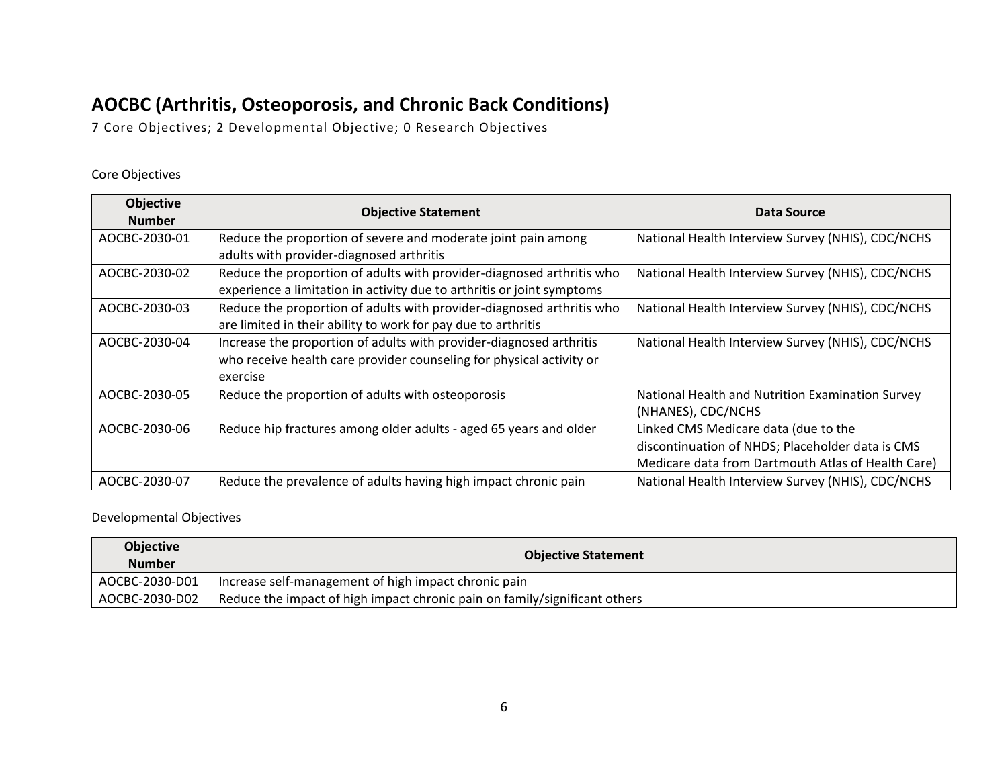## <span id="page-5-0"></span>**AOCBC (Arthritis, Osteoporosis, and Chronic Back Conditions)**

7 Core Objectives; 2 Developmental Objective; 0 Research Objectives

### Core Objectives

| Objective<br><b>Number</b> | <b>Objective Statement</b>                                                                                                                              | Data Source                                                                                                                                    |
|----------------------------|---------------------------------------------------------------------------------------------------------------------------------------------------------|------------------------------------------------------------------------------------------------------------------------------------------------|
| AOCBC-2030-01              | Reduce the proportion of severe and moderate joint pain among<br>adults with provider-diagnosed arthritis                                               | National Health Interview Survey (NHIS), CDC/NCHS                                                                                              |
| AOCBC-2030-02              | Reduce the proportion of adults with provider-diagnosed arthritis who<br>experience a limitation in activity due to arthritis or joint symptoms         | National Health Interview Survey (NHIS), CDC/NCHS                                                                                              |
| AOCBC-2030-03              | Reduce the proportion of adults with provider-diagnosed arthritis who<br>are limited in their ability to work for pay due to arthritis                  | National Health Interview Survey (NHIS), CDC/NCHS                                                                                              |
| AOCBC-2030-04              | Increase the proportion of adults with provider-diagnosed arthritis<br>who receive health care provider counseling for physical activity or<br>exercise | National Health Interview Survey (NHIS), CDC/NCHS                                                                                              |
| AOCBC-2030-05              | Reduce the proportion of adults with osteoporosis                                                                                                       | National Health and Nutrition Examination Survey<br>(NHANES), CDC/NCHS                                                                         |
| AOCBC-2030-06              | Reduce hip fractures among older adults - aged 65 years and older                                                                                       | Linked CMS Medicare data (due to the<br>discontinuation of NHDS; Placeholder data is CMS<br>Medicare data from Dartmouth Atlas of Health Care) |
| AOCBC-2030-07              | Reduce the prevalence of adults having high impact chronic pain                                                                                         | National Health Interview Survey (NHIS), CDC/NCHS                                                                                              |

| <b>Objective</b> | <b>Objective Statement</b>                                                 |  |
|------------------|----------------------------------------------------------------------------|--|
| <b>Number</b>    |                                                                            |  |
| AOCBC-2030-D01   | Increase self-management of high impact chronic pain                       |  |
| AOCBC-2030-D02   | Reduce the impact of high impact chronic pain on family/significant others |  |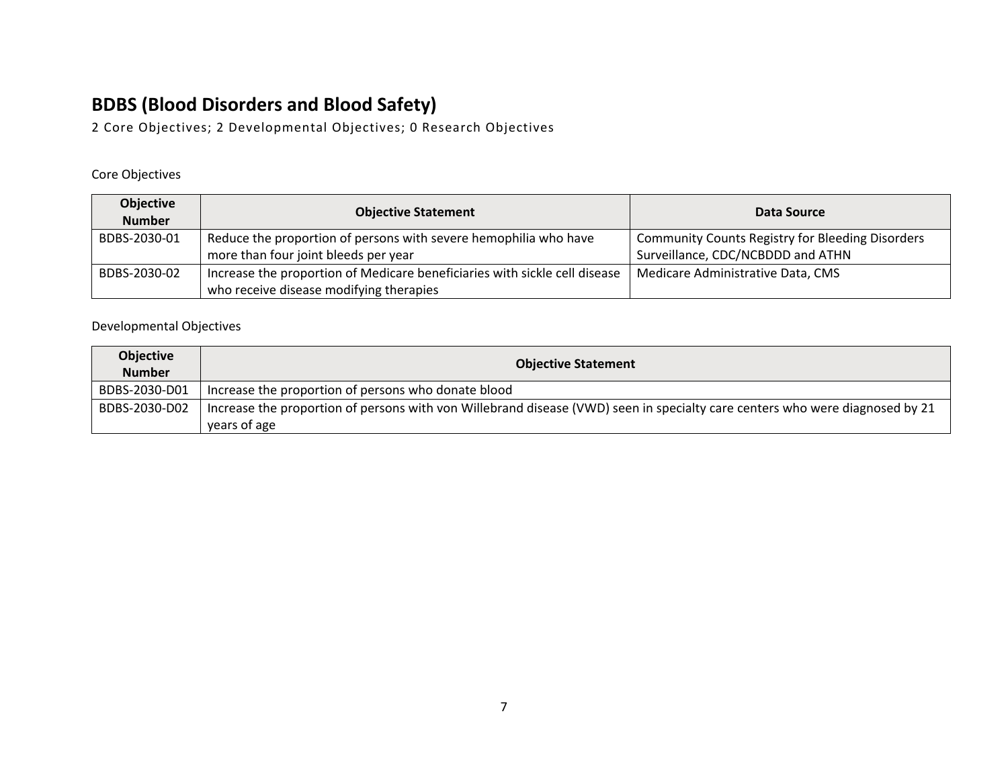# <span id="page-6-0"></span>**BDBS (Blood Disorders and Blood Safety)**

2 Core Objectives; 2 Developmental Objectives; 0 Research Objectives

### Core Objectives

| Objective<br><b>Number</b> | <b>Objective Statement</b>                                                                                            | Data Source                                                                                  |
|----------------------------|-----------------------------------------------------------------------------------------------------------------------|----------------------------------------------------------------------------------------------|
| BDBS-2030-01               | Reduce the proportion of persons with severe hemophilia who have<br>more than four joint bleeds per year              | <b>Community Counts Registry for Bleeding Disorders</b><br>Surveillance, CDC/NCBDDD and ATHN |
| BDBS-2030-02               | Increase the proportion of Medicare beneficiaries with sickle cell disease<br>who receive disease modifying therapies | Medicare Administrative Data, CMS                                                            |

| <b>Objective</b><br><b>Number</b> | <b>Objective Statement</b>                                                                                                   |  |
|-----------------------------------|------------------------------------------------------------------------------------------------------------------------------|--|
| BDBS-2030-D01                     | Increase the proportion of persons who donate blood                                                                          |  |
| BDBS-2030-D02                     | Increase the proportion of persons with von Willebrand disease (VWD) seen in specialty care centers who were diagnosed by 21 |  |
|                                   | vears of age                                                                                                                 |  |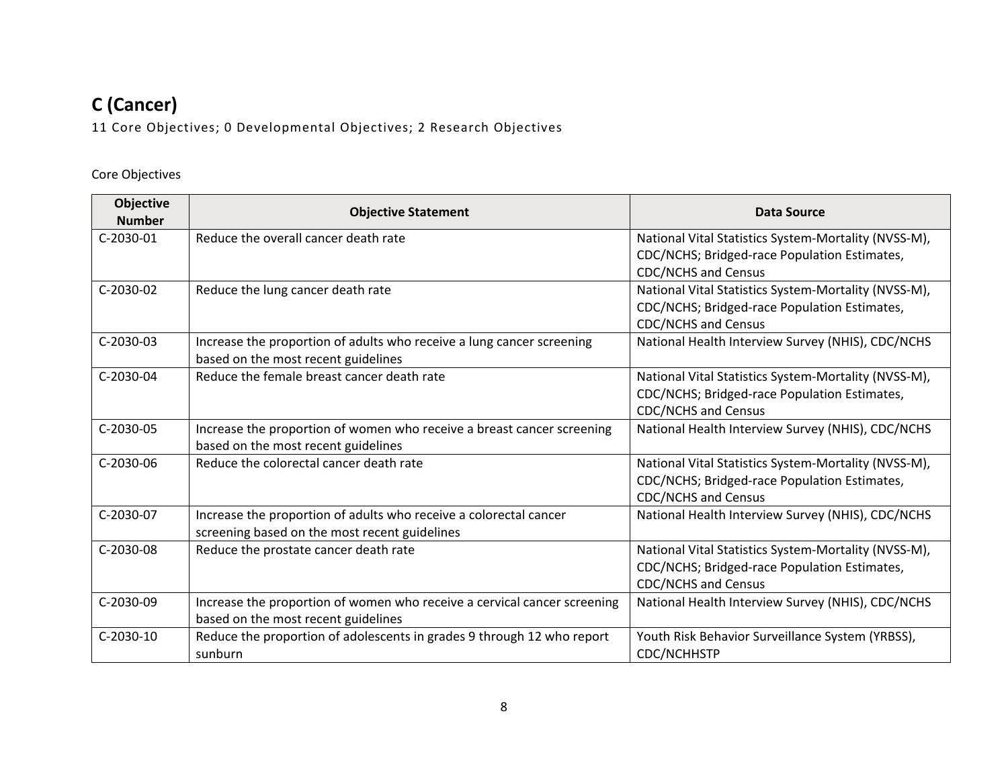# <span id="page-7-0"></span>**C (Cancer)**

11 Core Objectives; 0 Developmental Objectives; 2 Research Objectives

| Objective<br><b>Number</b> | <b>Objective Statement</b>                                                                                         | Data Source                                                                                                                        |
|----------------------------|--------------------------------------------------------------------------------------------------------------------|------------------------------------------------------------------------------------------------------------------------------------|
| C-2030-01                  | Reduce the overall cancer death rate                                                                               | National Vital Statistics System-Mortality (NVSS-M),<br>CDC/NCHS; Bridged-race Population Estimates,<br><b>CDC/NCHS and Census</b> |
| C-2030-02                  | Reduce the lung cancer death rate                                                                                  | National Vital Statistics System-Mortality (NVSS-M),<br>CDC/NCHS; Bridged-race Population Estimates,<br><b>CDC/NCHS and Census</b> |
| C-2030-03                  | Increase the proportion of adults who receive a lung cancer screening<br>based on the most recent guidelines       | National Health Interview Survey (NHIS), CDC/NCHS                                                                                  |
| C-2030-04                  | Reduce the female breast cancer death rate                                                                         | National Vital Statistics System-Mortality (NVSS-M),<br>CDC/NCHS; Bridged-race Population Estimates,<br><b>CDC/NCHS and Census</b> |
| C-2030-05                  | Increase the proportion of women who receive a breast cancer screening<br>based on the most recent guidelines      | National Health Interview Survey (NHIS), CDC/NCHS                                                                                  |
| C-2030-06                  | Reduce the colorectal cancer death rate                                                                            | National Vital Statistics System-Mortality (NVSS-M),<br>CDC/NCHS; Bridged-race Population Estimates,<br><b>CDC/NCHS and Census</b> |
| C-2030-07                  | Increase the proportion of adults who receive a colorectal cancer<br>screening based on the most recent guidelines | National Health Interview Survey (NHIS), CDC/NCHS                                                                                  |
| C-2030-08                  | Reduce the prostate cancer death rate                                                                              | National Vital Statistics System-Mortality (NVSS-M),<br>CDC/NCHS; Bridged-race Population Estimates,<br><b>CDC/NCHS and Census</b> |
| C-2030-09                  | Increase the proportion of women who receive a cervical cancer screening<br>based on the most recent guidelines    | National Health Interview Survey (NHIS), CDC/NCHS                                                                                  |
| C-2030-10                  | Reduce the proportion of adolescents in grades 9 through 12 who report<br>sunburn                                  | Youth Risk Behavior Surveillance System (YRBSS),<br><b>CDC/NCHHSTP</b>                                                             |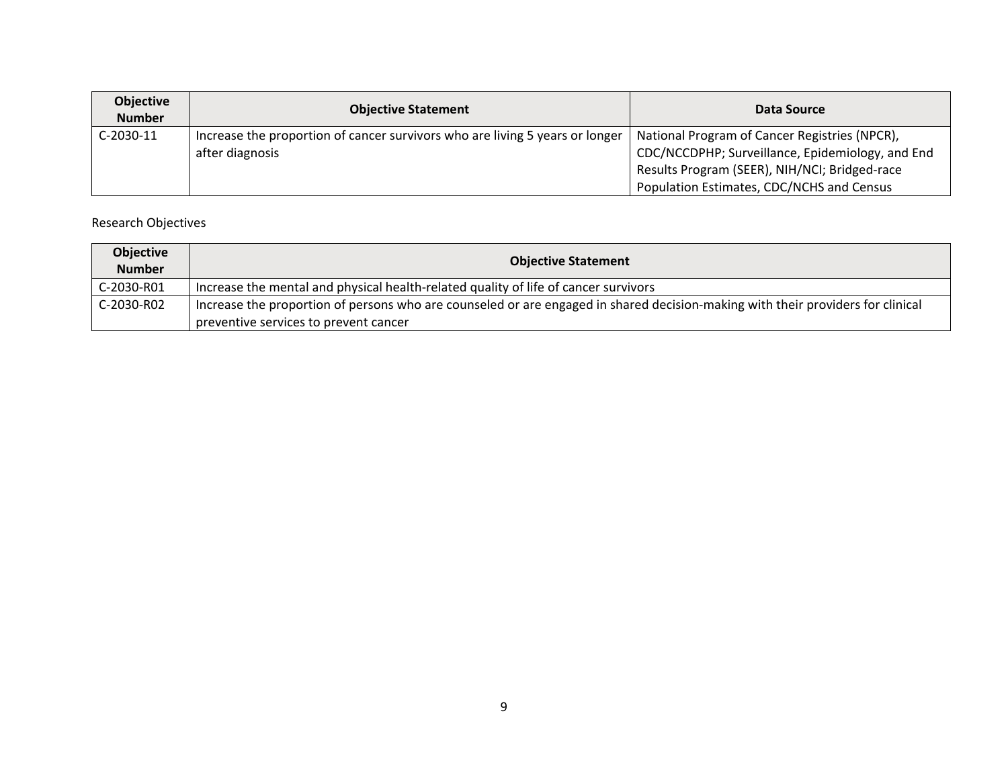| <b>Objective</b><br><b>Number</b> | <b>Objective Statement</b>                                                                      | Data Source                                                                                       |
|-----------------------------------|-------------------------------------------------------------------------------------------------|---------------------------------------------------------------------------------------------------|
| $C-2030-11$                       | Increase the proportion of cancer survivors who are living 5 years or longer<br>after diagnosis | National Program of Cancer Registries (NPCR),<br>CDC/NCCDPHP; Surveillance, Epidemiology, and End |
|                                   |                                                                                                 | Results Program (SEER), NIH/NCI; Bridged-race<br>Population Estimates, CDC/NCHS and Census        |

### Research Objectives

| <b>Objective</b><br><b>Number</b> | <b>Objective Statement</b>                                                                                                      |
|-----------------------------------|---------------------------------------------------------------------------------------------------------------------------------|
| C-2030-R01                        | Increase the mental and physical health-related quality of life of cancer survivors                                             |
| C-2030-R02                        | Increase the proportion of persons who are counseled or are engaged in shared decision-making with their providers for clinical |
|                                   | preventive services to prevent cancer                                                                                           |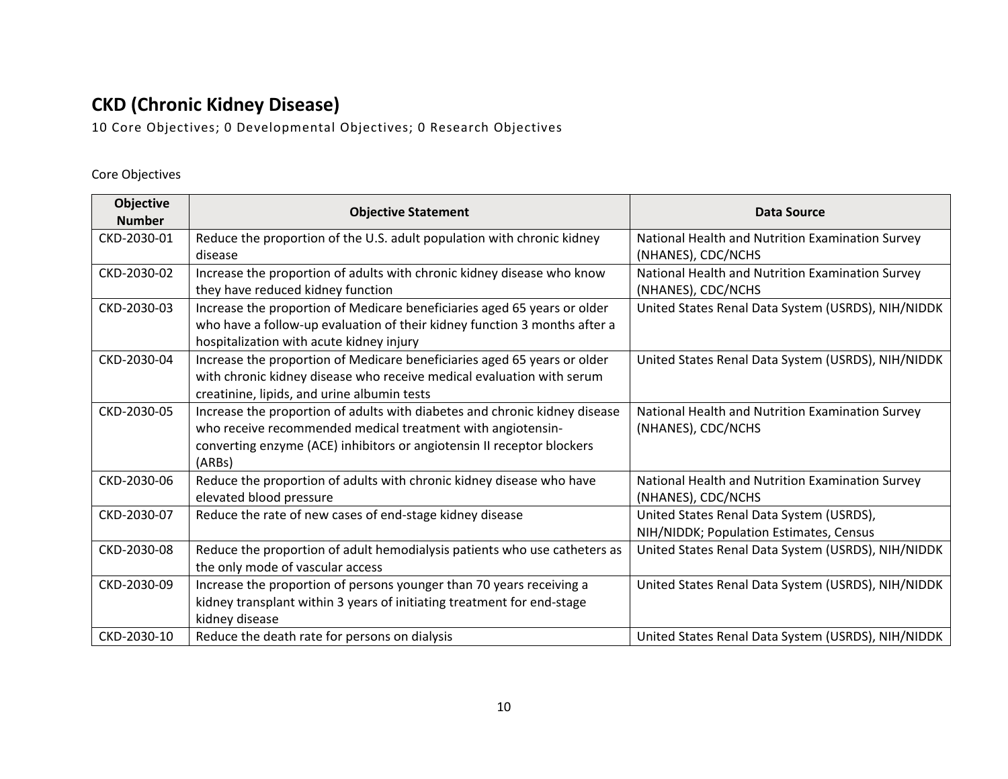# <span id="page-9-0"></span>**CKD (Chronic Kidney Disease)**

10 Core Objectives; 0 Developmental Objectives; 0 Research Objectives

| Objective<br><b>Number</b> | <b>Objective Statement</b>                                                 | <b>Data Source</b>                                 |
|----------------------------|----------------------------------------------------------------------------|----------------------------------------------------|
| CKD-2030-01                | Reduce the proportion of the U.S. adult population with chronic kidney     | National Health and Nutrition Examination Survey   |
|                            | disease                                                                    | (NHANES), CDC/NCHS                                 |
| CKD-2030-02                | Increase the proportion of adults with chronic kidney disease who know     | National Health and Nutrition Examination Survey   |
|                            | they have reduced kidney function                                          | (NHANES), CDC/NCHS                                 |
| CKD-2030-03                | Increase the proportion of Medicare beneficiaries aged 65 years or older   | United States Renal Data System (USRDS), NIH/NIDDK |
|                            | who have a follow-up evaluation of their kidney function 3 months after a  |                                                    |
|                            | hospitalization with acute kidney injury                                   |                                                    |
| CKD-2030-04                | Increase the proportion of Medicare beneficiaries aged 65 years or older   | United States Renal Data System (USRDS), NIH/NIDDK |
|                            | with chronic kidney disease who receive medical evaluation with serum      |                                                    |
|                            | creatinine, lipids, and urine albumin tests                                |                                                    |
| CKD-2030-05                | Increase the proportion of adults with diabetes and chronic kidney disease | National Health and Nutrition Examination Survey   |
|                            | who receive recommended medical treatment with angiotensin-                | (NHANES), CDC/NCHS                                 |
|                            | converting enzyme (ACE) inhibitors or angiotensin II receptor blockers     |                                                    |
|                            | (ARBs)                                                                     |                                                    |
| CKD-2030-06                | Reduce the proportion of adults with chronic kidney disease who have       | National Health and Nutrition Examination Survey   |
|                            | elevated blood pressure                                                    | (NHANES), CDC/NCHS                                 |
| CKD-2030-07                | Reduce the rate of new cases of end-stage kidney disease                   | United States Renal Data System (USRDS),           |
|                            |                                                                            | NIH/NIDDK; Population Estimates, Census            |
| CKD-2030-08                | Reduce the proportion of adult hemodialysis patients who use catheters as  | United States Renal Data System (USRDS), NIH/NIDDK |
|                            | the only mode of vascular access                                           |                                                    |
| CKD-2030-09                | Increase the proportion of persons younger than 70 years receiving a       | United States Renal Data System (USRDS), NIH/NIDDK |
|                            | kidney transplant within 3 years of initiating treatment for end-stage     |                                                    |
|                            | kidney disease                                                             |                                                    |
| CKD-2030-10                | Reduce the death rate for persons on dialysis                              | United States Renal Data System (USRDS), NIH/NIDDK |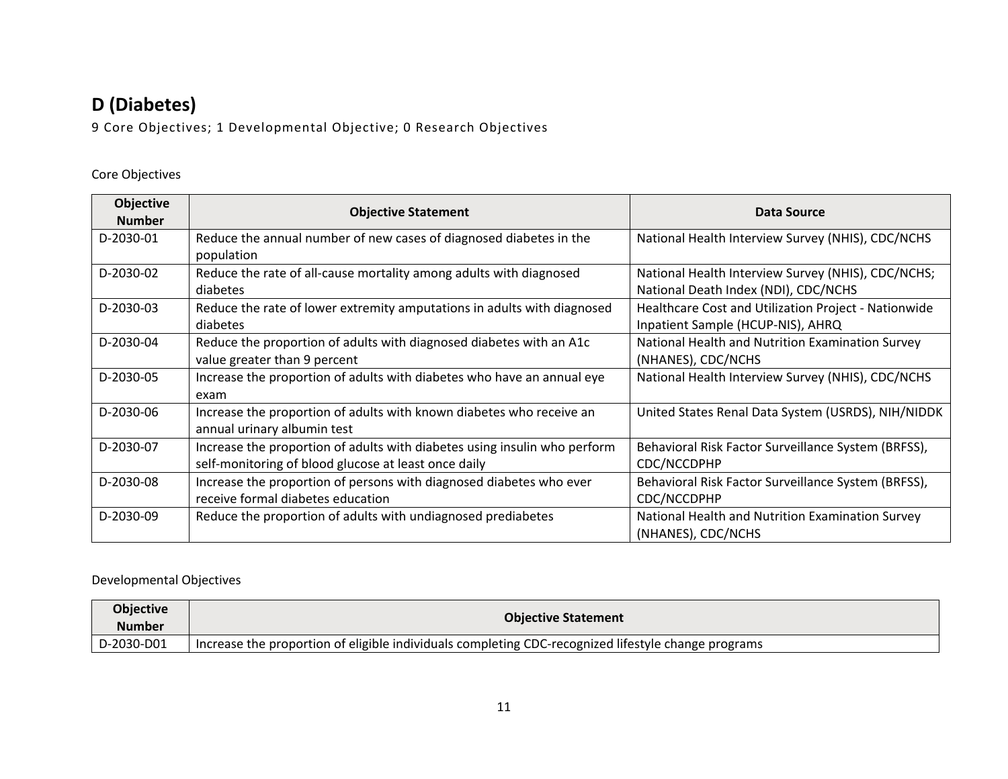# <span id="page-10-0"></span>**D (Diabetes)**

9 Core Objectives; 1 Developmental Objective; 0 Research Objectives

### Core Objectives

| <b>Objective</b><br><b>Number</b> | <b>Objective Statement</b>                                                                                                        | Data Source                                                                                |
|-----------------------------------|-----------------------------------------------------------------------------------------------------------------------------------|--------------------------------------------------------------------------------------------|
| D-2030-01                         | Reduce the annual number of new cases of diagnosed diabetes in the<br>population                                                  | National Health Interview Survey (NHIS), CDC/NCHS                                          |
| D-2030-02                         | Reduce the rate of all-cause mortality among adults with diagnosed<br>diabetes                                                    | National Health Interview Survey (NHIS), CDC/NCHS;<br>National Death Index (NDI), CDC/NCHS |
| D-2030-03                         | Reduce the rate of lower extremity amputations in adults with diagnosed<br>diabetes                                               | Healthcare Cost and Utilization Project - Nationwide<br>Inpatient Sample (HCUP-NIS), AHRQ  |
| D-2030-04                         | Reduce the proportion of adults with diagnosed diabetes with an A1c<br>value greater than 9 percent                               | National Health and Nutrition Examination Survey<br>(NHANES), CDC/NCHS                     |
| D-2030-05                         | Increase the proportion of adults with diabetes who have an annual eye<br>exam                                                    | National Health Interview Survey (NHIS), CDC/NCHS                                          |
| D-2030-06                         | Increase the proportion of adults with known diabetes who receive an<br>annual urinary albumin test                               | United States Renal Data System (USRDS), NIH/NIDDK                                         |
| D-2030-07                         | Increase the proportion of adults with diabetes using insulin who perform<br>self-monitoring of blood glucose at least once daily | Behavioral Risk Factor Surveillance System (BRFSS),<br>CDC/NCCDPHP                         |
| D-2030-08                         | Increase the proportion of persons with diagnosed diabetes who ever<br>receive formal diabetes education                          | Behavioral Risk Factor Surveillance System (BRFSS),<br>CDC/NCCDPHP                         |
| D-2030-09                         | Reduce the proportion of adults with undiagnosed prediabetes                                                                      | National Health and Nutrition Examination Survey<br>(NHANES), CDC/NCHS                     |

| <b>Objective</b><br><b>Number</b> | <b>Objective Statement</b>                                                                          |
|-----------------------------------|-----------------------------------------------------------------------------------------------------|
| $D-2030-DD1$                      | Increase the proportion of eligible individuals completing CDC-recognized lifestyle change programs |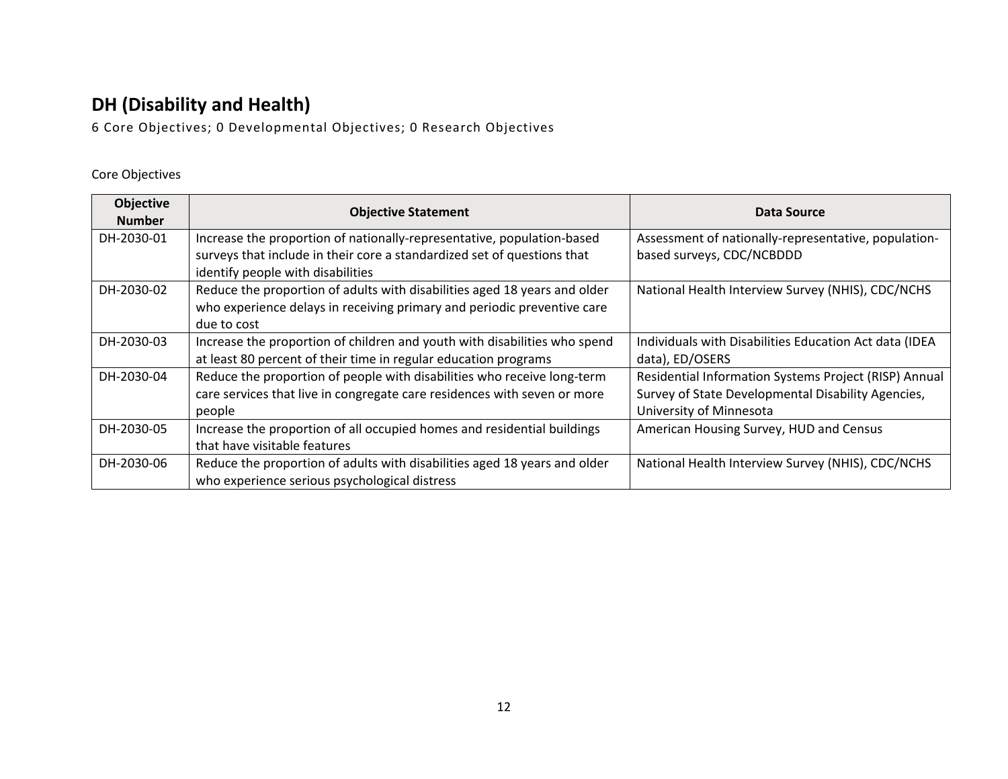# <span id="page-11-0"></span>**DH (Disability and Health)**

6 Core Objectives; 0 Developmental Objectives; 0 Research Objectives

| <b>Objective</b><br><b>Number</b> | <b>Objective Statement</b>                                                | Data Source                                            |
|-----------------------------------|---------------------------------------------------------------------------|--------------------------------------------------------|
| DH-2030-01                        | Increase the proportion of nationally-representative, population-based    | Assessment of nationally-representative, population-   |
|                                   | surveys that include in their core a standardized set of questions that   | based surveys, CDC/NCBDDD                              |
|                                   | identify people with disabilities                                         |                                                        |
| DH-2030-02                        | Reduce the proportion of adults with disabilities aged 18 years and older | National Health Interview Survey (NHIS), CDC/NCHS      |
|                                   | who experience delays in receiving primary and periodic preventive care   |                                                        |
|                                   | due to cost                                                               |                                                        |
| DH-2030-03                        | Increase the proportion of children and youth with disabilities who spend | Individuals with Disabilities Education Act data (IDEA |
|                                   | at least 80 percent of their time in regular education programs           | data), ED/OSERS                                        |
| DH-2030-04                        | Reduce the proportion of people with disabilities who receive long-term   | Residential Information Systems Project (RISP) Annual  |
|                                   | care services that live in congregate care residences with seven or more  | Survey of State Developmental Disability Agencies,     |
|                                   | people                                                                    | University of Minnesota                                |
| DH-2030-05                        | Increase the proportion of all occupied homes and residential buildings   | American Housing Survey, HUD and Census                |
|                                   | that have visitable features                                              |                                                        |
| DH-2030-06                        | Reduce the proportion of adults with disabilities aged 18 years and older | National Health Interview Survey (NHIS), CDC/NCHS      |
|                                   | who experience serious psychological distress                             |                                                        |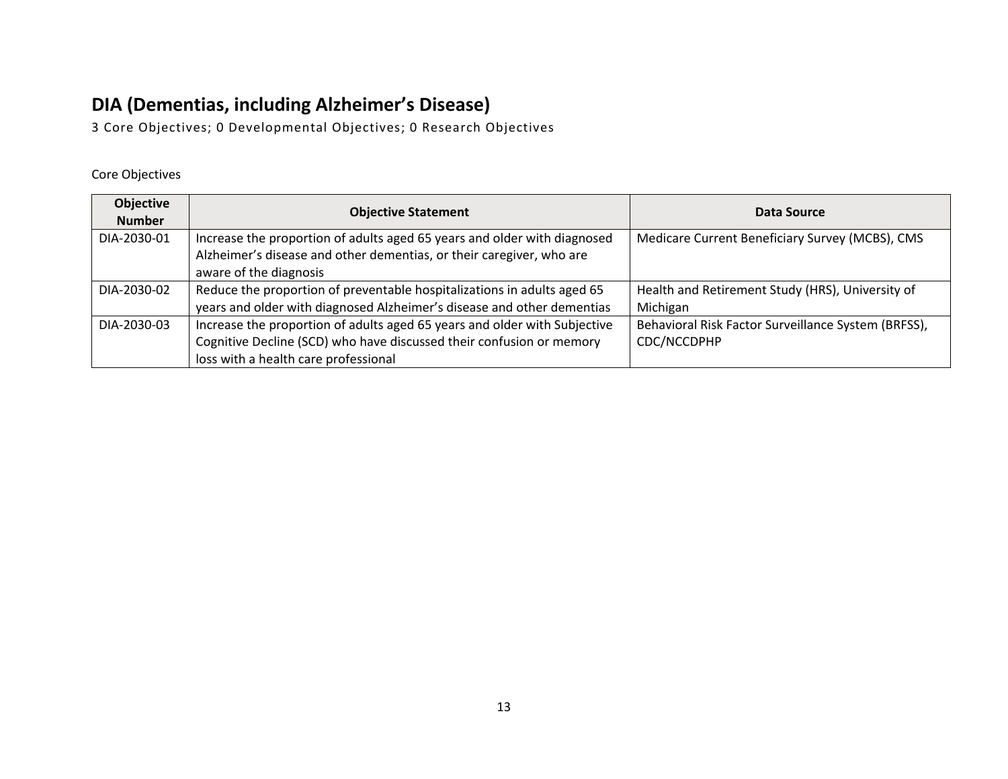# <span id="page-12-0"></span>**DIA (Dementias, including Alzheimer's Disease)**

3 Core Objectives; 0 Developmental Objectives; 0 Research Objectives

| Objective<br><b>Number</b> | <b>Objective Statement</b>                                                                     | Data Source                                         |
|----------------------------|------------------------------------------------------------------------------------------------|-----------------------------------------------------|
| DIA-2030-01                | Increase the proportion of adults aged 65 years and older with diagnosed                       | Medicare Current Beneficiary Survey (MCBS), CMS     |
|                            | Alzheimer's disease and other dementias, or their caregiver, who are<br>aware of the diagnosis |                                                     |
| DIA-2030-02                | Reduce the proportion of preventable hospitalizations in adults aged 65                        | Health and Retirement Study (HRS), University of    |
|                            | years and older with diagnosed Alzheimer's disease and other dementias                         | Michigan                                            |
| DIA-2030-03                | Increase the proportion of adults aged 65 years and older with Subjective                      | Behavioral Risk Factor Surveillance System (BRFSS), |
|                            | Cognitive Decline (SCD) who have discussed their confusion or memory                           | CDC/NCCDPHP                                         |
|                            | loss with a health care professional                                                           |                                                     |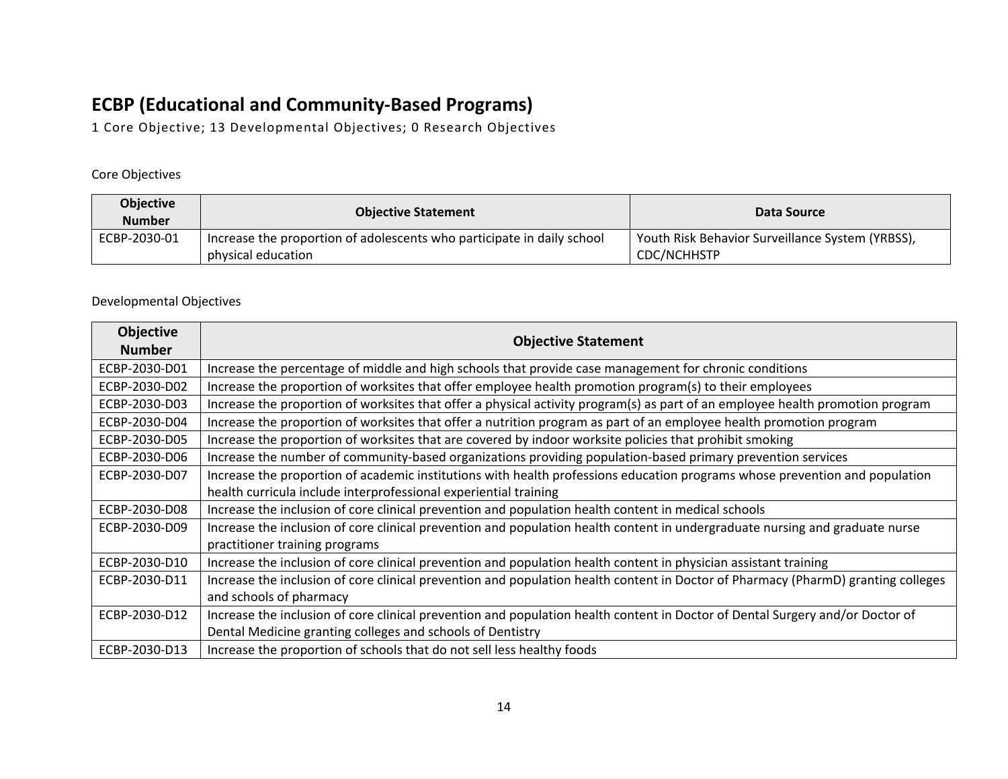# <span id="page-13-0"></span>**ECBP (Educational and Community-Based Programs)**

1 Core Objective; 13 Developmental Objectives; 0 Research Objectives

### Core Objectives

| <b>Objective</b><br><b>Number</b> | <b>Objective Statement</b>                                                                   | Data Source                                                                         |
|-----------------------------------|----------------------------------------------------------------------------------------------|-------------------------------------------------------------------------------------|
| ECBP-2030-01                      | Increase the proportion of adolescents who participate in daily school<br>physical education | <sup>1</sup> Youth Risk Behavior Surveillance System (YRBSS),<br><b>CDC/NCHHSTP</b> |

| <b>Objective</b> | <b>Objective Statement</b>                                                                                                        |  |
|------------------|-----------------------------------------------------------------------------------------------------------------------------------|--|
| <b>Number</b>    |                                                                                                                                   |  |
| ECBP-2030-D01    | Increase the percentage of middle and high schools that provide case management for chronic conditions                            |  |
| ECBP-2030-D02    | Increase the proportion of worksites that offer employee health promotion program(s) to their employees                           |  |
| ECBP-2030-D03    | Increase the proportion of worksites that offer a physical activity program(s) as part of an employee health promotion program    |  |
| ECBP-2030-D04    | Increase the proportion of worksites that offer a nutrition program as part of an employee health promotion program               |  |
| ECBP-2030-D05    | Increase the proportion of worksites that are covered by indoor worksite policies that prohibit smoking                           |  |
| ECBP-2030-D06    | Increase the number of community-based organizations providing population-based primary prevention services                       |  |
| ECBP-2030-D07    | Increase the proportion of academic institutions with health professions education programs whose prevention and population       |  |
|                  | health curricula include interprofessional experiential training                                                                  |  |
| ECBP-2030-D08    | Increase the inclusion of core clinical prevention and population health content in medical schools                               |  |
| ECBP-2030-D09    | Increase the inclusion of core clinical prevention and population health content in undergraduate nursing and graduate nurse      |  |
|                  | practitioner training programs                                                                                                    |  |
| ECBP-2030-D10    | Increase the inclusion of core clinical prevention and population health content in physician assistant training                  |  |
| ECBP-2030-D11    | Increase the inclusion of core clinical prevention and population health content in Doctor of Pharmacy (PharmD) granting colleges |  |
|                  | and schools of pharmacy                                                                                                           |  |
| ECBP-2030-D12    | Increase the inclusion of core clinical prevention and population health content in Doctor of Dental Surgery and/or Doctor of     |  |
|                  | Dental Medicine granting colleges and schools of Dentistry                                                                        |  |
| ECBP-2030-D13    | Increase the proportion of schools that do not sell less healthy foods                                                            |  |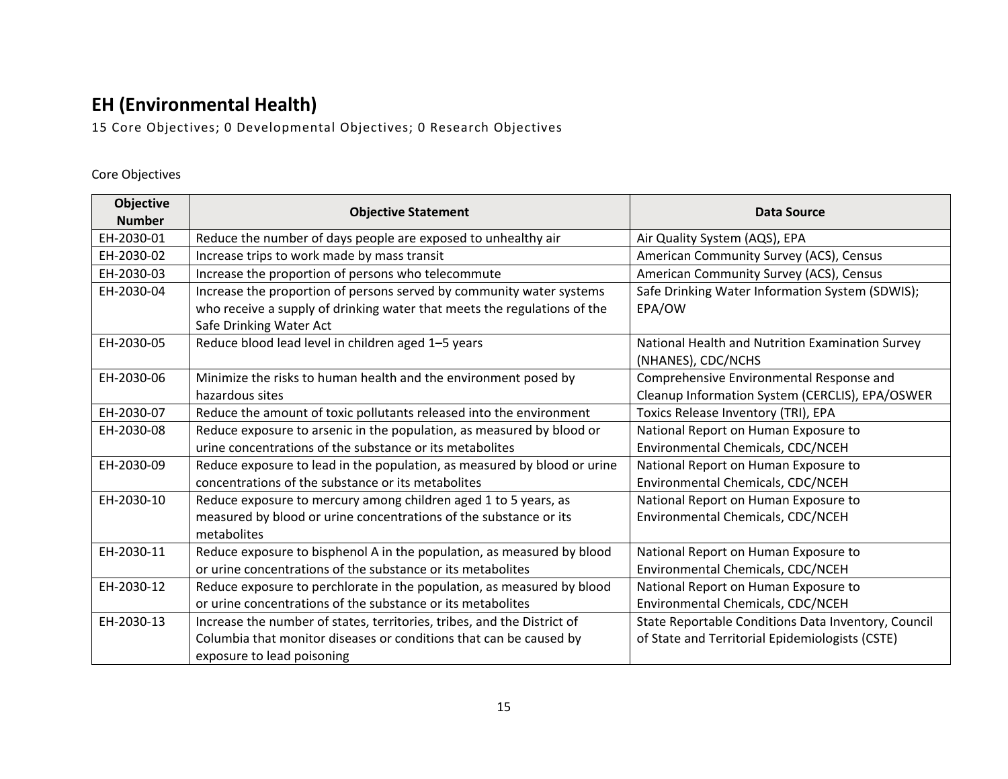# <span id="page-14-0"></span>**EH (Environmental Health)**

15 Core Objectives; 0 Developmental Objectives; 0 Research Objectives

| <b>Objective</b><br><b>Number</b> | <b>Objective Statement</b>                                               | Data Source                                         |
|-----------------------------------|--------------------------------------------------------------------------|-----------------------------------------------------|
| EH-2030-01                        | Reduce the number of days people are exposed to unhealthy air            | Air Quality System (AQS), EPA                       |
| EH-2030-02                        | Increase trips to work made by mass transit                              | American Community Survey (ACS), Census             |
| EH-2030-03                        | Increase the proportion of persons who telecommute                       | American Community Survey (ACS), Census             |
| EH-2030-04                        | Increase the proportion of persons served by community water systems     | Safe Drinking Water Information System (SDWIS);     |
|                                   | who receive a supply of drinking water that meets the regulations of the | EPA/OW                                              |
|                                   | Safe Drinking Water Act                                                  |                                                     |
| EH-2030-05                        | Reduce blood lead level in children aged 1-5 years                       | National Health and Nutrition Examination Survey    |
|                                   |                                                                          | (NHANES), CDC/NCHS                                  |
| EH-2030-06                        | Minimize the risks to human health and the environment posed by          | Comprehensive Environmental Response and            |
|                                   | hazardous sites                                                          | Cleanup Information System (CERCLIS), EPA/OSWER     |
| EH-2030-07                        | Reduce the amount of toxic pollutants released into the environment      | Toxics Release Inventory (TRI), EPA                 |
| EH-2030-08                        | Reduce exposure to arsenic in the population, as measured by blood or    | National Report on Human Exposure to                |
|                                   | urine concentrations of the substance or its metabolites                 | Environmental Chemicals, CDC/NCEH                   |
| EH-2030-09                        | Reduce exposure to lead in the population, as measured by blood or urine | National Report on Human Exposure to                |
|                                   | concentrations of the substance or its metabolites                       | Environmental Chemicals, CDC/NCEH                   |
| EH-2030-10                        | Reduce exposure to mercury among children aged 1 to 5 years, as          | National Report on Human Exposure to                |
|                                   | measured by blood or urine concentrations of the substance or its        | Environmental Chemicals, CDC/NCEH                   |
|                                   | metabolites                                                              |                                                     |
| EH-2030-11                        | Reduce exposure to bisphenol A in the population, as measured by blood   | National Report on Human Exposure to                |
|                                   | or urine concentrations of the substance or its metabolites              | Environmental Chemicals, CDC/NCEH                   |
| EH-2030-12                        | Reduce exposure to perchlorate in the population, as measured by blood   | National Report on Human Exposure to                |
|                                   | or urine concentrations of the substance or its metabolites              | Environmental Chemicals, CDC/NCEH                   |
| EH-2030-13                        | Increase the number of states, territories, tribes, and the District of  | State Reportable Conditions Data Inventory, Council |
|                                   | Columbia that monitor diseases or conditions that can be caused by       | of State and Territorial Epidemiologists (CSTE)     |
|                                   | exposure to lead poisoning                                               |                                                     |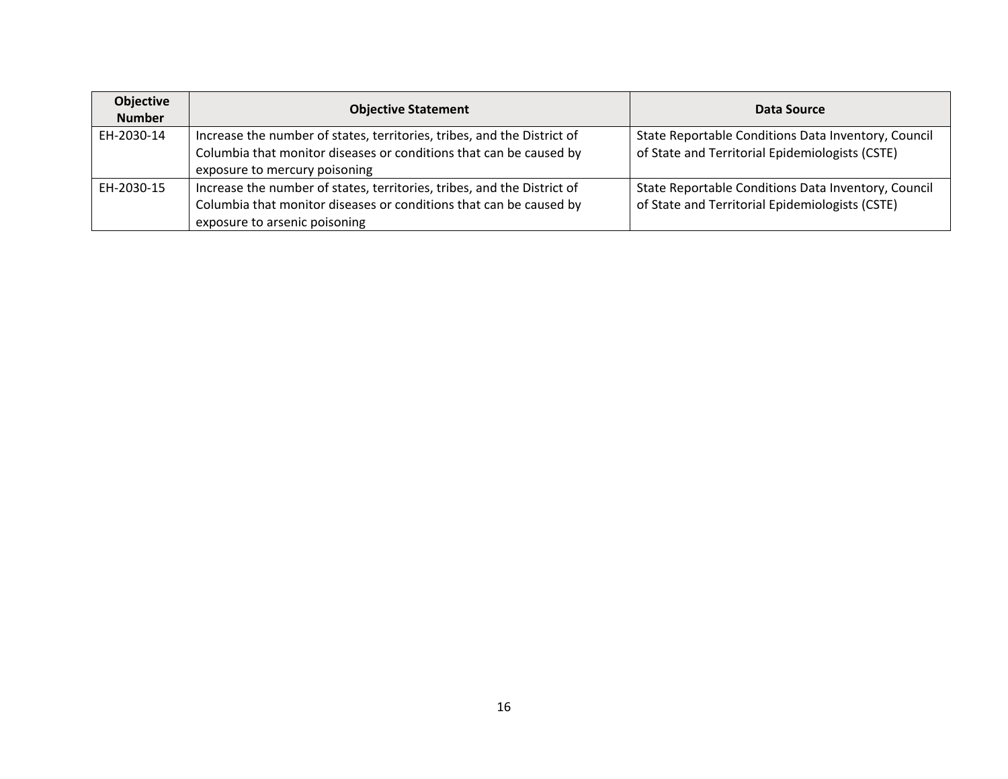| <b>Objective</b><br><b>Number</b> | <b>Objective Statement</b>                                                                                                                                                     | Data Source                                                                                            |
|-----------------------------------|--------------------------------------------------------------------------------------------------------------------------------------------------------------------------------|--------------------------------------------------------------------------------------------------------|
| EH-2030-14                        | Increase the number of states, territories, tribes, and the District of<br>Columbia that monitor diseases or conditions that can be caused by<br>exposure to mercury poisoning | State Reportable Conditions Data Inventory, Council<br>of State and Territorial Epidemiologists (CSTE) |
| EH-2030-15                        | Increase the number of states, territories, tribes, and the District of<br>Columbia that monitor diseases or conditions that can be caused by<br>exposure to arsenic poisoning | State Reportable Conditions Data Inventory, Council<br>of State and Territorial Epidemiologists (CSTE) |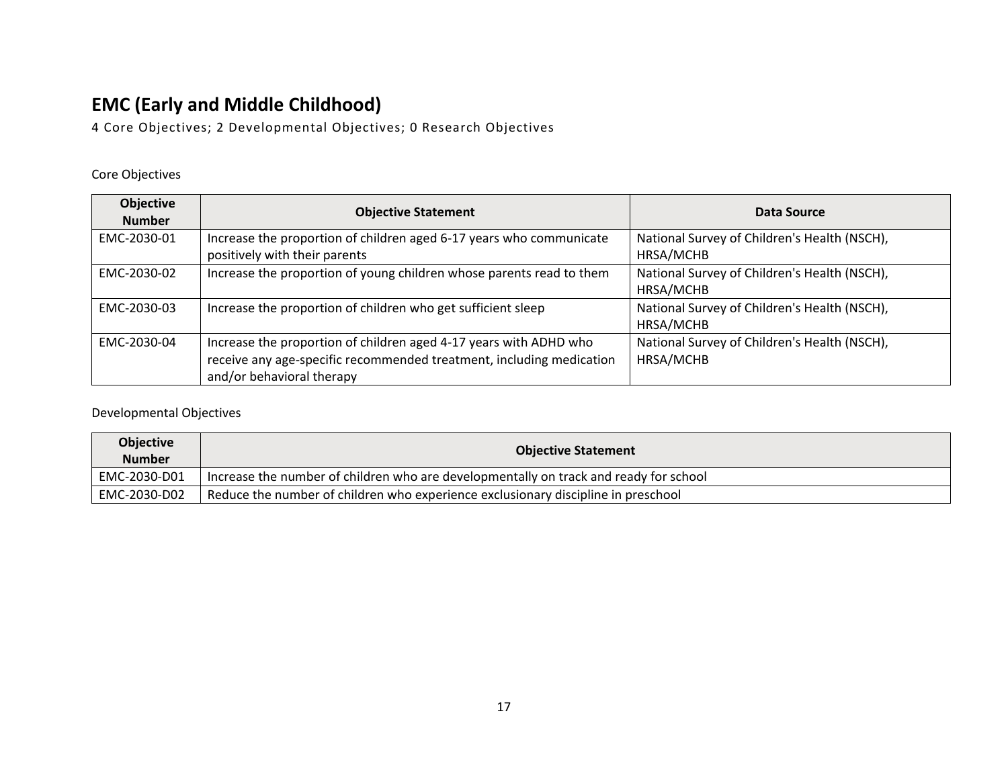# <span id="page-16-0"></span>**EMC (Early and Middle Childhood)**

4 Core Objectives; 2 Developmental Objectives; 0 Research Objectives

### Core Objectives

| <b>Objective</b><br><b>Number</b> | <b>Objective Statement</b>                                                                                                                                             | Data Source                                               |
|-----------------------------------|------------------------------------------------------------------------------------------------------------------------------------------------------------------------|-----------------------------------------------------------|
| EMC-2030-01                       | Increase the proportion of children aged 6-17 years who communicate<br>positively with their parents                                                                   | National Survey of Children's Health (NSCH),<br>HRSA/MCHB |
| EMC-2030-02                       | Increase the proportion of young children whose parents read to them                                                                                                   | National Survey of Children's Health (NSCH),<br>HRSA/MCHB |
| EMC-2030-03                       | Increase the proportion of children who get sufficient sleep                                                                                                           | National Survey of Children's Health (NSCH),<br>HRSA/MCHB |
| EMC-2030-04                       | Increase the proportion of children aged 4-17 years with ADHD who<br>receive any age-specific recommended treatment, including medication<br>and/or behavioral therapy | National Survey of Children's Health (NSCH),<br>HRSA/MCHB |

| <b>Objective</b><br><b>Number</b> | <b>Objective Statement</b>                                                            |
|-----------------------------------|---------------------------------------------------------------------------------------|
| EMC-2030-D01                      | Increase the number of children who are developmentally on track and ready for school |
| EMC-2030-D02                      | Reduce the number of children who experience exclusionary discipline in preschool     |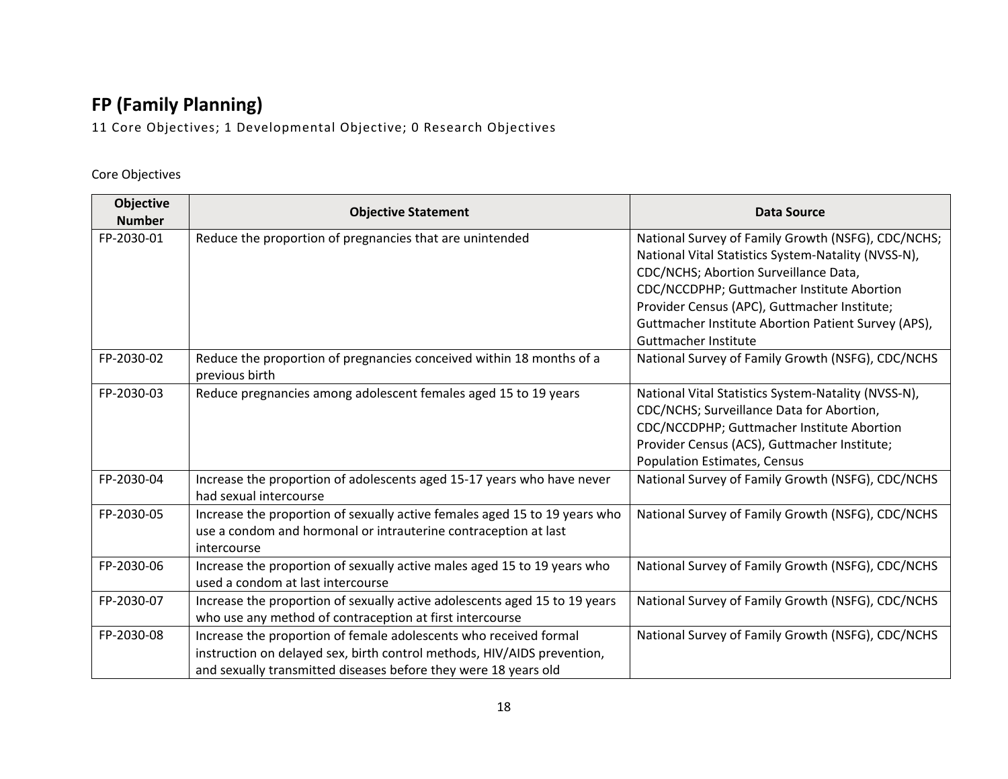# <span id="page-17-0"></span>**FP (Family Planning)**

11 Core Objectives; 1 Developmental Objective; 0 Research Objectives

| <b>Objective</b><br><b>Number</b> | <b>Objective Statement</b>                                                                                                                                                                                      | <b>Data Source</b>                                                                                                                                                                                                                                                                                                              |
|-----------------------------------|-----------------------------------------------------------------------------------------------------------------------------------------------------------------------------------------------------------------|---------------------------------------------------------------------------------------------------------------------------------------------------------------------------------------------------------------------------------------------------------------------------------------------------------------------------------|
| FP-2030-01                        | Reduce the proportion of pregnancies that are unintended                                                                                                                                                        | National Survey of Family Growth (NSFG), CDC/NCHS;<br>National Vital Statistics System-Natality (NVSS-N),<br>CDC/NCHS; Abortion Surveillance Data,<br>CDC/NCCDPHP; Guttmacher Institute Abortion<br>Provider Census (APC), Guttmacher Institute;<br>Guttmacher Institute Abortion Patient Survey (APS),<br>Guttmacher Institute |
| FP-2030-02                        | Reduce the proportion of pregnancies conceived within 18 months of a<br>previous birth                                                                                                                          | National Survey of Family Growth (NSFG), CDC/NCHS                                                                                                                                                                                                                                                                               |
| FP-2030-03                        | Reduce pregnancies among adolescent females aged 15 to 19 years                                                                                                                                                 | National Vital Statistics System-Natality (NVSS-N),<br>CDC/NCHS; Surveillance Data for Abortion,<br>CDC/NCCDPHP; Guttmacher Institute Abortion<br>Provider Census (ACS), Guttmacher Institute;<br><b>Population Estimates, Census</b>                                                                                           |
| FP-2030-04                        | Increase the proportion of adolescents aged 15-17 years who have never<br>had sexual intercourse                                                                                                                | National Survey of Family Growth (NSFG), CDC/NCHS                                                                                                                                                                                                                                                                               |
| FP-2030-05                        | Increase the proportion of sexually active females aged 15 to 19 years who<br>use a condom and hormonal or intrauterine contraception at last<br>intercourse                                                    | National Survey of Family Growth (NSFG), CDC/NCHS                                                                                                                                                                                                                                                                               |
| FP-2030-06                        | Increase the proportion of sexually active males aged 15 to 19 years who<br>used a condom at last intercourse                                                                                                   | National Survey of Family Growth (NSFG), CDC/NCHS                                                                                                                                                                                                                                                                               |
| FP-2030-07                        | Increase the proportion of sexually active adolescents aged 15 to 19 years<br>who use any method of contraception at first intercourse                                                                          | National Survey of Family Growth (NSFG), CDC/NCHS                                                                                                                                                                                                                                                                               |
| FP-2030-08                        | Increase the proportion of female adolescents who received formal<br>instruction on delayed sex, birth control methods, HIV/AIDS prevention,<br>and sexually transmitted diseases before they were 18 years old | National Survey of Family Growth (NSFG), CDC/NCHS                                                                                                                                                                                                                                                                               |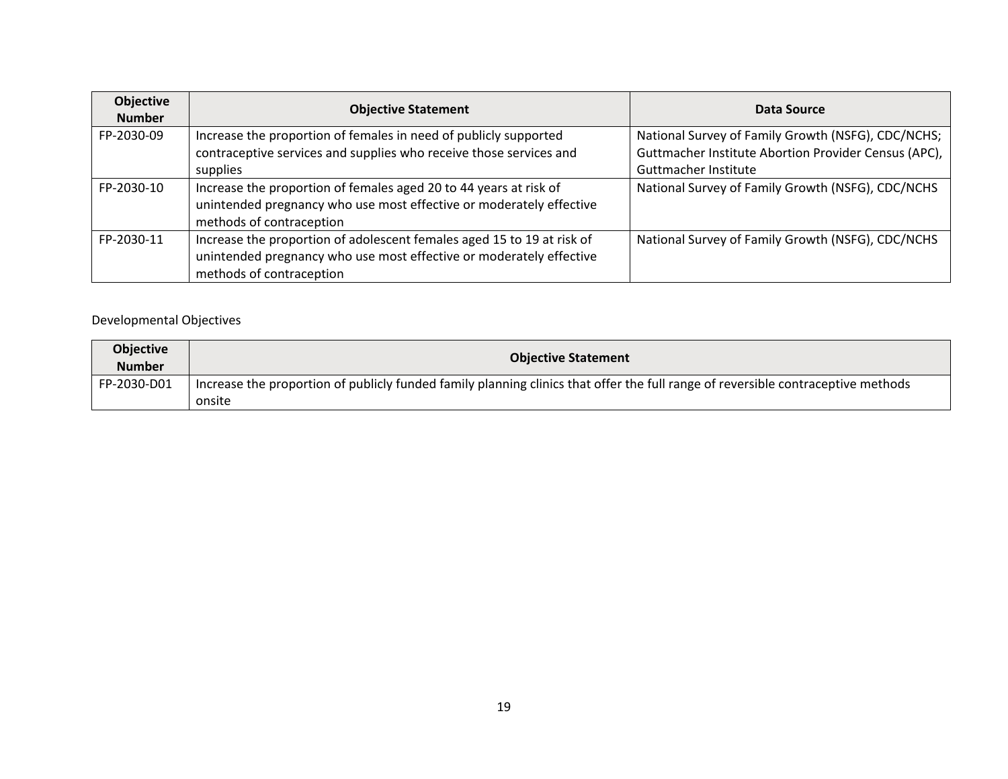| <b>Objective</b><br><b>Number</b> | <b>Objective Statement</b>                                             | Data Source                                          |
|-----------------------------------|------------------------------------------------------------------------|------------------------------------------------------|
| FP-2030-09                        | Increase the proportion of females in need of publicly supported       | National Survey of Family Growth (NSFG), CDC/NCHS;   |
|                                   | contraceptive services and supplies who receive those services and     | Guttmacher Institute Abortion Provider Census (APC), |
|                                   | supplies                                                               | Guttmacher Institute                                 |
| FP-2030-10                        | Increase the proportion of females aged 20 to 44 years at risk of      | National Survey of Family Growth (NSFG), CDC/NCHS    |
|                                   | unintended pregnancy who use most effective or moderately effective    |                                                      |
|                                   | methods of contraception                                               |                                                      |
| FP-2030-11                        | Increase the proportion of adolescent females aged 15 to 19 at risk of | National Survey of Family Growth (NSFG), CDC/NCHS    |
|                                   | unintended pregnancy who use most effective or moderately effective    |                                                      |
|                                   | methods of contraception                                               |                                                      |

| <b>Objective</b><br><b>Number</b> | <b>Objective Statement</b>                                                                                                                 |
|-----------------------------------|--------------------------------------------------------------------------------------------------------------------------------------------|
| FP-2030-D01                       | Increase the proportion of publicly funded family planning clinics that offer the full range of reversible contraceptive methods<br>onsite |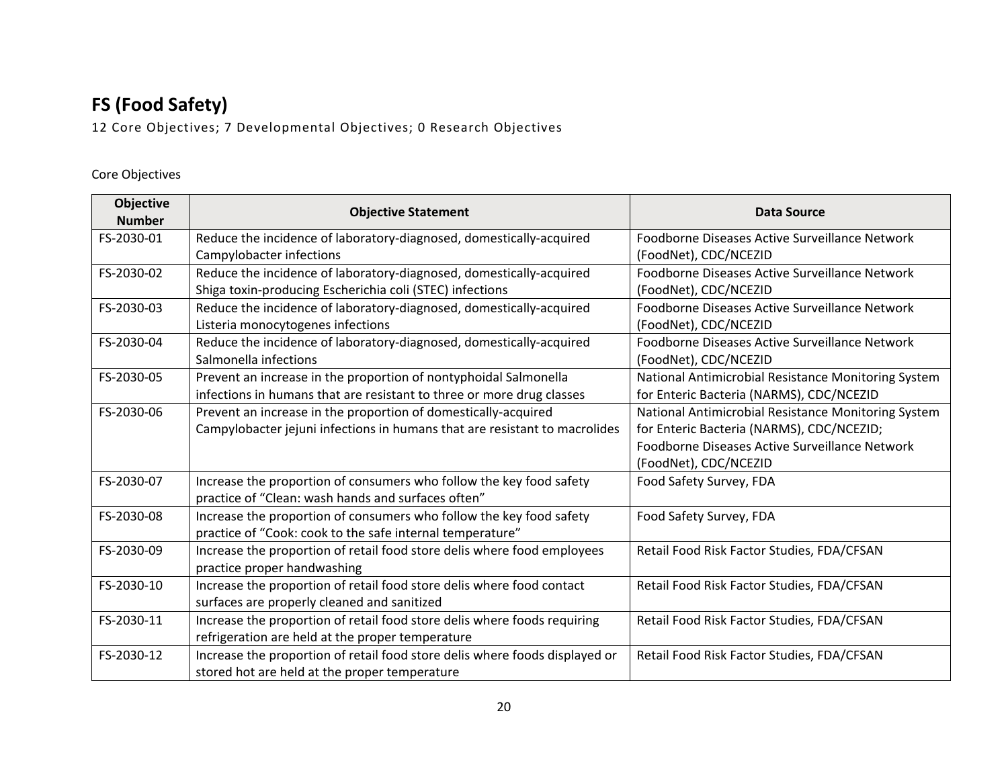# <span id="page-19-0"></span>**FS (Food Safety)**

12 Core Objectives; 7 Developmental Objectives; 0 Research Objectives

| <b>Objective</b><br><b>Number</b> | <b>Objective Statement</b>                                                  | <b>Data Source</b>                                  |
|-----------------------------------|-----------------------------------------------------------------------------|-----------------------------------------------------|
| FS-2030-01                        | Reduce the incidence of laboratory-diagnosed, domestically-acquired         | Foodborne Diseases Active Surveillance Network      |
|                                   | Campylobacter infections                                                    | (FoodNet), CDC/NCEZID                               |
| FS-2030-02                        | Reduce the incidence of laboratory-diagnosed, domestically-acquired         | Foodborne Diseases Active Surveillance Network      |
|                                   | Shiga toxin-producing Escherichia coli (STEC) infections                    | (FoodNet), CDC/NCEZID                               |
| FS-2030-03                        | Reduce the incidence of laboratory-diagnosed, domestically-acquired         | Foodborne Diseases Active Surveillance Network      |
|                                   | Listeria monocytogenes infections                                           | (FoodNet), CDC/NCEZID                               |
| FS-2030-04                        | Reduce the incidence of laboratory-diagnosed, domestically-acquired         | Foodborne Diseases Active Surveillance Network      |
|                                   | Salmonella infections                                                       | (FoodNet), CDC/NCEZID                               |
| FS-2030-05                        | Prevent an increase in the proportion of nontyphoidal Salmonella            | National Antimicrobial Resistance Monitoring System |
|                                   | infections in humans that are resistant to three or more drug classes       | for Enteric Bacteria (NARMS), CDC/NCEZID            |
| FS-2030-06                        | Prevent an increase in the proportion of domestically-acquired              | National Antimicrobial Resistance Monitoring System |
|                                   | Campylobacter jejuni infections in humans that are resistant to macrolides  | for Enteric Bacteria (NARMS), CDC/NCEZID;           |
|                                   |                                                                             | Foodborne Diseases Active Surveillance Network      |
|                                   |                                                                             | (FoodNet), CDC/NCEZID                               |
| FS-2030-07                        | Increase the proportion of consumers who follow the key food safety         | Food Safety Survey, FDA                             |
|                                   | practice of "Clean: wash hands and surfaces often"                          |                                                     |
| FS-2030-08                        | Increase the proportion of consumers who follow the key food safety         | Food Safety Survey, FDA                             |
|                                   | practice of "Cook: cook to the safe internal temperature"                   |                                                     |
| FS-2030-09                        | Increase the proportion of retail food store delis where food employees     | Retail Food Risk Factor Studies, FDA/CFSAN          |
|                                   | practice proper handwashing                                                 |                                                     |
| FS-2030-10                        | Increase the proportion of retail food store delis where food contact       | Retail Food Risk Factor Studies, FDA/CFSAN          |
|                                   | surfaces are properly cleaned and sanitized                                 |                                                     |
| FS-2030-11                        | Increase the proportion of retail food store delis where foods requiring    | Retail Food Risk Factor Studies, FDA/CFSAN          |
|                                   | refrigeration are held at the proper temperature                            |                                                     |
| FS-2030-12                        | Increase the proportion of retail food store delis where foods displayed or | Retail Food Risk Factor Studies, FDA/CFSAN          |
|                                   | stored hot are held at the proper temperature                               |                                                     |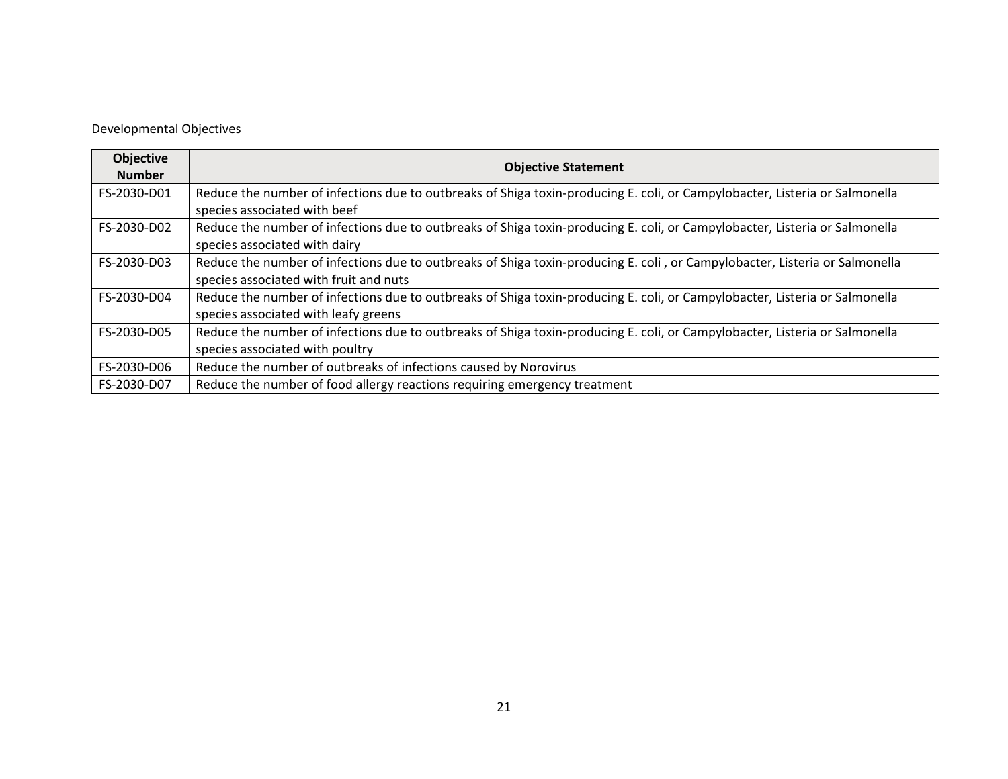| <b>Objective</b> | <b>Objective Statement</b>                                                                                                  |  |
|------------------|-----------------------------------------------------------------------------------------------------------------------------|--|
| <b>Number</b>    |                                                                                                                             |  |
| FS-2030-D01      | Reduce the number of infections due to outbreaks of Shiga toxin-producing E. coli, or Campylobacter, Listeria or Salmonella |  |
|                  | species associated with beef                                                                                                |  |
| FS-2030-D02      | Reduce the number of infections due to outbreaks of Shiga toxin-producing E. coli, or Campylobacter, Listeria or Salmonella |  |
|                  | species associated with dairy                                                                                               |  |
| FS-2030-D03      | Reduce the number of infections due to outbreaks of Shiga toxin-producing E. coli, or Campylobacter, Listeria or Salmonella |  |
|                  | species associated with fruit and nuts                                                                                      |  |
| FS-2030-D04      | Reduce the number of infections due to outbreaks of Shiga toxin-producing E. coli, or Campylobacter, Listeria or Salmonella |  |
|                  | species associated with leafy greens                                                                                        |  |
| FS-2030-D05      | Reduce the number of infections due to outbreaks of Shiga toxin-producing E. coli, or Campylobacter, Listeria or Salmonella |  |
|                  | species associated with poultry                                                                                             |  |
| FS-2030-D06      | Reduce the number of outbreaks of infections caused by Norovirus                                                            |  |
| FS-2030-D07      | Reduce the number of food allergy reactions requiring emergency treatment                                                   |  |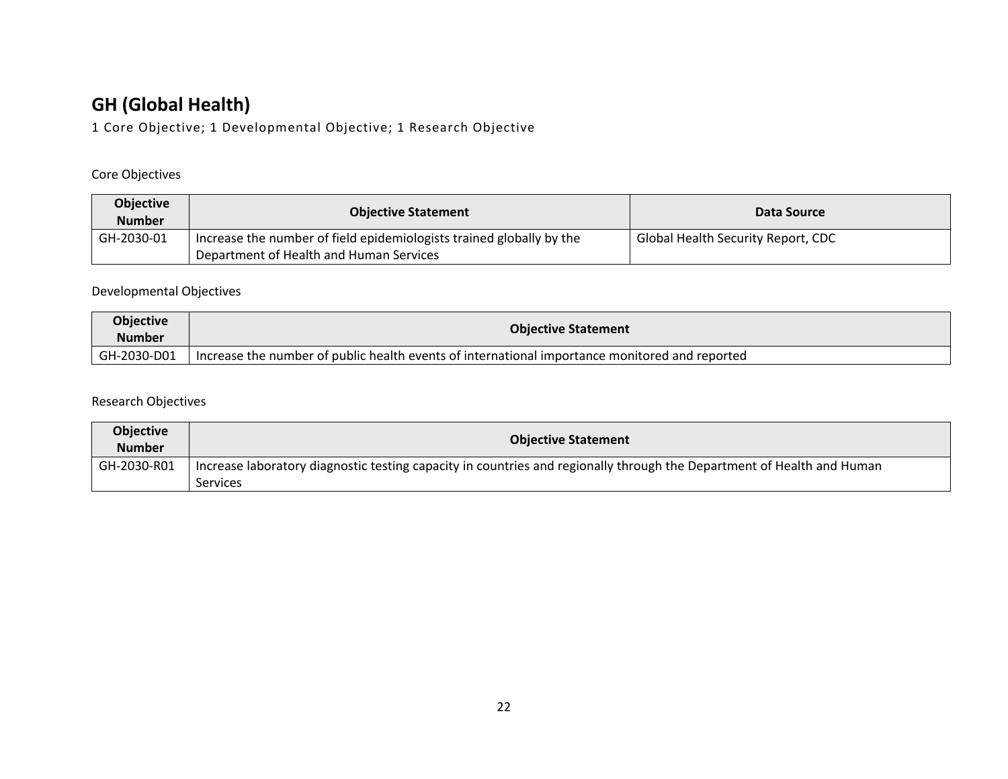# <span id="page-21-0"></span>**GH (Global Health)**

1 Core Objective; 1 Developmental Objective; 1 Research Objective

### Core Objectives

| <b>Objective</b><br><b>Number</b> | <b>Objective Statement</b>                                                                                      | Data Source                               |
|-----------------------------------|-----------------------------------------------------------------------------------------------------------------|-------------------------------------------|
| GH-2030-01                        | Increase the number of field epidemiologists trained globally by the<br>Department of Health and Human Services | <b>Global Health Security Report, CDC</b> |

### Developmental Objectives

| <b>Objective</b><br><b>Number</b> | <b>Objective Statement</b>                                                                     |  |
|-----------------------------------|------------------------------------------------------------------------------------------------|--|
| GH-2030-D01                       | Increase the number of public health events of international importance monitored and reported |  |

### Research Objectives

| <b>Objective</b><br><b>Number</b> | <b>Objective Statement</b>                                                                                                                |
|-----------------------------------|-------------------------------------------------------------------------------------------------------------------------------------------|
| GH-2030-R01                       | Increase laboratory diagnostic testing capacity in countries and regionally through the Department of Health and Human<br><b>Services</b> |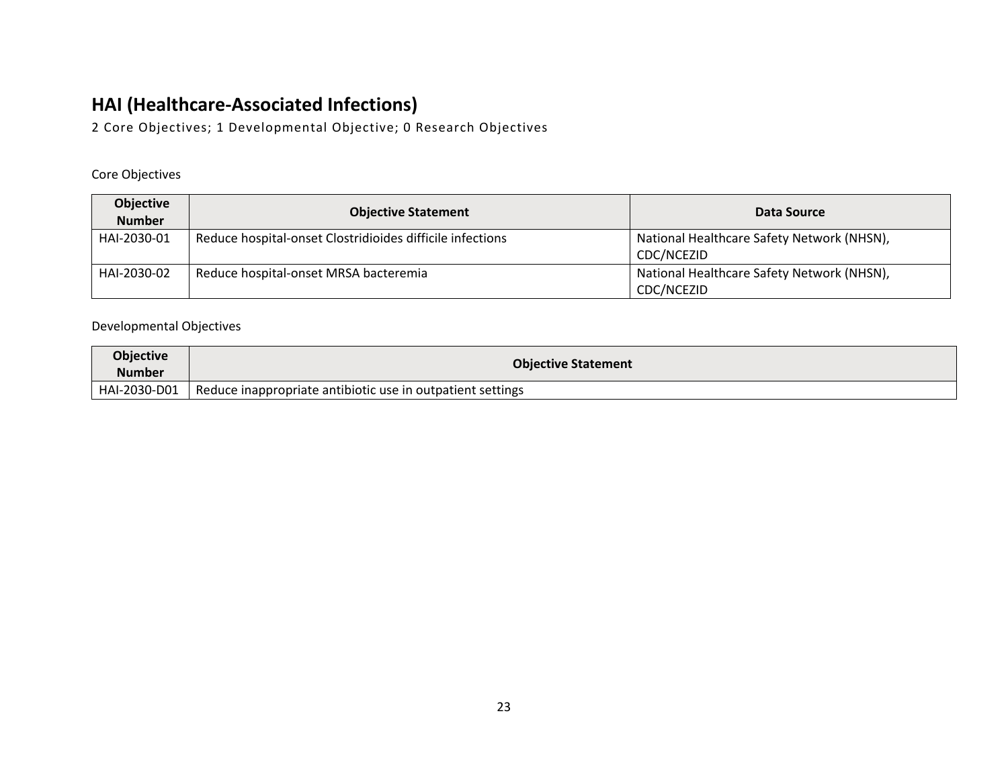## <span id="page-22-0"></span>**HAI (Healthcare-Associated Infections)**

2 Core Objectives; 1 Developmental Objective; 0 Research Objectives

### Core Objectives

| <b>Objective</b><br><b>Number</b> | <b>Objective Statement</b>                                | Data Source                                              |
|-----------------------------------|-----------------------------------------------------------|----------------------------------------------------------|
| HAI-2030-01                       | Reduce hospital-onset Clostridioides difficile infections | National Healthcare Safety Network (NHSN),<br>CDC/NCEZID |
| HAI-2030-02                       | Reduce hospital-onset MRSA bacteremia                     | National Healthcare Safety Network (NHSN),<br>CDC/NCEZID |

| Objective<br>Number | <b>Objective Statement</b>                                 |
|---------------------|------------------------------------------------------------|
| HAI-2030-D01        | Reduce inappropriate antibiotic use in outpatient settings |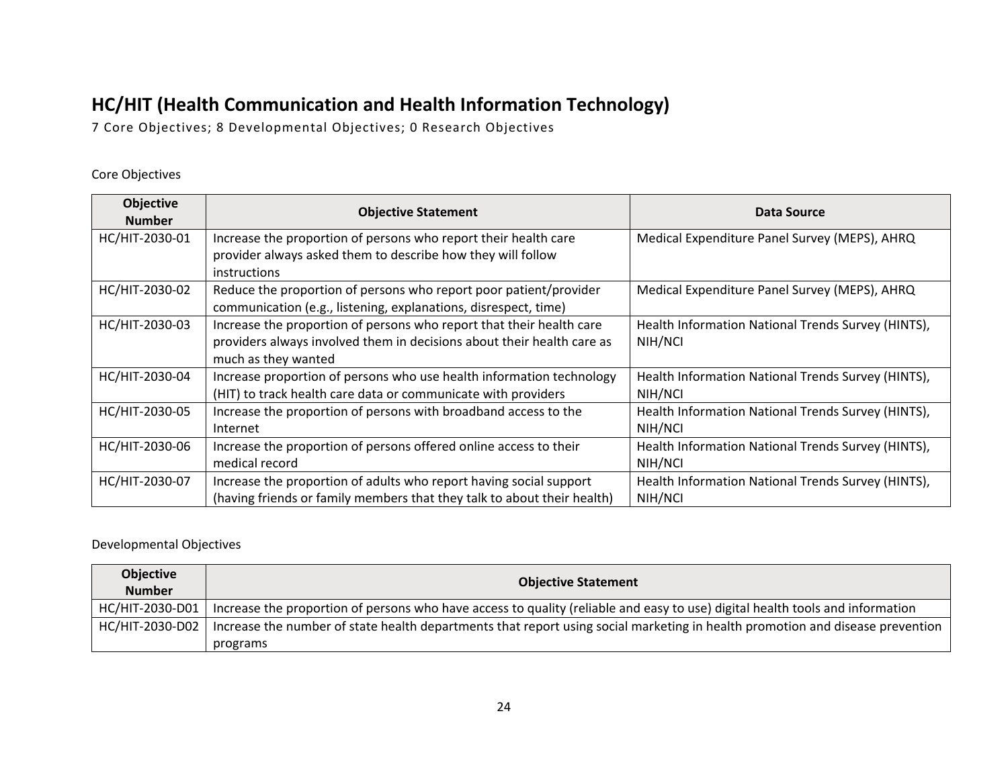## <span id="page-23-0"></span>**HC/HIT (Health Communication and Health Information Technology)**

7 Core Objectives; 8 Developmental Objectives; 0 Research Objectives

#### Core Objectives

| <b>Objective</b><br><b>Number</b> | <b>Objective Statement</b>                                              | Data Source                                        |
|-----------------------------------|-------------------------------------------------------------------------|----------------------------------------------------|
| HC/HIT-2030-01                    | Increase the proportion of persons who report their health care         | Medical Expenditure Panel Survey (MEPS), AHRQ      |
|                                   | provider always asked them to describe how they will follow             |                                                    |
|                                   | <i>instructions</i>                                                     |                                                    |
| HC/HIT-2030-02                    | Reduce the proportion of persons who report poor patient/provider       | Medical Expenditure Panel Survey (MEPS), AHRQ      |
|                                   | communication (e.g., listening, explanations, disrespect, time)         |                                                    |
| HC/HIT-2030-03                    | Increase the proportion of persons who report that their health care    | Health Information National Trends Survey (HINTS), |
|                                   | providers always involved them in decisions about their health care as  | NIH/NCI                                            |
|                                   | much as they wanted                                                     |                                                    |
| HC/HIT-2030-04                    | Increase proportion of persons who use health information technology    | Health Information National Trends Survey (HINTS), |
|                                   | (HIT) to track health care data or communicate with providers           | NIH/NCI                                            |
| HC/HIT-2030-05                    | Increase the proportion of persons with broadband access to the         | Health Information National Trends Survey (HINTS), |
|                                   | Internet                                                                | NIH/NCI                                            |
| HC/HIT-2030-06                    | Increase the proportion of persons offered online access to their       | Health Information National Trends Survey (HINTS), |
|                                   | medical record                                                          | NIH/NCI                                            |
| HC/HIT-2030-07                    | Increase the proportion of adults who report having social support      | Health Information National Trends Survey (HINTS), |
|                                   | (having friends or family members that they talk to about their health) | NIH/NCI                                            |

| <b>Objective</b> | <b>Objective Statement</b>                                                                                                                      |  |
|------------------|-------------------------------------------------------------------------------------------------------------------------------------------------|--|
| <b>Number</b>    |                                                                                                                                                 |  |
|                  | HC/HIT-2030-D01   Increase the proportion of persons who have access to quality (reliable and easy to use) digital health tools and information |  |
|                  | HC/HIT-2030-D02   Increase the number of state health departments that report using social marketing in health promotion and disease prevention |  |
|                  | programs                                                                                                                                        |  |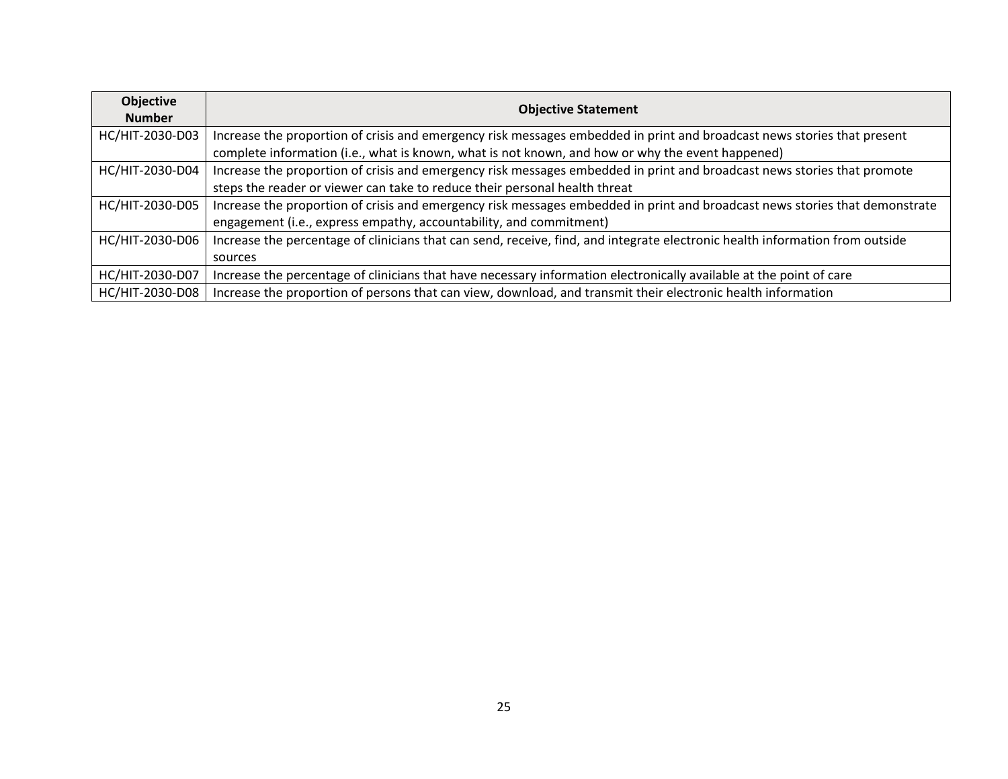| Objective<br><b>Number</b> | <b>Objective Statement</b>                                                                                                   |  |
|----------------------------|------------------------------------------------------------------------------------------------------------------------------|--|
| HC/HIT-2030-D03            | Increase the proportion of crisis and emergency risk messages embedded in print and broadcast news stories that present      |  |
|                            | complete information (i.e., what is known, what is not known, and how or why the event happened)                             |  |
| HC/HIT-2030-D04            | Increase the proportion of crisis and emergency risk messages embedded in print and broadcast news stories that promote      |  |
|                            | steps the reader or viewer can take to reduce their personal health threat                                                   |  |
| HC/HIT-2030-D05            | Increase the proportion of crisis and emergency risk messages embedded in print and broadcast news stories that demonstrate  |  |
|                            | engagement (i.e., express empathy, accountability, and commitment)                                                           |  |
| HC/HIT-2030-D06            | Increase the percentage of clinicians that can send, receive, find, and integrate electronic health information from outside |  |
|                            | sources                                                                                                                      |  |
| HC/HIT-2030-D07            | Increase the percentage of clinicians that have necessary information electronically available at the point of care          |  |
| HC/HIT-2030-D08            | Increase the proportion of persons that can view, download, and transmit their electronic health information                 |  |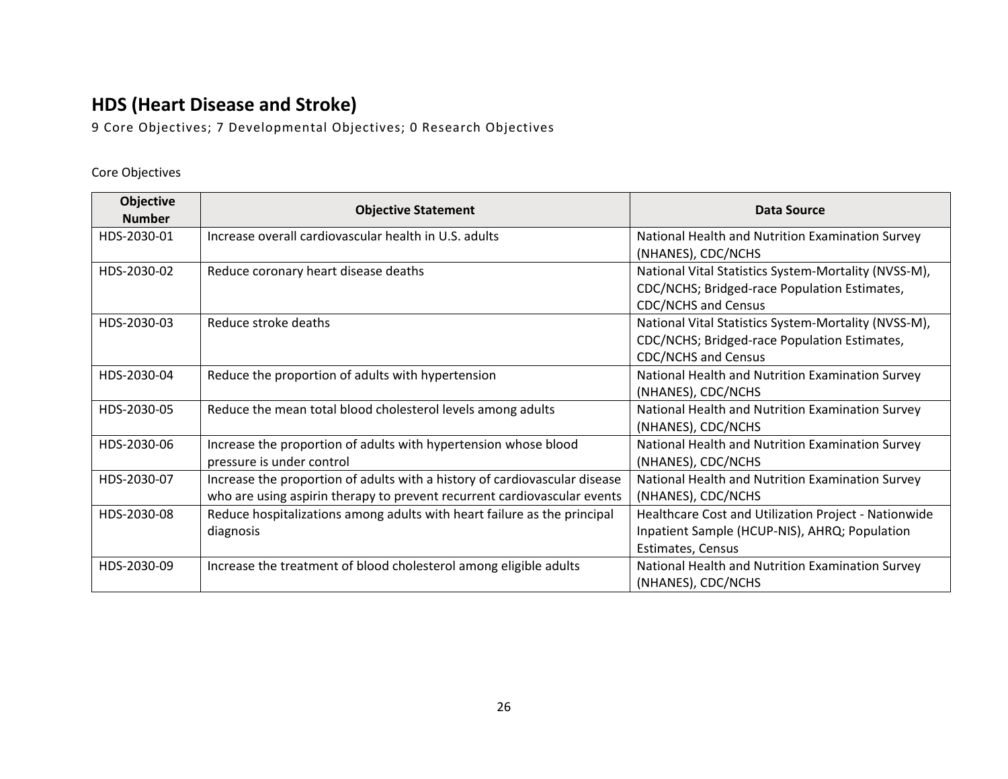# <span id="page-25-0"></span>**HDS (Heart Disease and Stroke)**

9 Core Objectives; 7 Developmental Objectives; 0 Research Objectives

| Objective<br><b>Number</b> | <b>Objective Statement</b>                                                 | Data Source                                          |
|----------------------------|----------------------------------------------------------------------------|------------------------------------------------------|
| HDS-2030-01                | Increase overall cardiovascular health in U.S. adults                      | National Health and Nutrition Examination Survey     |
|                            |                                                                            | (NHANES), CDC/NCHS                                   |
| HDS-2030-02                | Reduce coronary heart disease deaths                                       | National Vital Statistics System-Mortality (NVSS-M), |
|                            |                                                                            | CDC/NCHS; Bridged-race Population Estimates,         |
|                            |                                                                            | <b>CDC/NCHS and Census</b>                           |
| HDS-2030-03                | Reduce stroke deaths                                                       | National Vital Statistics System-Mortality (NVSS-M), |
|                            |                                                                            | CDC/NCHS; Bridged-race Population Estimates,         |
|                            |                                                                            | <b>CDC/NCHS and Census</b>                           |
| HDS-2030-04                | Reduce the proportion of adults with hypertension                          | National Health and Nutrition Examination Survey     |
|                            |                                                                            | (NHANES), CDC/NCHS                                   |
| HDS-2030-05                | Reduce the mean total blood cholesterol levels among adults                | National Health and Nutrition Examination Survey     |
|                            |                                                                            | (NHANES), CDC/NCHS                                   |
| HDS-2030-06                | Increase the proportion of adults with hypertension whose blood            | National Health and Nutrition Examination Survey     |
|                            | pressure is under control                                                  | (NHANES), CDC/NCHS                                   |
| HDS-2030-07                | Increase the proportion of adults with a history of cardiovascular disease | National Health and Nutrition Examination Survey     |
|                            | who are using aspirin therapy to prevent recurrent cardiovascular events   | (NHANES), CDC/NCHS                                   |
| HDS-2030-08                | Reduce hospitalizations among adults with heart failure as the principal   | Healthcare Cost and Utilization Project - Nationwide |
|                            | diagnosis                                                                  | Inpatient Sample (HCUP-NIS), AHRQ; Population        |
|                            |                                                                            | Estimates, Census                                    |
| HDS-2030-09                | Increase the treatment of blood cholesterol among eligible adults          | National Health and Nutrition Examination Survey     |
|                            |                                                                            | (NHANES), CDC/NCHS                                   |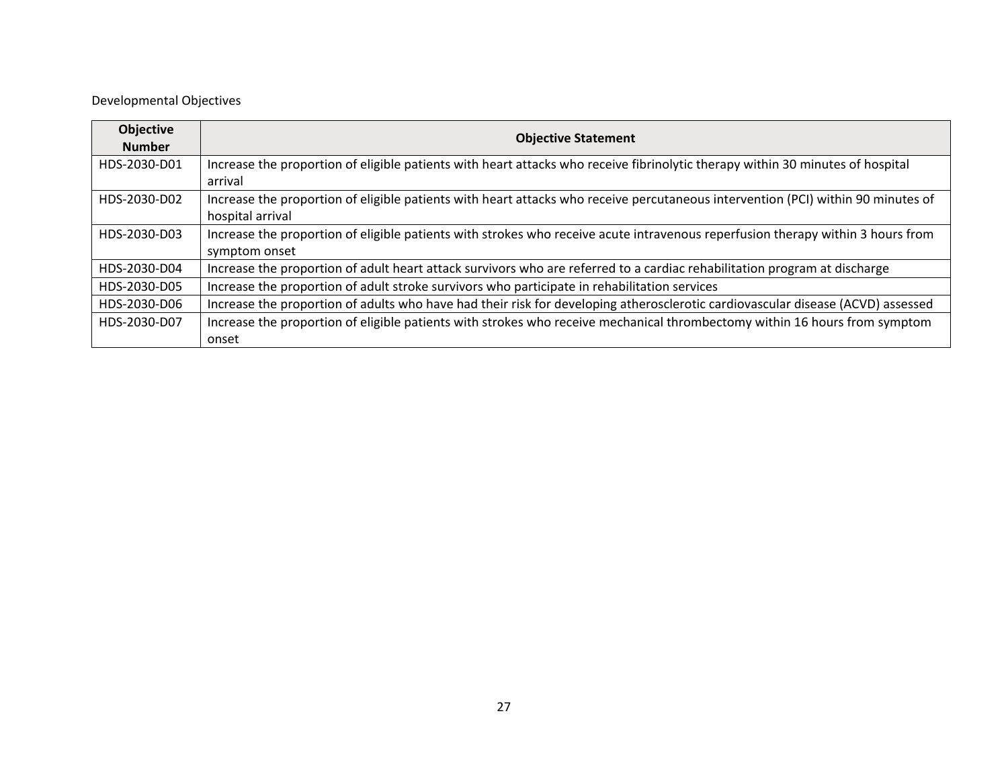| <b>Objective</b><br><b>Number</b> | <b>Objective Statement</b>                                                                                                                           |
|-----------------------------------|------------------------------------------------------------------------------------------------------------------------------------------------------|
| HDS-2030-D01                      | Increase the proportion of eligible patients with heart attacks who receive fibrinolytic therapy within 30 minutes of hospital<br>arrival            |
| HDS-2030-D02                      | Increase the proportion of eligible patients with heart attacks who receive percutaneous intervention (PCI) within 90 minutes of<br>hospital arrival |
| HDS-2030-D03                      | Increase the proportion of eligible patients with strokes who receive acute intravenous reperfusion therapy within 3 hours from<br>symptom onset     |
| HDS-2030-D04                      | Increase the proportion of adult heart attack survivors who are referred to a cardiac rehabilitation program at discharge                            |
| HDS-2030-D05                      | Increase the proportion of adult stroke survivors who participate in rehabilitation services                                                         |
| HDS-2030-D06                      | Increase the proportion of adults who have had their risk for developing atherosclerotic cardiovascular disease (ACVD) assessed                      |
| HDS-2030-D07                      | Increase the proportion of eligible patients with strokes who receive mechanical thrombectomy within 16 hours from symptom<br>onset                  |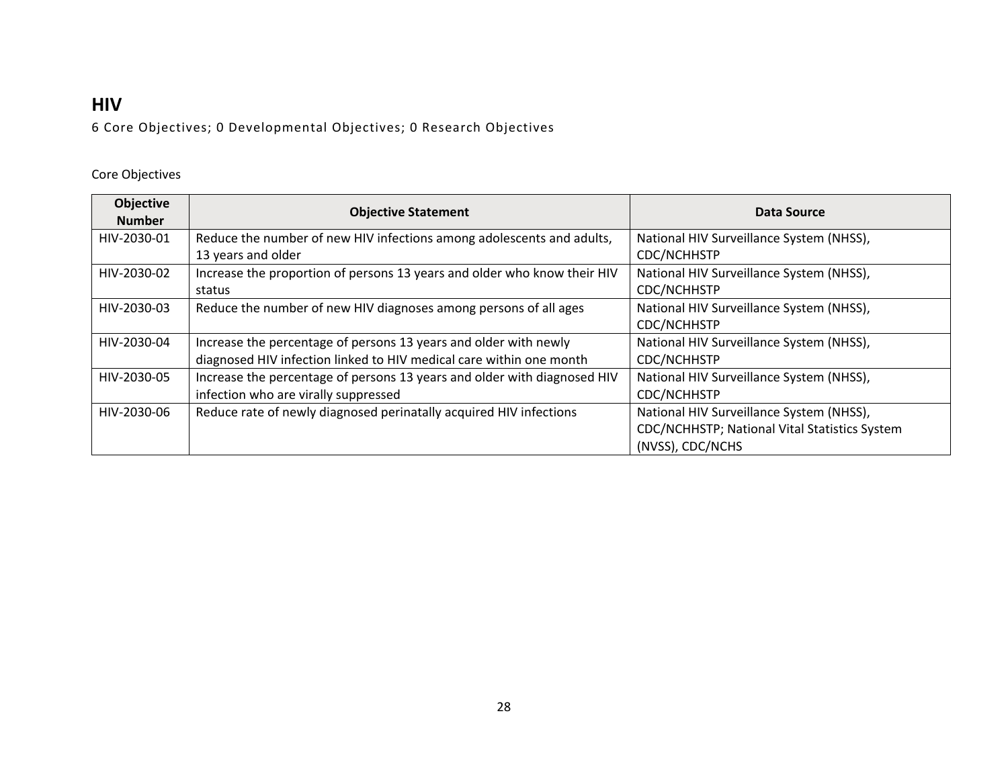## <span id="page-27-0"></span>**HIV**

6 Core Objectives; 0 Developmental Objectives; 0 Research Objectives

| <b>Objective</b><br><b>Number</b> | <b>Objective Statement</b>                                                                                                              | Data Source                                                                                                   |
|-----------------------------------|-----------------------------------------------------------------------------------------------------------------------------------------|---------------------------------------------------------------------------------------------------------------|
| HIV-2030-01                       | Reduce the number of new HIV infections among adolescents and adults,<br>13 years and older                                             | National HIV Surveillance System (NHSS),<br>CDC/NCHHSTP                                                       |
| HIV-2030-02                       | Increase the proportion of persons 13 years and older who know their HIV<br>status                                                      | National HIV Surveillance System (NHSS),<br>CDC/NCHHSTP                                                       |
| HIV-2030-03                       | Reduce the number of new HIV diagnoses among persons of all ages                                                                        | National HIV Surveillance System (NHSS),<br>CDC/NCHHSTP                                                       |
| HIV-2030-04                       | Increase the percentage of persons 13 years and older with newly<br>diagnosed HIV infection linked to HIV medical care within one month | National HIV Surveillance System (NHSS),<br><b>CDC/NCHHSTP</b>                                                |
| HIV-2030-05                       | Increase the percentage of persons 13 years and older with diagnosed HIV<br>infection who are virally suppressed                        | National HIV Surveillance System (NHSS),<br>CDC/NCHHSTP                                                       |
| HIV-2030-06                       | Reduce rate of newly diagnosed perinatally acquired HIV infections                                                                      | National HIV Surveillance System (NHSS),<br>CDC/NCHHSTP; National Vital Statistics System<br>(NVSS), CDC/NCHS |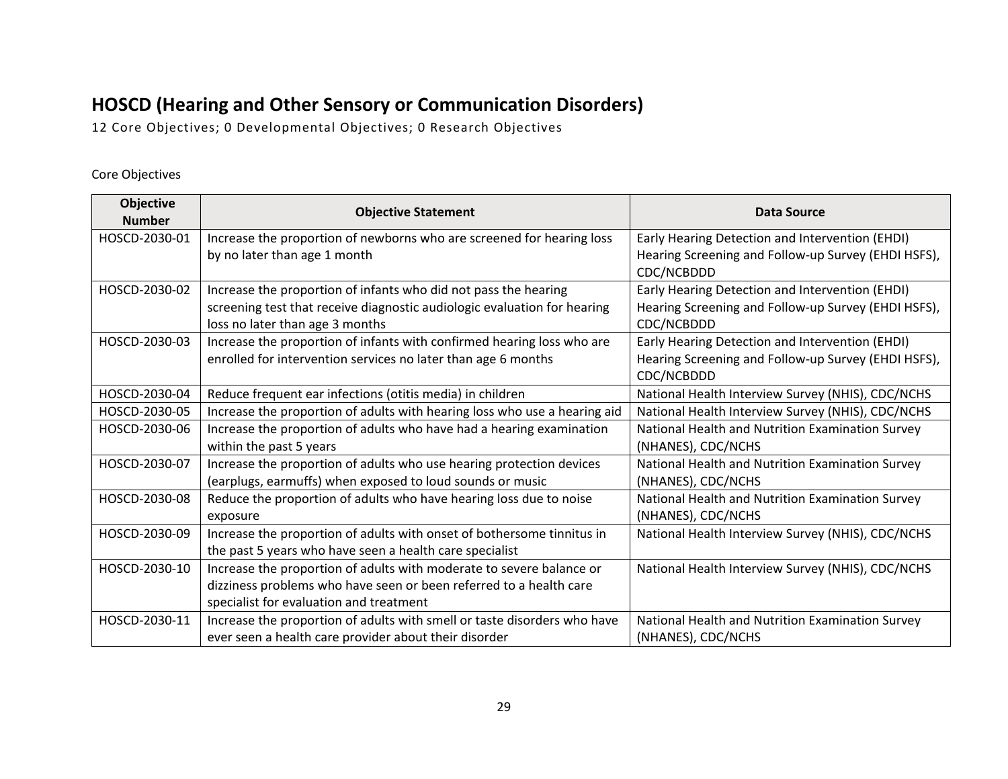## <span id="page-28-0"></span>**HOSCD (Hearing and Other Sensory or Communication Disorders)**

12 Core Objectives; 0 Developmental Objectives; 0 Research Objectives

| <b>Objective</b><br><b>Number</b> | <b>Objective Statement</b>                                                | <b>Data Source</b>                                  |
|-----------------------------------|---------------------------------------------------------------------------|-----------------------------------------------------|
| HOSCD-2030-01                     | Increase the proportion of newborns who are screened for hearing loss     | Early Hearing Detection and Intervention (EHDI)     |
|                                   | by no later than age 1 month                                              | Hearing Screening and Follow-up Survey (EHDI HSFS), |
|                                   |                                                                           | CDC/NCBDDD                                          |
| HOSCD-2030-02                     | Increase the proportion of infants who did not pass the hearing           | Early Hearing Detection and Intervention (EHDI)     |
|                                   | screening test that receive diagnostic audiologic evaluation for hearing  | Hearing Screening and Follow-up Survey (EHDI HSFS), |
|                                   | loss no later than age 3 months                                           | CDC/NCBDDD                                          |
| HOSCD-2030-03                     | Increase the proportion of infants with confirmed hearing loss who are    | Early Hearing Detection and Intervention (EHDI)     |
|                                   | enrolled for intervention services no later than age 6 months             | Hearing Screening and Follow-up Survey (EHDI HSFS), |
|                                   |                                                                           | CDC/NCBDDD                                          |
| HOSCD-2030-04                     | Reduce frequent ear infections (otitis media) in children                 | National Health Interview Survey (NHIS), CDC/NCHS   |
| HOSCD-2030-05                     | Increase the proportion of adults with hearing loss who use a hearing aid | National Health Interview Survey (NHIS), CDC/NCHS   |
| HOSCD-2030-06                     | Increase the proportion of adults who have had a hearing examination      | National Health and Nutrition Examination Survey    |
|                                   | within the past 5 years                                                   | (NHANES), CDC/NCHS                                  |
| HOSCD-2030-07                     | Increase the proportion of adults who use hearing protection devices      | National Health and Nutrition Examination Survey    |
|                                   | (earplugs, earmuffs) when exposed to loud sounds or music                 | (NHANES), CDC/NCHS                                  |
| HOSCD-2030-08                     | Reduce the proportion of adults who have hearing loss due to noise        | National Health and Nutrition Examination Survey    |
|                                   | exposure                                                                  | (NHANES), CDC/NCHS                                  |
| HOSCD-2030-09                     | Increase the proportion of adults with onset of bothersome tinnitus in    | National Health Interview Survey (NHIS), CDC/NCHS   |
|                                   | the past 5 years who have seen a health care specialist                   |                                                     |
| HOSCD-2030-10                     | Increase the proportion of adults with moderate to severe balance or      | National Health Interview Survey (NHIS), CDC/NCHS   |
|                                   | dizziness problems who have seen or been referred to a health care        |                                                     |
|                                   | specialist for evaluation and treatment                                   |                                                     |
| HOSCD-2030-11                     | Increase the proportion of adults with smell or taste disorders who have  | National Health and Nutrition Examination Survey    |
|                                   | ever seen a health care provider about their disorder                     | (NHANES), CDC/NCHS                                  |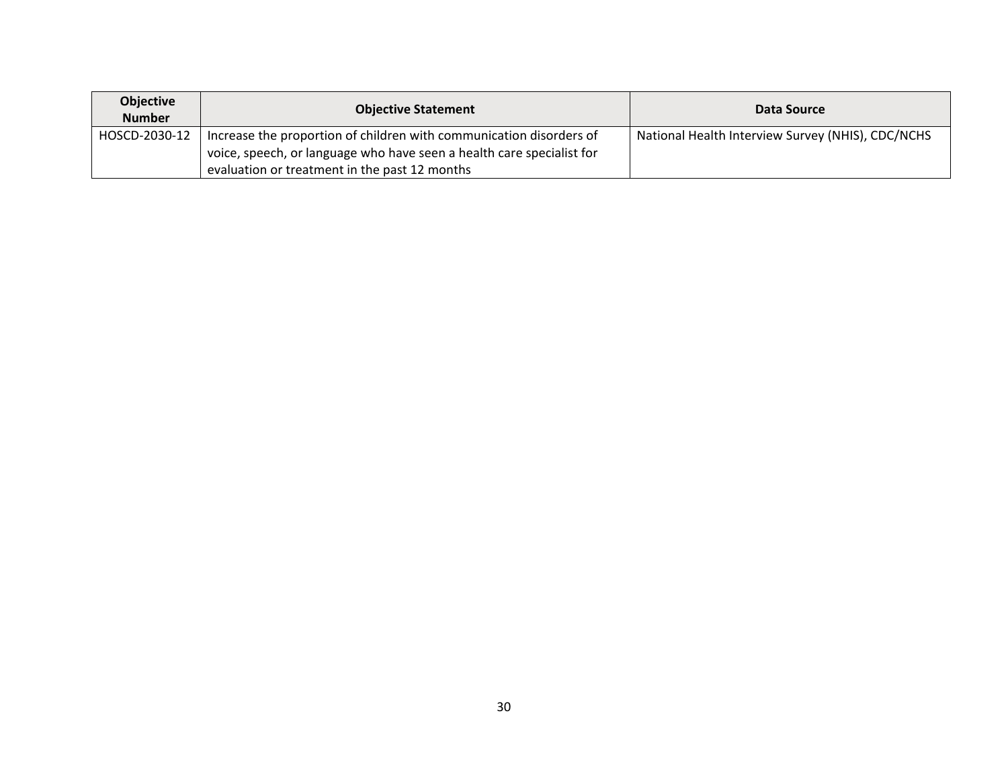| <b>Objective</b><br><b>Number</b> | <b>Objective Statement</b>                                            | Data Source                                       |
|-----------------------------------|-----------------------------------------------------------------------|---------------------------------------------------|
| HOSCD-2030-12                     | Increase the proportion of children with communication disorders of   | National Health Interview Survey (NHIS), CDC/NCHS |
|                                   | voice, speech, or language who have seen a health care specialist for |                                                   |
|                                   | evaluation or treatment in the past 12 months                         |                                                   |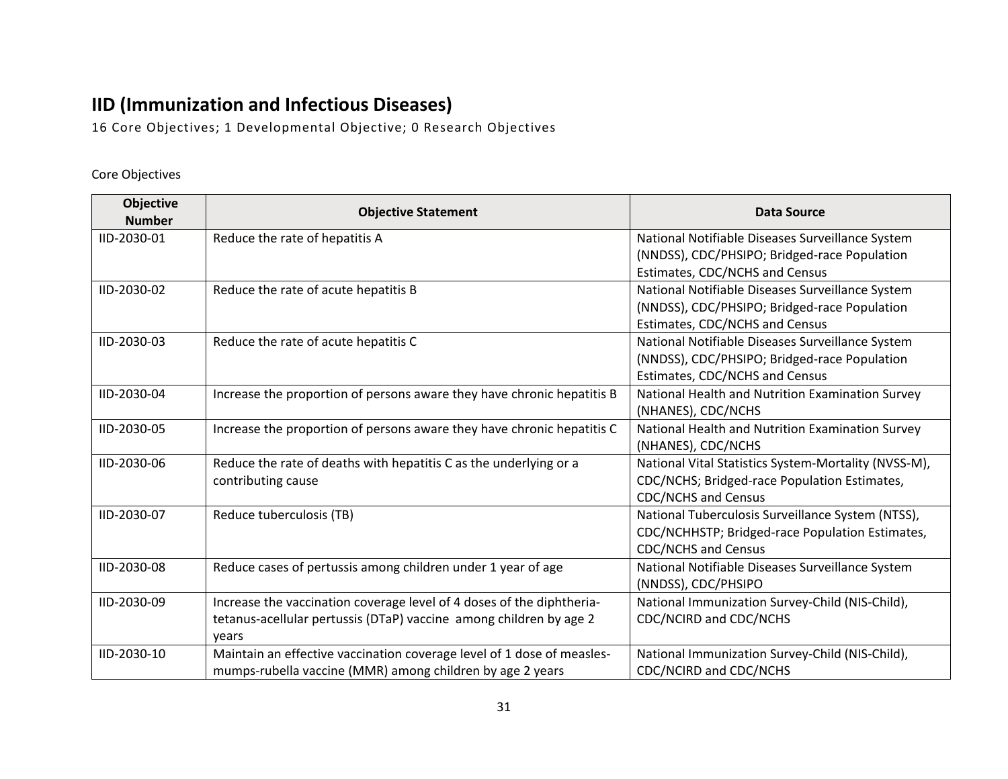# <span id="page-30-0"></span>**IID (Immunization and Infectious Diseases)**

16 Core Objectives; 1 Developmental Objective; 0 Research Objectives

| <b>Objective</b><br><b>Number</b> | <b>Objective Statement</b>                                             | <b>Data Source</b>                                                             |
|-----------------------------------|------------------------------------------------------------------------|--------------------------------------------------------------------------------|
| IID-2030-01                       | Reduce the rate of hepatitis A                                         | National Notifiable Diseases Surveillance System                               |
|                                   |                                                                        | (NNDSS), CDC/PHSIPO; Bridged-race Population<br>Estimates, CDC/NCHS and Census |
| IID-2030-02                       | Reduce the rate of acute hepatitis B                                   | National Notifiable Diseases Surveillance System                               |
|                                   |                                                                        | (NNDSS), CDC/PHSIPO; Bridged-race Population                                   |
|                                   |                                                                        | Estimates, CDC/NCHS and Census                                                 |
| IID-2030-03                       | Reduce the rate of acute hepatitis C                                   | National Notifiable Diseases Surveillance System                               |
|                                   |                                                                        | (NNDSS), CDC/PHSIPO; Bridged-race Population                                   |
|                                   |                                                                        | Estimates, CDC/NCHS and Census                                                 |
| IID-2030-04                       | Increase the proportion of persons aware they have chronic hepatitis B | National Health and Nutrition Examination Survey                               |
|                                   |                                                                        | (NHANES), CDC/NCHS                                                             |
| IID-2030-05                       | Increase the proportion of persons aware they have chronic hepatitis C | National Health and Nutrition Examination Survey                               |
|                                   |                                                                        | (NHANES), CDC/NCHS                                                             |
| IID-2030-06                       | Reduce the rate of deaths with hepatitis C as the underlying or a      | National Vital Statistics System-Mortality (NVSS-M),                           |
|                                   | contributing cause                                                     | CDC/NCHS; Bridged-race Population Estimates,                                   |
|                                   |                                                                        | <b>CDC/NCHS and Census</b>                                                     |
| IID-2030-07                       | Reduce tuberculosis (TB)                                               | National Tuberculosis Surveillance System (NTSS),                              |
|                                   |                                                                        | CDC/NCHHSTP; Bridged-race Population Estimates,                                |
|                                   |                                                                        | <b>CDC/NCHS and Census</b>                                                     |
| IID-2030-08                       | Reduce cases of pertussis among children under 1 year of age           | National Notifiable Diseases Surveillance System                               |
|                                   |                                                                        | (NNDSS), CDC/PHSIPO                                                            |
| IID-2030-09                       | Increase the vaccination coverage level of 4 doses of the diphtheria-  | National Immunization Survey-Child (NIS-Child),                                |
|                                   | tetanus-acellular pertussis (DTaP) vaccine among children by age 2     | CDC/NCIRD and CDC/NCHS                                                         |
|                                   | years                                                                  |                                                                                |
| IID-2030-10                       | Maintain an effective vaccination coverage level of 1 dose of measles- | National Immunization Survey-Child (NIS-Child),                                |
|                                   | mumps-rubella vaccine (MMR) among children by age 2 years              | CDC/NCIRD and CDC/NCHS                                                         |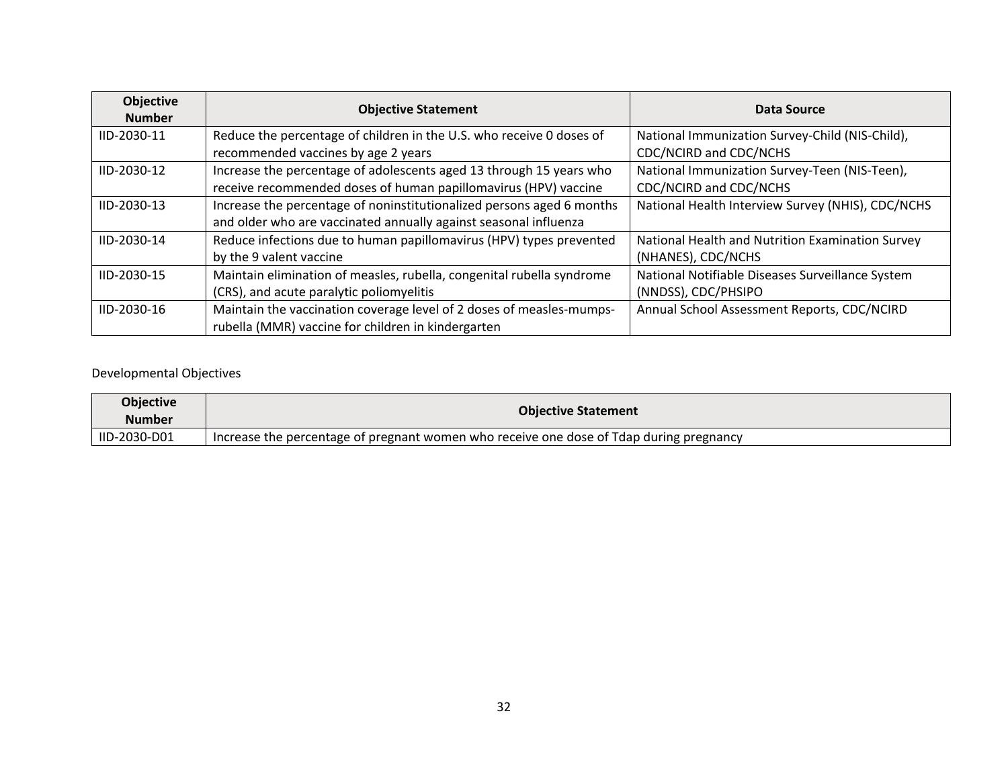| <b>Objective</b><br><b>Number</b> | <b>Objective Statement</b>                                            | Data Source                                       |
|-----------------------------------|-----------------------------------------------------------------------|---------------------------------------------------|
| IID-2030-11                       | Reduce the percentage of children in the U.S. who receive 0 doses of  | National Immunization Survey-Child (NIS-Child),   |
|                                   | recommended vaccines by age 2 years                                   | CDC/NCIRD and CDC/NCHS                            |
| IID-2030-12                       | Increase the percentage of adolescents aged 13 through 15 years who   | National Immunization Survey-Teen (NIS-Teen),     |
|                                   | receive recommended doses of human papillomavirus (HPV) vaccine       | CDC/NCIRD and CDC/NCHS                            |
| IID-2030-13                       | Increase the percentage of noninstitutionalized persons aged 6 months | National Health Interview Survey (NHIS), CDC/NCHS |
|                                   | and older who are vaccinated annually against seasonal influenza      |                                                   |
| IID-2030-14                       | Reduce infections due to human papillomavirus (HPV) types prevented   | National Health and Nutrition Examination Survey  |
|                                   | by the 9 valent vaccine                                               | (NHANES), CDC/NCHS                                |
| IID-2030-15                       | Maintain elimination of measles, rubella, congenital rubella syndrome | National Notifiable Diseases Surveillance System  |
|                                   | (CRS), and acute paralytic poliomyelitis                              | (NNDSS), CDC/PHSIPO                               |
| IID-2030-16                       | Maintain the vaccination coverage level of 2 doses of measles-mumps-  | Annual School Assessment Reports, CDC/NCIRD       |
|                                   | rubella (MMR) vaccine for children in kindergarten                    |                                                   |

| Objective<br><b>Number</b> | <b>Objective Statement</b>                                                              |
|----------------------------|-----------------------------------------------------------------------------------------|
| IID-2030-D01               | Increase the percentage of pregnant women who receive one dose of Tdap during pregnancy |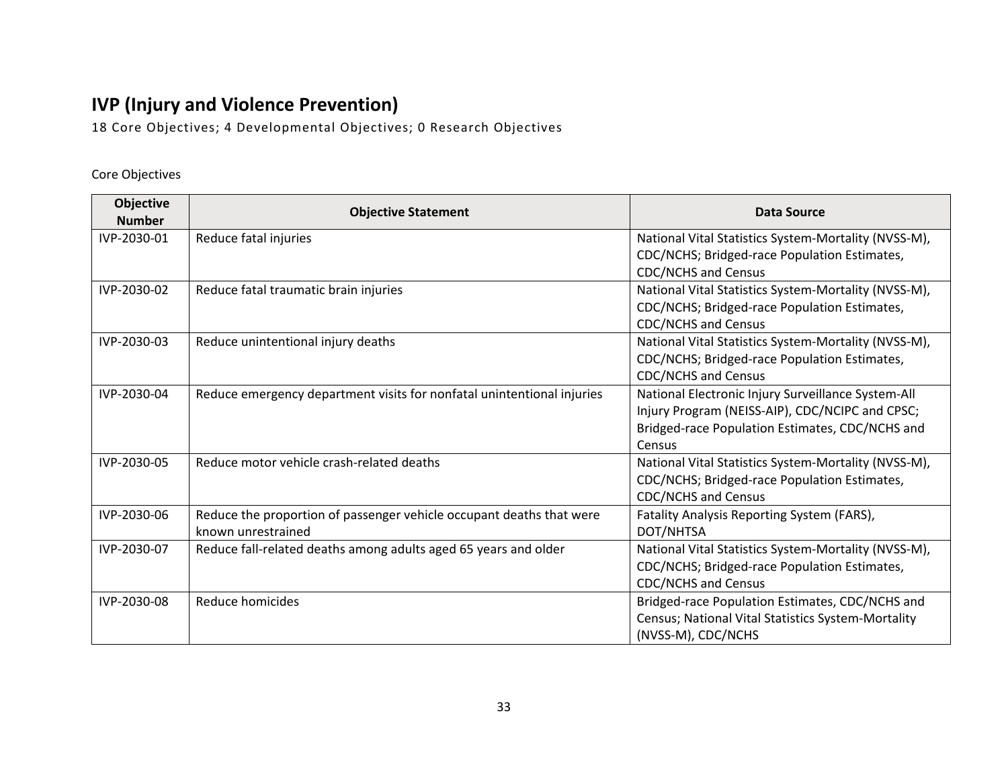# <span id="page-32-0"></span>**IVP (Injury and Violence Prevention)**

18 Core Objectives; 4 Developmental Objectives; 0 Research Objectives

| <b>Objective</b><br><b>Number</b> | <b>Objective Statement</b>                                             | Data Source                                          |
|-----------------------------------|------------------------------------------------------------------------|------------------------------------------------------|
| IVP-2030-01                       | Reduce fatal injuries                                                  | National Vital Statistics System-Mortality (NVSS-M), |
|                                   |                                                                        | CDC/NCHS; Bridged-race Population Estimates,         |
|                                   |                                                                        | <b>CDC/NCHS and Census</b>                           |
| IVP-2030-02                       | Reduce fatal traumatic brain injuries                                  | National Vital Statistics System-Mortality (NVSS-M), |
|                                   |                                                                        | CDC/NCHS; Bridged-race Population Estimates,         |
|                                   |                                                                        | <b>CDC/NCHS and Census</b>                           |
| IVP-2030-03                       | Reduce unintentional injury deaths                                     | National Vital Statistics System-Mortality (NVSS-M), |
|                                   |                                                                        | CDC/NCHS; Bridged-race Population Estimates,         |
|                                   |                                                                        | <b>CDC/NCHS and Census</b>                           |
| IVP-2030-04                       | Reduce emergency department visits for nonfatal unintentional injuries | National Electronic Injury Surveillance System-All   |
|                                   |                                                                        | Injury Program (NEISS-AIP), CDC/NCIPC and CPSC;      |
|                                   |                                                                        | Bridged-race Population Estimates, CDC/NCHS and      |
|                                   |                                                                        | Census                                               |
| IVP-2030-05                       | Reduce motor vehicle crash-related deaths                              | National Vital Statistics System-Mortality (NVSS-M), |
|                                   |                                                                        | CDC/NCHS; Bridged-race Population Estimates,         |
|                                   |                                                                        | <b>CDC/NCHS and Census</b>                           |
| IVP-2030-06                       | Reduce the proportion of passenger vehicle occupant deaths that were   | Fatality Analysis Reporting System (FARS),           |
|                                   | known unrestrained                                                     | DOT/NHTSA                                            |
| IVP-2030-07                       | Reduce fall-related deaths among adults aged 65 years and older        | National Vital Statistics System-Mortality (NVSS-M), |
|                                   |                                                                        | CDC/NCHS; Bridged-race Population Estimates,         |
|                                   |                                                                        | <b>CDC/NCHS and Census</b>                           |
| IVP-2030-08                       | Reduce homicides                                                       | Bridged-race Population Estimates, CDC/NCHS and      |
|                                   |                                                                        | Census; National Vital Statistics System-Mortality   |
|                                   |                                                                        | (NVSS-M), CDC/NCHS                                   |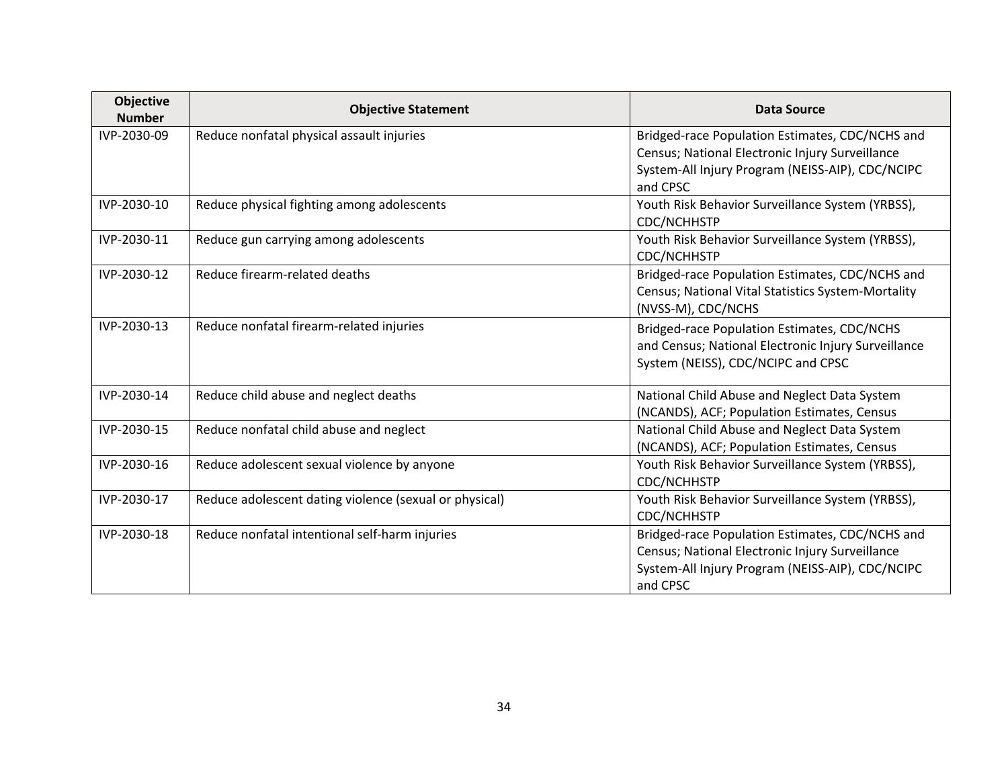| <b>Objective</b><br><b>Number</b> | <b>Objective Statement</b>                             | Data Source                                                                                                                                                        |
|-----------------------------------|--------------------------------------------------------|--------------------------------------------------------------------------------------------------------------------------------------------------------------------|
| IVP-2030-09                       | Reduce nonfatal physical assault injuries              | Bridged-race Population Estimates, CDC/NCHS and<br>Census; National Electronic Injury Surveillance<br>System-All Injury Program (NEISS-AIP), CDC/NCIPC<br>and CPSC |
| IVP-2030-10                       | Reduce physical fighting among adolescents             | Youth Risk Behavior Surveillance System (YRBSS),<br>CDC/NCHHSTP                                                                                                    |
| IVP-2030-11                       | Reduce gun carrying among adolescents                  | Youth Risk Behavior Surveillance System (YRBSS),<br>CDC/NCHHSTP                                                                                                    |
| IVP-2030-12                       | Reduce firearm-related deaths                          | Bridged-race Population Estimates, CDC/NCHS and<br>Census; National Vital Statistics System-Mortality<br>(NVSS-M), CDC/NCHS                                        |
| IVP-2030-13                       | Reduce nonfatal firearm-related injuries               | Bridged-race Population Estimates, CDC/NCHS<br>and Census; National Electronic Injury Surveillance<br>System (NEISS), CDC/NCIPC and CPSC                           |
| IVP-2030-14                       | Reduce child abuse and neglect deaths                  | National Child Abuse and Neglect Data System<br>(NCANDS), ACF; Population Estimates, Census                                                                        |
| IVP-2030-15                       | Reduce nonfatal child abuse and neglect                | National Child Abuse and Neglect Data System<br>(NCANDS), ACF; Population Estimates, Census                                                                        |
| IVP-2030-16                       | Reduce adolescent sexual violence by anyone            | Youth Risk Behavior Surveillance System (YRBSS),<br><b>CDC/NCHHSTP</b>                                                                                             |
| IVP-2030-17                       | Reduce adolescent dating violence (sexual or physical) | Youth Risk Behavior Surveillance System (YRBSS),<br>CDC/NCHHSTP                                                                                                    |
| IVP-2030-18                       | Reduce nonfatal intentional self-harm injuries         | Bridged-race Population Estimates, CDC/NCHS and<br>Census; National Electronic Injury Surveillance<br>System-All Injury Program (NEISS-AIP), CDC/NCIPC<br>and CPSC |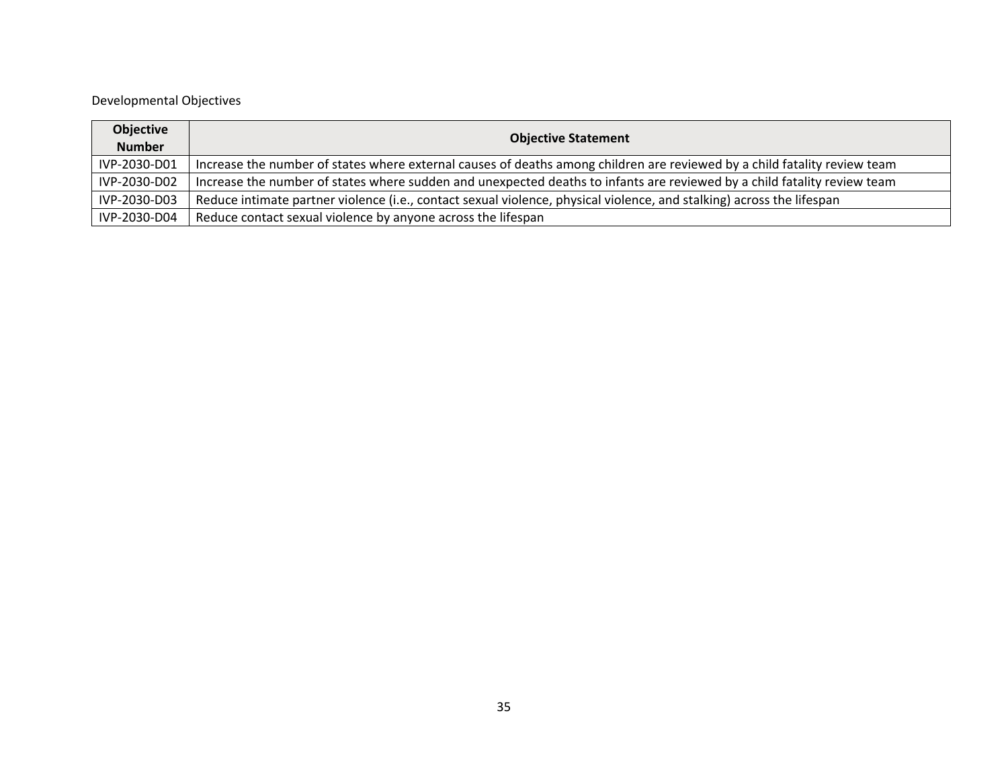| Objective<br><b>Number</b> | <b>Objective Statement</b>                                                                                                |
|----------------------------|---------------------------------------------------------------------------------------------------------------------------|
| IVP-2030-D01               | Increase the number of states where external causes of deaths among children are reviewed by a child fatality review team |
| IVP-2030-D02               | Increase the number of states where sudden and unexpected deaths to infants are reviewed by a child fatality review team  |
| IVP-2030-D03               | Reduce intimate partner violence (i.e., contact sexual violence, physical violence, and stalking) across the lifespan     |
| IVP-2030-D04               | Reduce contact sexual violence by anyone across the lifespan                                                              |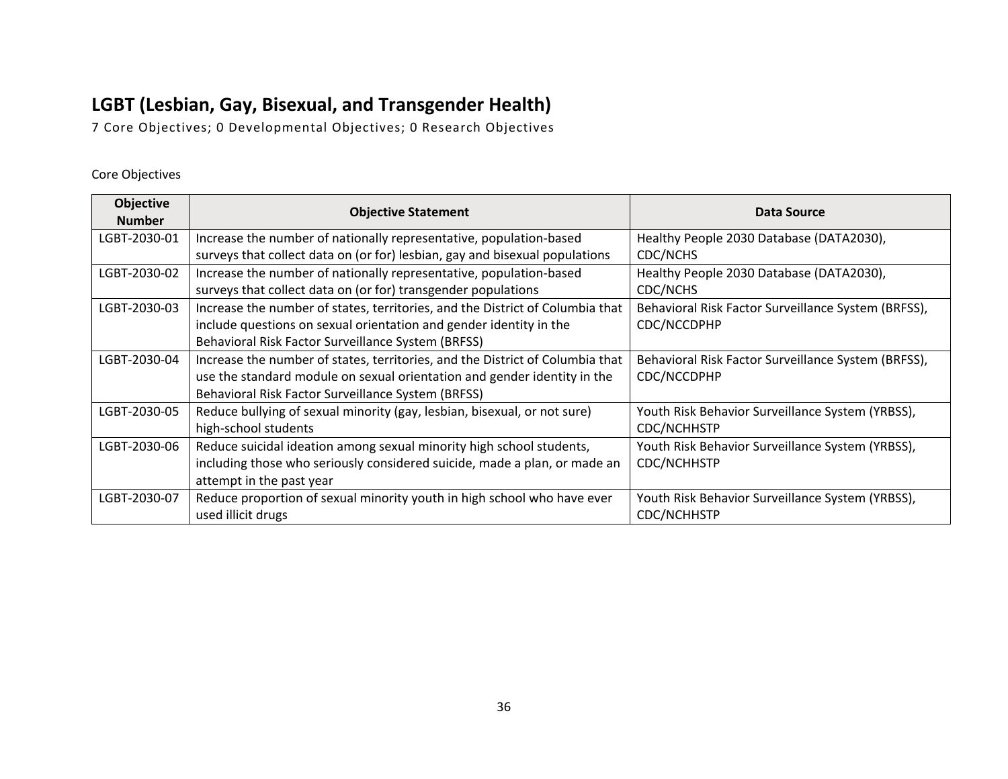# <span id="page-35-0"></span>**LGBT (Lesbian, Gay, Bisexual, and Transgender Health)**

7 Core Objectives; 0 Developmental Objectives; 0 Research Objectives

| Objective<br><b>Number</b> | <b>Objective Statement</b>                                                    | Data Source                                         |
|----------------------------|-------------------------------------------------------------------------------|-----------------------------------------------------|
| LGBT-2030-01               | Increase the number of nationally representative, population-based            | Healthy People 2030 Database (DATA2030),            |
|                            | surveys that collect data on (or for) lesbian, gay and bisexual populations   | <b>CDC/NCHS</b>                                     |
| LGBT-2030-02               | Increase the number of nationally representative, population-based            | Healthy People 2030 Database (DATA2030),            |
|                            | surveys that collect data on (or for) transgender populations                 | <b>CDC/NCHS</b>                                     |
| LGBT-2030-03               | Increase the number of states, territories, and the District of Columbia that | Behavioral Risk Factor Surveillance System (BRFSS), |
|                            | include questions on sexual orientation and gender identity in the            | CDC/NCCDPHP                                         |
|                            | Behavioral Risk Factor Surveillance System (BRFSS)                            |                                                     |
| LGBT-2030-04               | Increase the number of states, territories, and the District of Columbia that | Behavioral Risk Factor Surveillance System (BRFSS), |
|                            | use the standard module on sexual orientation and gender identity in the      | CDC/NCCDPHP                                         |
|                            | Behavioral Risk Factor Surveillance System (BRFSS)                            |                                                     |
| LGBT-2030-05               | Reduce bullying of sexual minority (gay, lesbian, bisexual, or not sure)      | Youth Risk Behavior Surveillance System (YRBSS),    |
|                            | high-school students                                                          | CDC/NCHHSTP                                         |
| LGBT-2030-06               | Reduce suicidal ideation among sexual minority high school students,          | Youth Risk Behavior Surveillance System (YRBSS),    |
|                            | including those who seriously considered suicide, made a plan, or made an     | CDC/NCHHSTP                                         |
|                            | attempt in the past year                                                      |                                                     |
| LGBT-2030-07               | Reduce proportion of sexual minority youth in high school who have ever       | Youth Risk Behavior Surveillance System (YRBSS),    |
|                            | used illicit drugs                                                            | CDC/NCHHSTP                                         |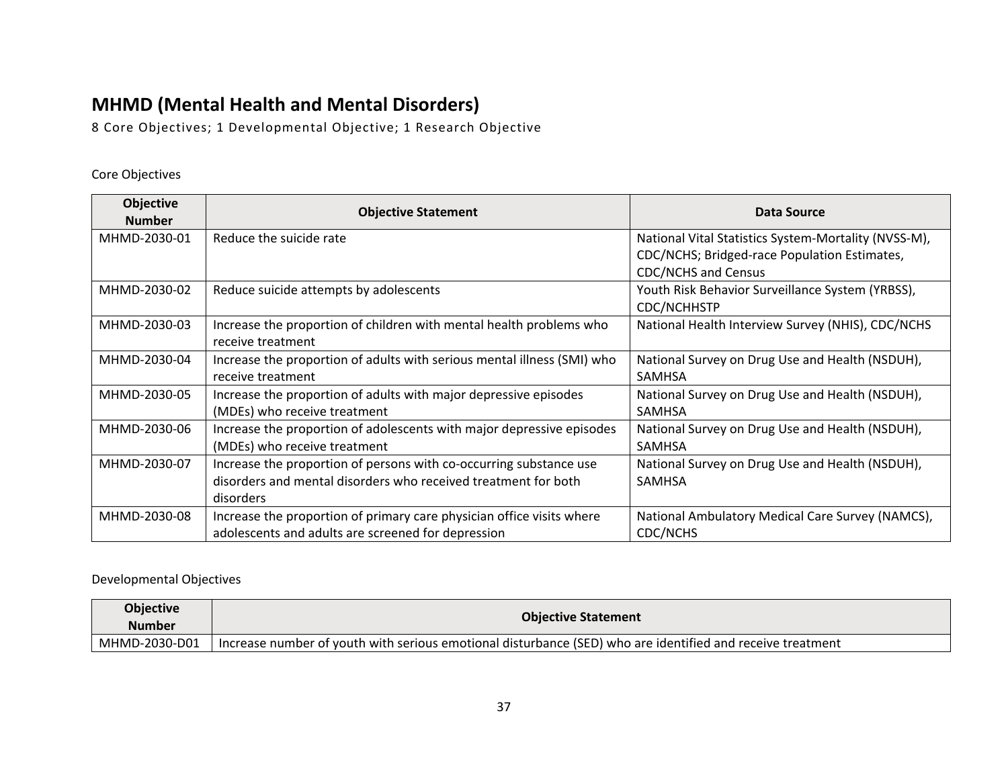## <span id="page-36-0"></span>**MHMD (Mental Health and Mental Disorders)**

8 Core Objectives; 1 Developmental Objective; 1 Research Objective

### Core Objectives

| <b>Objective</b><br><b>Number</b> | <b>Objective Statement</b>                                                                                                                        | Data Source                                                                                                                        |
|-----------------------------------|---------------------------------------------------------------------------------------------------------------------------------------------------|------------------------------------------------------------------------------------------------------------------------------------|
| MHMD-2030-01                      | Reduce the suicide rate                                                                                                                           | National Vital Statistics System-Mortality (NVSS-M),<br>CDC/NCHS; Bridged-race Population Estimates,<br><b>CDC/NCHS and Census</b> |
| MHMD-2030-02                      | Reduce suicide attempts by adolescents                                                                                                            | Youth Risk Behavior Surveillance System (YRBSS),<br>CDC/NCHHSTP                                                                    |
| MHMD-2030-03                      | Increase the proportion of children with mental health problems who<br>receive treatment                                                          | National Health Interview Survey (NHIS), CDC/NCHS                                                                                  |
| MHMD-2030-04                      | Increase the proportion of adults with serious mental illness (SMI) who<br>receive treatment                                                      | National Survey on Drug Use and Health (NSDUH),<br>SAMHSA                                                                          |
| MHMD-2030-05                      | Increase the proportion of adults with major depressive episodes<br>(MDEs) who receive treatment                                                  | National Survey on Drug Use and Health (NSDUH),<br>SAMHSA                                                                          |
| MHMD-2030-06                      | Increase the proportion of adolescents with major depressive episodes<br>(MDEs) who receive treatment                                             | National Survey on Drug Use and Health (NSDUH),<br>SAMHSA                                                                          |
| MHMD-2030-07                      | Increase the proportion of persons with co-occurring substance use<br>disorders and mental disorders who received treatment for both<br>disorders | National Survey on Drug Use and Health (NSDUH),<br>SAMHSA                                                                          |
| MHMD-2030-08                      | Increase the proportion of primary care physician office visits where<br>adolescents and adults are screened for depression                       | National Ambulatory Medical Care Survey (NAMCS),<br>CDC/NCHS                                                                       |

| <b>Objective</b><br><b>Number</b> | <b>Objective Statement</b>                                                                                   |  |
|-----------------------------------|--------------------------------------------------------------------------------------------------------------|--|
| MHMD-2030-D01                     | I Increase number of youth with serious emotional disturbance (SED) who are identified and receive treatment |  |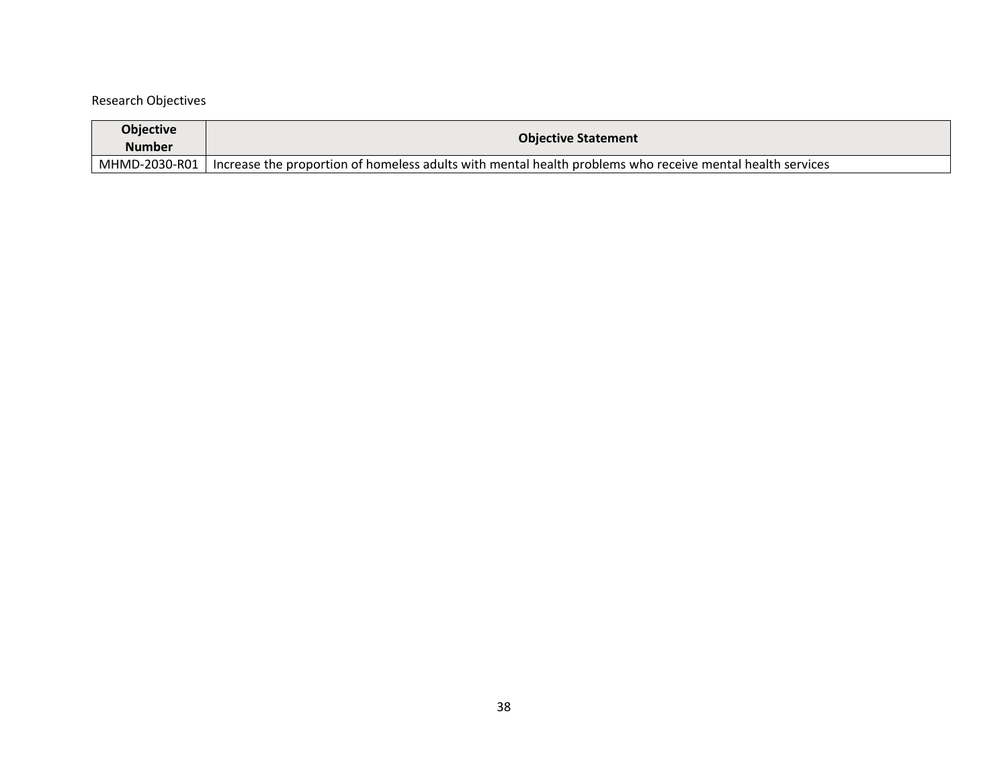### Research Objectives

| <b>Objective</b><br><b>Number</b> | <b>Objective Statement</b>                                                                                                |  |
|-----------------------------------|---------------------------------------------------------------------------------------------------------------------------|--|
|                                   | MHMD-2030-R01   Increase the proportion of homeless adults with mental health problems who receive mental health services |  |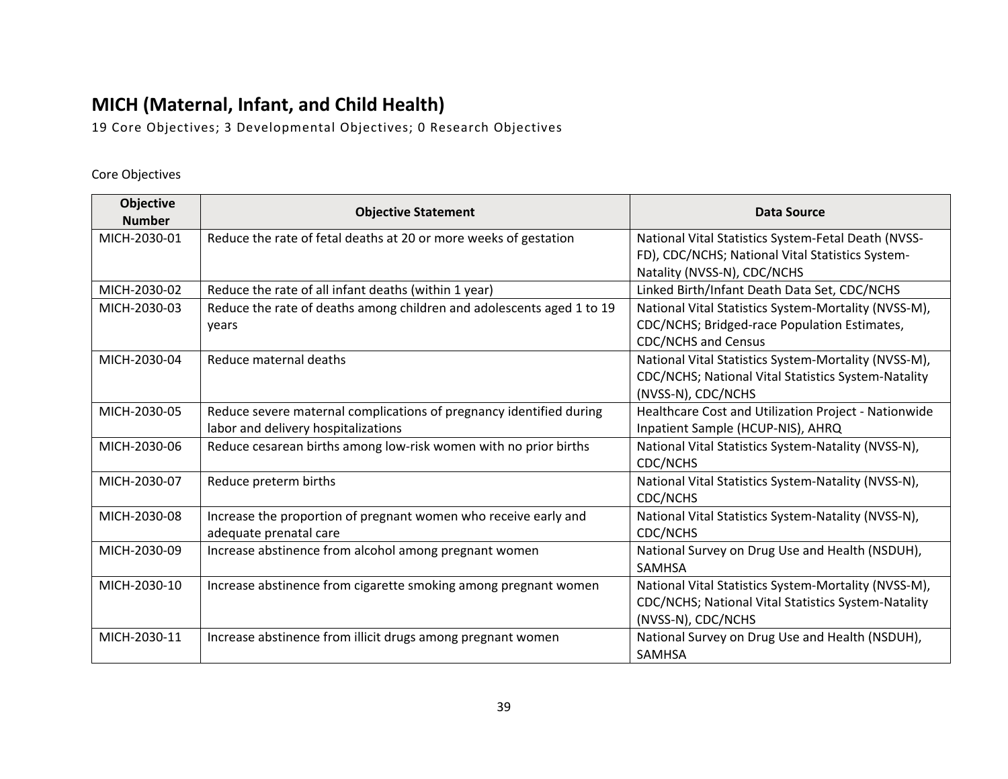# <span id="page-38-0"></span>**MICH (Maternal, Infant, and Child Health)**

19 Core Objectives; 3 Developmental Objectives; 0 Research Objectives

| Objective<br><b>Number</b> | <b>Objective Statement</b>                                            | Data Source                                          |
|----------------------------|-----------------------------------------------------------------------|------------------------------------------------------|
| MICH-2030-01               | Reduce the rate of fetal deaths at 20 or more weeks of gestation      | National Vital Statistics System-Fetal Death (NVSS-  |
|                            |                                                                       | FD), CDC/NCHS; National Vital Statistics System-     |
|                            |                                                                       | Natality (NVSS-N), CDC/NCHS                          |
| MICH-2030-02               | Reduce the rate of all infant deaths (within 1 year)                  | Linked Birth/Infant Death Data Set, CDC/NCHS         |
| MICH-2030-03               | Reduce the rate of deaths among children and adolescents aged 1 to 19 | National Vital Statistics System-Mortality (NVSS-M), |
|                            | years                                                                 | CDC/NCHS; Bridged-race Population Estimates,         |
|                            |                                                                       | <b>CDC/NCHS and Census</b>                           |
| MICH-2030-04               | Reduce maternal deaths                                                | National Vital Statistics System-Mortality (NVSS-M), |
|                            |                                                                       | CDC/NCHS; National Vital Statistics System-Natality  |
|                            |                                                                       | (NVSS-N), CDC/NCHS                                   |
| MICH-2030-05               | Reduce severe maternal complications of pregnancy identified during   | Healthcare Cost and Utilization Project - Nationwide |
|                            | labor and delivery hospitalizations                                   | Inpatient Sample (HCUP-NIS), AHRQ                    |
| MICH-2030-06               | Reduce cesarean births among low-risk women with no prior births      | National Vital Statistics System-Natality (NVSS-N),  |
|                            |                                                                       | CDC/NCHS                                             |
| MICH-2030-07               | Reduce preterm births                                                 | National Vital Statistics System-Natality (NVSS-N),  |
|                            |                                                                       | CDC/NCHS                                             |
| MICH-2030-08               | Increase the proportion of pregnant women who receive early and       | National Vital Statistics System-Natality (NVSS-N),  |
|                            | adequate prenatal care                                                | <b>CDC/NCHS</b>                                      |
| MICH-2030-09               | Increase abstinence from alcohol among pregnant women                 | National Survey on Drug Use and Health (NSDUH),      |
|                            |                                                                       | <b>SAMHSA</b>                                        |
| MICH-2030-10               | Increase abstinence from cigarette smoking among pregnant women       | National Vital Statistics System-Mortality (NVSS-M), |
|                            |                                                                       | CDC/NCHS; National Vital Statistics System-Natality  |
|                            |                                                                       | (NVSS-N), CDC/NCHS                                   |
| MICH-2030-11               | Increase abstinence from illicit drugs among pregnant women           | National Survey on Drug Use and Health (NSDUH),      |
|                            |                                                                       | <b>SAMHSA</b>                                        |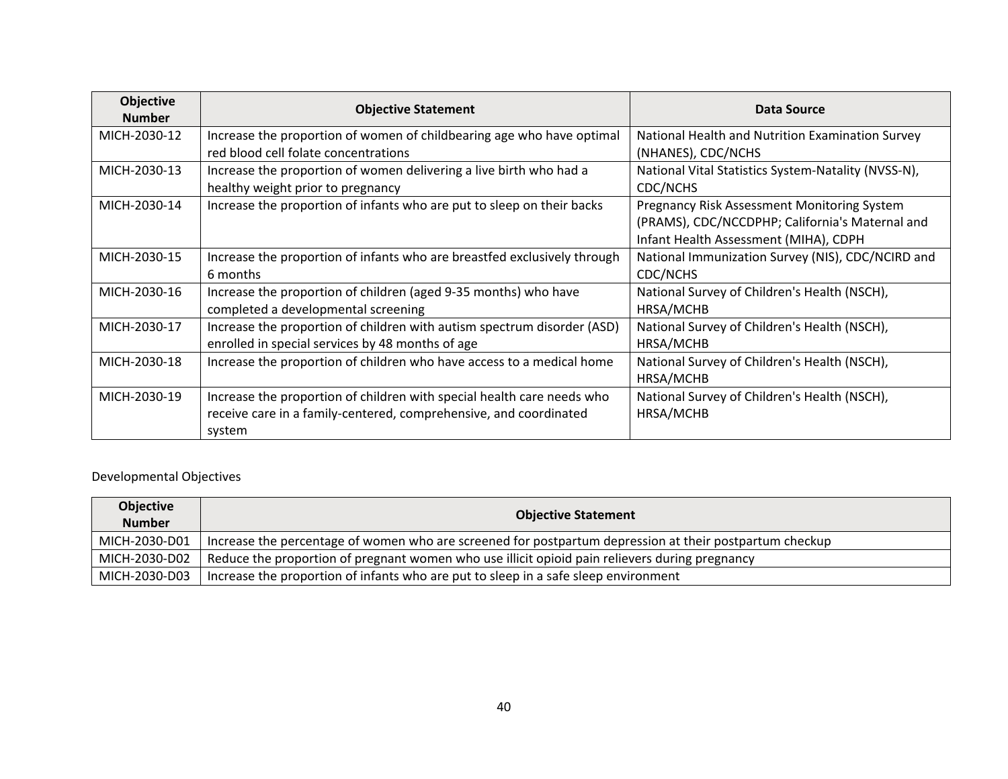| <b>Objective</b><br><b>Number</b> | <b>Objective Statement</b>                                               | Data Source                                         |
|-----------------------------------|--------------------------------------------------------------------------|-----------------------------------------------------|
| MICH-2030-12                      | Increase the proportion of women of childbearing age who have optimal    | National Health and Nutrition Examination Survey    |
|                                   | red blood cell folate concentrations                                     | (NHANES), CDC/NCHS                                  |
| MICH-2030-13                      | Increase the proportion of women delivering a live birth who had a       | National Vital Statistics System-Natality (NVSS-N), |
|                                   | healthy weight prior to pregnancy                                        | CDC/NCHS                                            |
| MICH-2030-14                      | Increase the proportion of infants who are put to sleep on their backs   | Pregnancy Risk Assessment Monitoring System         |
|                                   |                                                                          | (PRAMS), CDC/NCCDPHP; California's Maternal and     |
|                                   |                                                                          | Infant Health Assessment (MIHA), CDPH               |
| MICH-2030-15                      | Increase the proportion of infants who are breastfed exclusively through | National Immunization Survey (NIS), CDC/NCIRD and   |
|                                   | 6 months                                                                 | <b>CDC/NCHS</b>                                     |
| MICH-2030-16                      | Increase the proportion of children (aged 9-35 months) who have          | National Survey of Children's Health (NSCH),        |
|                                   | completed a developmental screening                                      | HRSA/MCHB                                           |
| MICH-2030-17                      | Increase the proportion of children with autism spectrum disorder (ASD)  | National Survey of Children's Health (NSCH),        |
|                                   | enrolled in special services by 48 months of age                         | HRSA/MCHB                                           |
| MICH-2030-18                      | Increase the proportion of children who have access to a medical home    | National Survey of Children's Health (NSCH),        |
|                                   |                                                                          | HRSA/MCHB                                           |
| MICH-2030-19                      | Increase the proportion of children with special health care needs who   | National Survey of Children's Health (NSCH),        |
|                                   | receive care in a family-centered, comprehensive, and coordinated        | HRSA/MCHB                                           |
|                                   | system                                                                   |                                                     |

| <b>Objective</b><br><b>Number</b> | <b>Objective Statement</b>                                                                              |
|-----------------------------------|---------------------------------------------------------------------------------------------------------|
| MICH-2030-D01                     | Increase the percentage of women who are screened for postpartum depression at their postpartum checkup |
| MICH-2030-D02                     | Reduce the proportion of pregnant women who use illicit opioid pain relievers during pregnancy          |
| MICH-2030-D03                     | Increase the proportion of infants who are put to sleep in a safe sleep environment                     |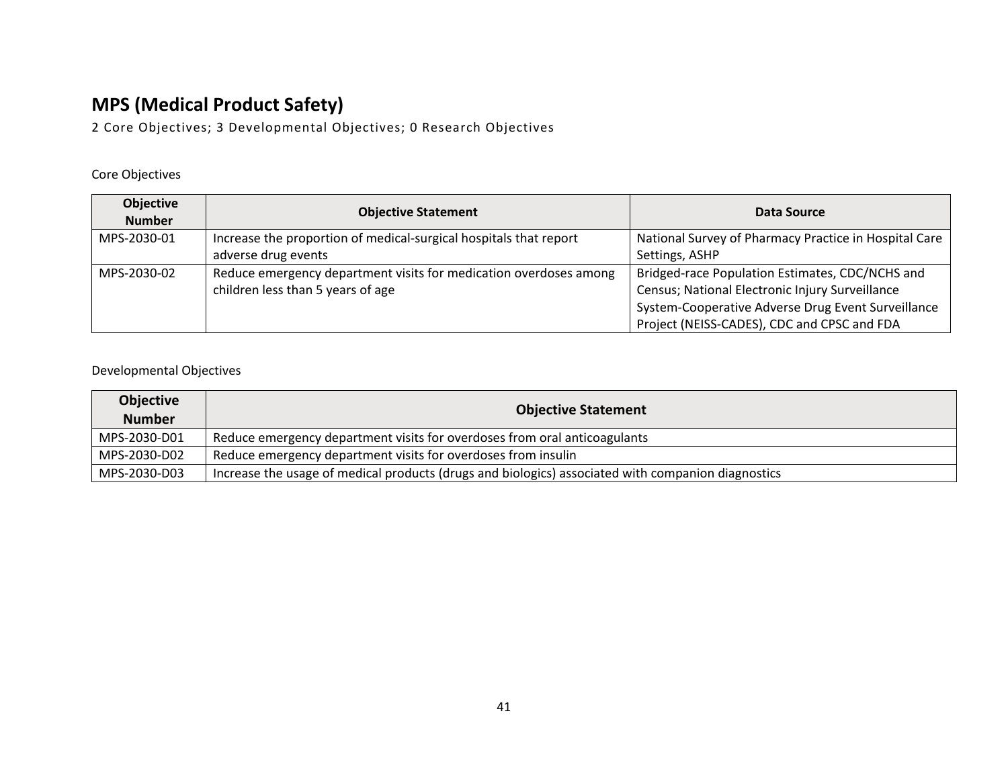# <span id="page-40-0"></span>**MPS (Medical Product Safety)**

2 Core Objectives; 3 Developmental Objectives; 0 Research Objectives

### Core Objectives

| <b>Objective</b><br><b>Number</b> | <b>Objective Statement</b>                                        | Data Source                                           |
|-----------------------------------|-------------------------------------------------------------------|-------------------------------------------------------|
| MPS-2030-01                       | Increase the proportion of medical-surgical hospitals that report | National Survey of Pharmacy Practice in Hospital Care |
|                                   | adverse drug events                                               | Settings, ASHP                                        |
| MPS-2030-02                       | Reduce emergency department visits for medication overdoses among | Bridged-race Population Estimates, CDC/NCHS and       |
|                                   | children less than 5 years of age                                 | Census; National Electronic Injury Surveillance       |
|                                   |                                                                   | System-Cooperative Adverse Drug Event Surveillance    |
|                                   |                                                                   | Project (NEISS-CADES), CDC and CPSC and FDA           |

| <b>Objective</b><br><b>Number</b> | <b>Objective Statement</b>                                                                         |
|-----------------------------------|----------------------------------------------------------------------------------------------------|
| MPS-2030-D01                      | Reduce emergency department visits for overdoses from oral anticoagulants                          |
| MPS-2030-D02                      | Reduce emergency department visits for overdoses from insulin                                      |
| MPS-2030-D03                      | Increase the usage of medical products (drugs and biologics) associated with companion diagnostics |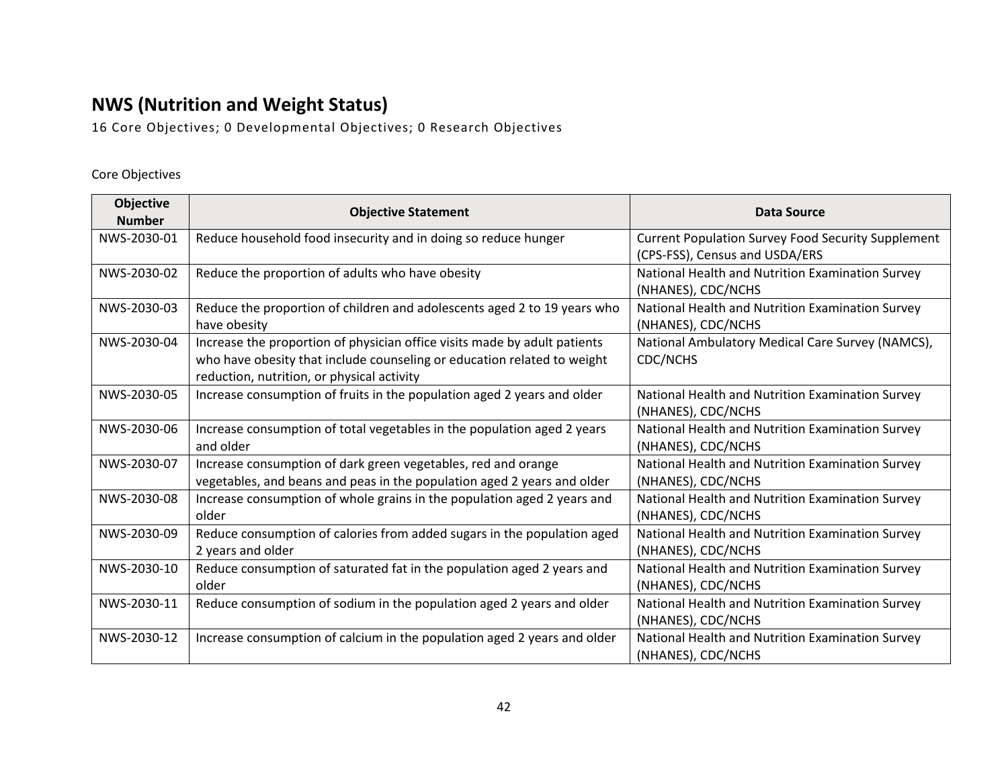# <span id="page-41-0"></span>**NWS (Nutrition and Weight Status)**

16 Core Objectives; 0 Developmental Objectives; 0 Research Objectives

| Objective<br><b>Number</b> | <b>Objective Statement</b>                                                | <b>Data Source</b>                                        |
|----------------------------|---------------------------------------------------------------------------|-----------------------------------------------------------|
| NWS-2030-01                | Reduce household food insecurity and in doing so reduce hunger            | <b>Current Population Survey Food Security Supplement</b> |
|                            |                                                                           | (CPS-FSS), Census and USDA/ERS                            |
| NWS-2030-02                | Reduce the proportion of adults who have obesity                          | National Health and Nutrition Examination Survey          |
|                            |                                                                           | (NHANES), CDC/NCHS                                        |
| NWS-2030-03                | Reduce the proportion of children and adolescents aged 2 to 19 years who  | National Health and Nutrition Examination Survey          |
|                            | have obesity                                                              | (NHANES), CDC/NCHS                                        |
| NWS-2030-04                | Increase the proportion of physician office visits made by adult patients | National Ambulatory Medical Care Survey (NAMCS),          |
|                            | who have obesity that include counseling or education related to weight   | <b>CDC/NCHS</b>                                           |
|                            | reduction, nutrition, or physical activity                                |                                                           |
| NWS-2030-05                | Increase consumption of fruits in the population aged 2 years and older   | National Health and Nutrition Examination Survey          |
|                            |                                                                           | (NHANES), CDC/NCHS                                        |
| NWS-2030-06                | Increase consumption of total vegetables in the population aged 2 years   | National Health and Nutrition Examination Survey          |
|                            | and older                                                                 | (NHANES), CDC/NCHS                                        |
| NWS-2030-07                | Increase consumption of dark green vegetables, red and orange             | National Health and Nutrition Examination Survey          |
|                            | vegetables, and beans and peas in the population aged 2 years and older   | (NHANES), CDC/NCHS                                        |
| NWS-2030-08                | Increase consumption of whole grains in the population aged 2 years and   | National Health and Nutrition Examination Survey          |
|                            | older                                                                     | (NHANES), CDC/NCHS                                        |
| NWS-2030-09                | Reduce consumption of calories from added sugars in the population aged   | National Health and Nutrition Examination Survey          |
|                            | 2 years and older                                                         | (NHANES), CDC/NCHS                                        |
| NWS-2030-10                | Reduce consumption of saturated fat in the population aged 2 years and    | National Health and Nutrition Examination Survey          |
|                            | older                                                                     | (NHANES), CDC/NCHS                                        |
| NWS-2030-11                | Reduce consumption of sodium in the population aged 2 years and older     | National Health and Nutrition Examination Survey          |
|                            |                                                                           | (NHANES), CDC/NCHS                                        |
| NWS-2030-12                | Increase consumption of calcium in the population aged 2 years and older  | National Health and Nutrition Examination Survey          |
|                            |                                                                           | (NHANES), CDC/NCHS                                        |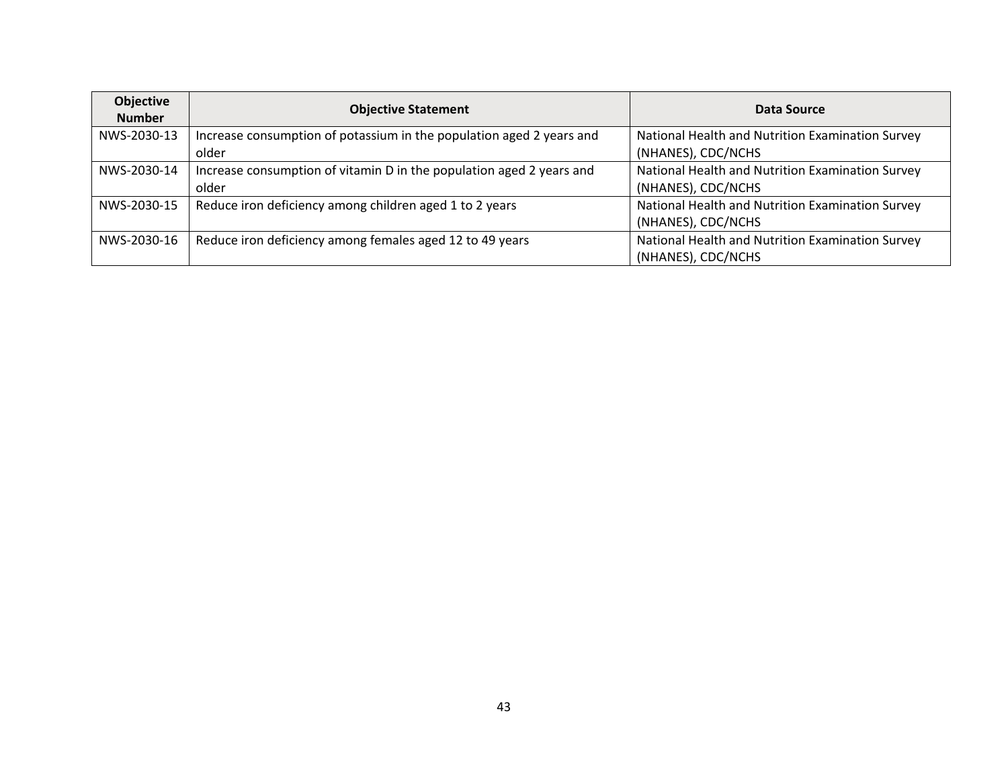| <b>Objective</b><br><b>Number</b> | <b>Objective Statement</b>                                                    | Data Source                                                            |
|-----------------------------------|-------------------------------------------------------------------------------|------------------------------------------------------------------------|
| NWS-2030-13                       | Increase consumption of potassium in the population aged 2 years and<br>older | National Health and Nutrition Examination Survey<br>(NHANES), CDC/NCHS |
| NWS-2030-14                       | Increase consumption of vitamin D in the population aged 2 years and<br>older | National Health and Nutrition Examination Survey<br>(NHANES), CDC/NCHS |
| NWS-2030-15                       | Reduce iron deficiency among children aged 1 to 2 years                       | National Health and Nutrition Examination Survey<br>(NHANES), CDC/NCHS |
| NWS-2030-16                       | Reduce iron deficiency among females aged 12 to 49 years                      | National Health and Nutrition Examination Survey<br>(NHANES), CDC/NCHS |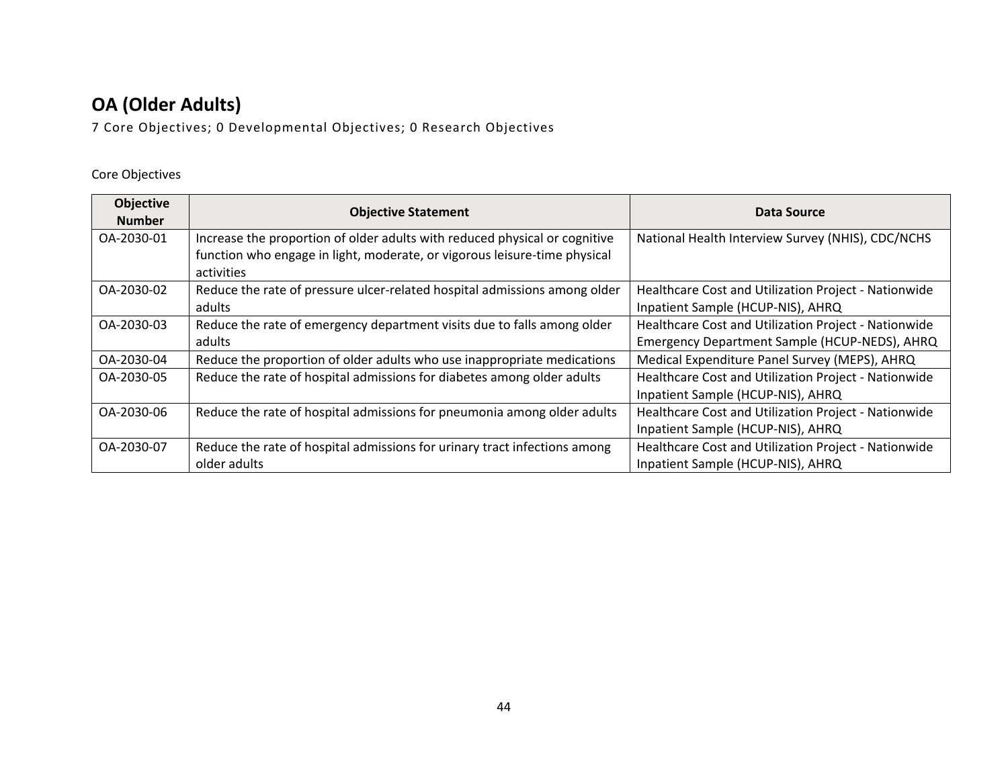# <span id="page-43-0"></span>**OA (Older Adults)**

7 Core Objectives; 0 Developmental Objectives; 0 Research Objectives

| <b>Objective</b><br><b>Number</b> | <b>Objective Statement</b>                                                                                                                                            | Data Source                                                                                           |
|-----------------------------------|-----------------------------------------------------------------------------------------------------------------------------------------------------------------------|-------------------------------------------------------------------------------------------------------|
| OA-2030-01                        | Increase the proportion of older adults with reduced physical or cognitive<br>function who engage in light, moderate, or vigorous leisure-time physical<br>activities | National Health Interview Survey (NHIS), CDC/NCHS                                                     |
| OA-2030-02                        | Reduce the rate of pressure ulcer-related hospital admissions among older<br>adults                                                                                   | Healthcare Cost and Utilization Project - Nationwide<br>Inpatient Sample (HCUP-NIS), AHRQ             |
| OA-2030-03                        | Reduce the rate of emergency department visits due to falls among older<br>adults                                                                                     | Healthcare Cost and Utilization Project - Nationwide<br>Emergency Department Sample (HCUP-NEDS), AHRQ |
| OA-2030-04                        | Reduce the proportion of older adults who use inappropriate medications                                                                                               | Medical Expenditure Panel Survey (MEPS), AHRQ                                                         |
| OA-2030-05                        | Reduce the rate of hospital admissions for diabetes among older adults                                                                                                | Healthcare Cost and Utilization Project - Nationwide<br>Inpatient Sample (HCUP-NIS), AHRQ             |
| OA-2030-06                        | Reduce the rate of hospital admissions for pneumonia among older adults                                                                                               | Healthcare Cost and Utilization Project - Nationwide<br>Inpatient Sample (HCUP-NIS), AHRQ             |
| OA-2030-07                        | Reduce the rate of hospital admissions for urinary tract infections among<br>older adults                                                                             | Healthcare Cost and Utilization Project - Nationwide<br>Inpatient Sample (HCUP-NIS), AHRQ             |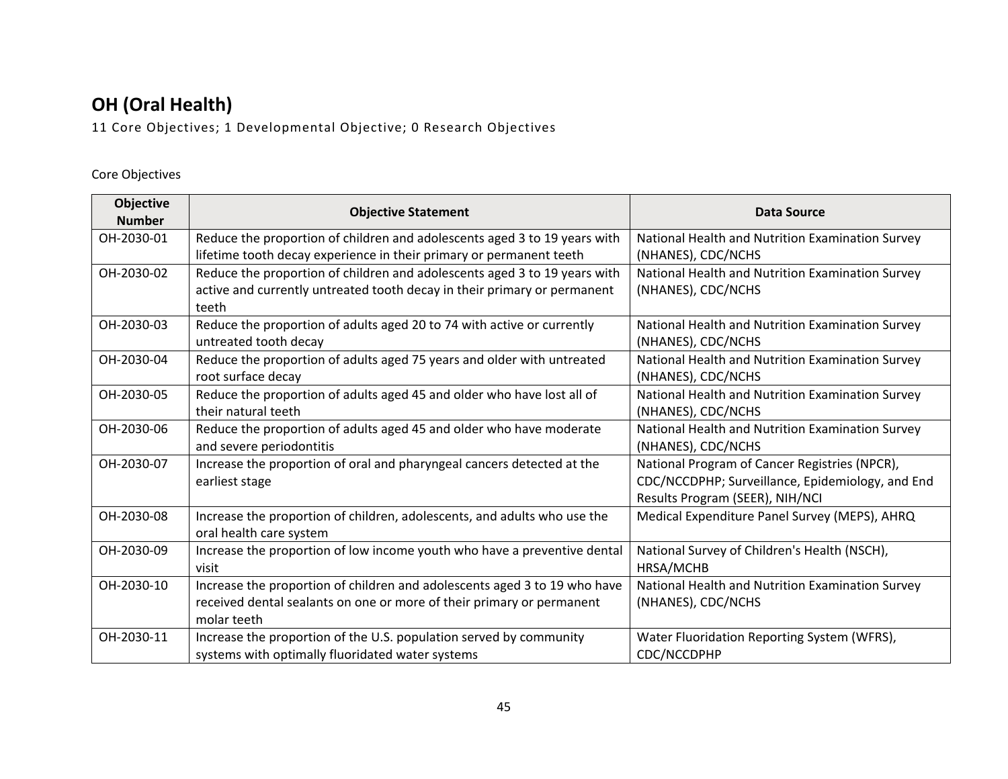# <span id="page-44-0"></span>**OH (Oral Health)**

11 Core Objectives; 1 Developmental Objective; 0 Research Objectives

| <b>Objective</b><br><b>Number</b> | <b>Objective Statement</b>                                                        | <b>Data Source</b>                               |
|-----------------------------------|-----------------------------------------------------------------------------------|--------------------------------------------------|
| OH-2030-01                        | Reduce the proportion of children and adolescents aged 3 to 19 years with         | National Health and Nutrition Examination Survey |
|                                   | lifetime tooth decay experience in their primary or permanent teeth               | (NHANES), CDC/NCHS                               |
| OH-2030-02                        | Reduce the proportion of children and adolescents aged 3 to 19 years with         | National Health and Nutrition Examination Survey |
|                                   | active and currently untreated tooth decay in their primary or permanent<br>teeth | (NHANES), CDC/NCHS                               |
| OH-2030-03                        | Reduce the proportion of adults aged 20 to 74 with active or currently            | National Health and Nutrition Examination Survey |
|                                   | untreated tooth decay                                                             | (NHANES), CDC/NCHS                               |
| OH-2030-04                        | Reduce the proportion of adults aged 75 years and older with untreated            | National Health and Nutrition Examination Survey |
|                                   | root surface decay                                                                | (NHANES), CDC/NCHS                               |
| OH-2030-05                        | Reduce the proportion of adults aged 45 and older who have lost all of            | National Health and Nutrition Examination Survey |
|                                   | their natural teeth                                                               | (NHANES), CDC/NCHS                               |
| OH-2030-06                        | Reduce the proportion of adults aged 45 and older who have moderate               | National Health and Nutrition Examination Survey |
|                                   | and severe periodontitis                                                          | (NHANES), CDC/NCHS                               |
| OH-2030-07                        | Increase the proportion of oral and pharyngeal cancers detected at the            | National Program of Cancer Registries (NPCR),    |
|                                   | earliest stage                                                                    | CDC/NCCDPHP; Surveillance, Epidemiology, and End |
|                                   |                                                                                   | Results Program (SEER), NIH/NCI                  |
| OH-2030-08                        | Increase the proportion of children, adolescents, and adults who use the          | Medical Expenditure Panel Survey (MEPS), AHRQ    |
|                                   | oral health care system                                                           |                                                  |
| OH-2030-09                        | Increase the proportion of low income youth who have a preventive dental          | National Survey of Children's Health (NSCH),     |
|                                   | visit                                                                             | HRSA/MCHB                                        |
| OH-2030-10                        | Increase the proportion of children and adolescents aged 3 to 19 who have         | National Health and Nutrition Examination Survey |
|                                   | received dental sealants on one or more of their primary or permanent             | (NHANES), CDC/NCHS                               |
|                                   | molar teeth                                                                       |                                                  |
| OH-2030-11                        | Increase the proportion of the U.S. population served by community                | Water Fluoridation Reporting System (WFRS),      |
|                                   | systems with optimally fluoridated water systems                                  | CDC/NCCDPHP                                      |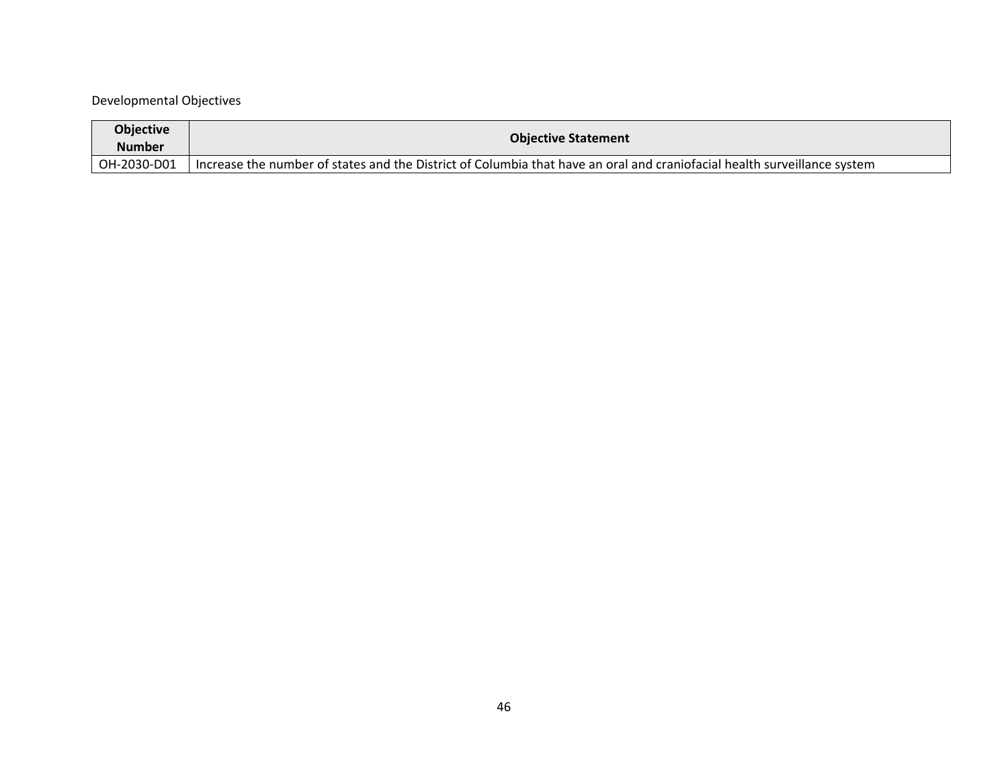| <b>Objective</b><br><b>Number</b> | <b>Objective Statement</b>                                                                                                 |
|-----------------------------------|----------------------------------------------------------------------------------------------------------------------------|
| OH-2030-D01                       | I Increase the number of states and the District of Columbia that have an oral and craniofacial health surveillance system |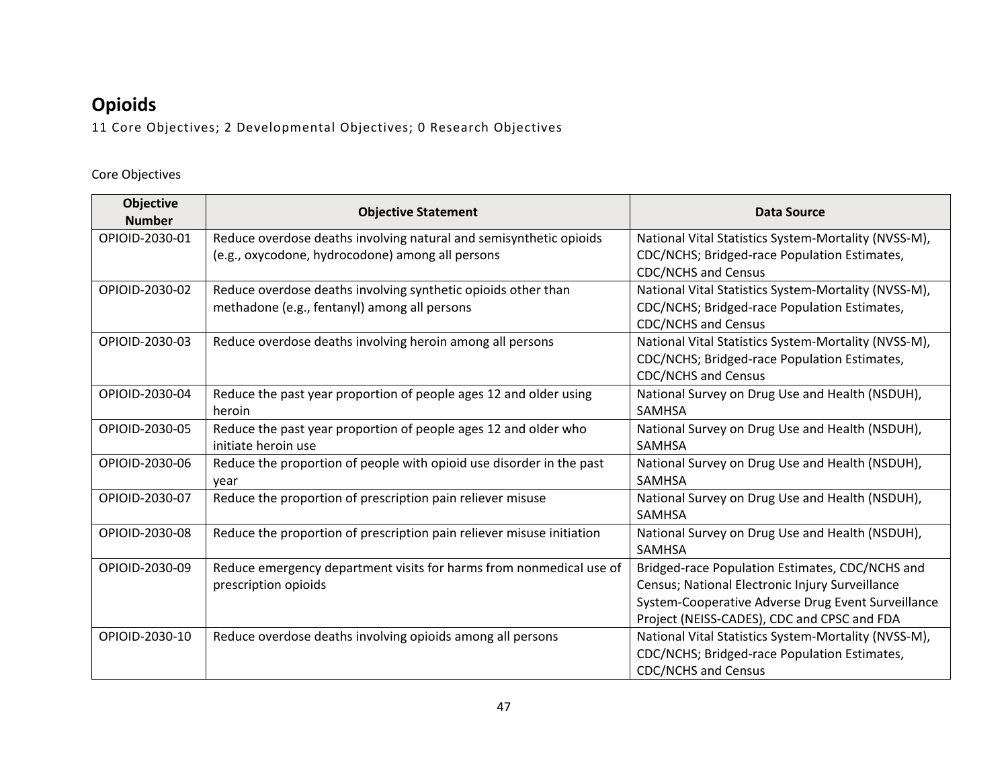# <span id="page-46-0"></span>**Opioids**

11 Core Objectives; 2 Developmental Objectives; 0 Research Objectives

| Objective<br><b>Number</b> | <b>Objective Statement</b>                                            | <b>Data Source</b>                                                         |
|----------------------------|-----------------------------------------------------------------------|----------------------------------------------------------------------------|
| OPIOID-2030-01             | Reduce overdose deaths involving natural and semisynthetic opioids    | National Vital Statistics System-Mortality (NVSS-M),                       |
|                            | (e.g., oxycodone, hydrocodone) among all persons                      | CDC/NCHS; Bridged-race Population Estimates,<br><b>CDC/NCHS and Census</b> |
| OPIOID-2030-02             | Reduce overdose deaths involving synthetic opioids other than         | National Vital Statistics System-Mortality (NVSS-M),                       |
|                            | methadone (e.g., fentanyl) among all persons                          | CDC/NCHS; Bridged-race Population Estimates,<br><b>CDC/NCHS and Census</b> |
| OPIOID-2030-03             | Reduce overdose deaths involving heroin among all persons             | National Vital Statistics System-Mortality (NVSS-M),                       |
|                            |                                                                       | CDC/NCHS; Bridged-race Population Estimates,                               |
|                            |                                                                       | <b>CDC/NCHS and Census</b>                                                 |
| OPIOID-2030-04             | Reduce the past year proportion of people ages 12 and older using     | National Survey on Drug Use and Health (NSDUH),                            |
|                            | heroin                                                                | <b>SAMHSA</b>                                                              |
| OPIOID-2030-05             | Reduce the past year proportion of people ages 12 and older who       | National Survey on Drug Use and Health (NSDUH),                            |
|                            | initiate heroin use                                                   | <b>SAMHSA</b>                                                              |
| OPIOID-2030-06             | Reduce the proportion of people with opioid use disorder in the past  | National Survey on Drug Use and Health (NSDUH),                            |
|                            | year                                                                  | SAMHSA                                                                     |
| OPIOID-2030-07             | Reduce the proportion of prescription pain reliever misuse            | National Survey on Drug Use and Health (NSDUH),                            |
|                            |                                                                       | <b>SAMHSA</b>                                                              |
| OPIOID-2030-08             | Reduce the proportion of prescription pain reliever misuse initiation | National Survey on Drug Use and Health (NSDUH),                            |
|                            |                                                                       | <b>SAMHSA</b>                                                              |
| OPIOID-2030-09             | Reduce emergency department visits for harms from nonmedical use of   | Bridged-race Population Estimates, CDC/NCHS and                            |
|                            | prescription opioids                                                  | Census; National Electronic Injury Surveillance                            |
|                            |                                                                       | System-Cooperative Adverse Drug Event Surveillance                         |
|                            |                                                                       | Project (NEISS-CADES), CDC and CPSC and FDA                                |
| OPIOID-2030-10             | Reduce overdose deaths involving opioids among all persons            | National Vital Statistics System-Mortality (NVSS-M),                       |
|                            |                                                                       | CDC/NCHS; Bridged-race Population Estimates,                               |
|                            |                                                                       | <b>CDC/NCHS and Census</b>                                                 |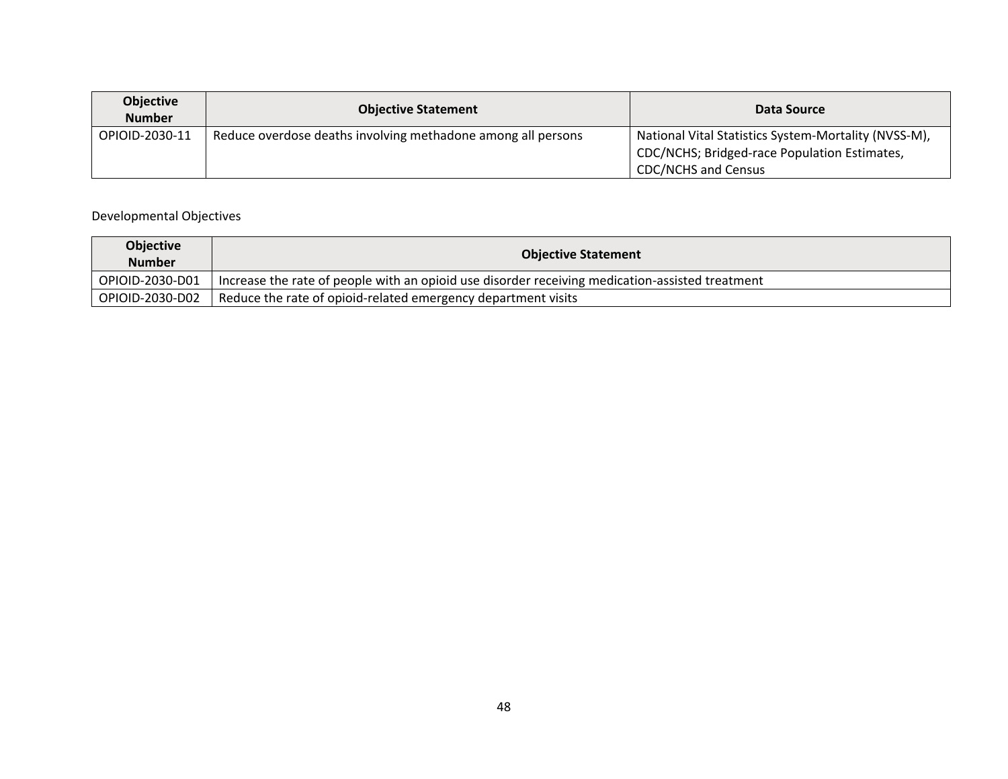| <b>Objective</b><br><b>Number</b> | <b>Objective Statement</b>                                   | Data Source                                                                                          |
|-----------------------------------|--------------------------------------------------------------|------------------------------------------------------------------------------------------------------|
| OPIOID-2030-11                    | Reduce overdose deaths involving methadone among all persons | National Vital Statistics System-Mortality (NVSS-M),<br>CDC/NCHS; Bridged-race Population Estimates, |
|                                   |                                                              | <b>CDC/NCHS and Census</b>                                                                           |

| <b>Objective</b><br><b>Number</b> | <b>Objective Statement</b>                                                                      |
|-----------------------------------|-------------------------------------------------------------------------------------------------|
| OPIOID-2030-D01                   | Increase the rate of people with an opioid use disorder receiving medication-assisted treatment |
| OPIOID-2030-D02                   | Reduce the rate of opioid-related emergency department visits                                   |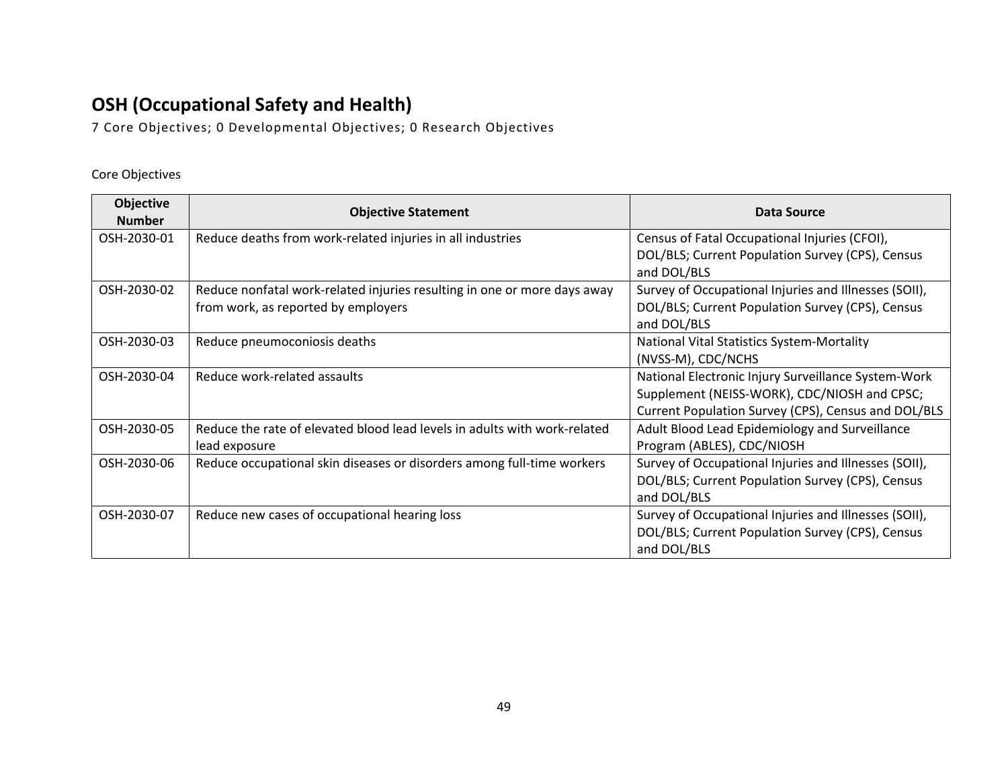# <span id="page-48-0"></span>**OSH (Occupational Safety and Health)**

7 Core Objectives; 0 Developmental Objectives; 0 Research Objectives

| Objective<br><b>Number</b> | <b>Objective Statement</b>                                                                                      | Data Source                                                                                                                                                |
|----------------------------|-----------------------------------------------------------------------------------------------------------------|------------------------------------------------------------------------------------------------------------------------------------------------------------|
| OSH-2030-01                | Reduce deaths from work-related injuries in all industries                                                      | Census of Fatal Occupational Injuries (CFOI),<br>DOL/BLS; Current Population Survey (CPS), Census<br>and DOL/BLS                                           |
| OSH-2030-02                | Reduce nonfatal work-related injuries resulting in one or more days away<br>from work, as reported by employers | Survey of Occupational Injuries and Illnesses (SOII),<br>DOL/BLS; Current Population Survey (CPS), Census<br>and DOL/BLS                                   |
| OSH-2030-03                | Reduce pneumoconiosis deaths                                                                                    | <b>National Vital Statistics System-Mortality</b><br>(NVSS-M), CDC/NCHS                                                                                    |
| OSH-2030-04                | Reduce work-related assaults                                                                                    | National Electronic Injury Surveillance System-Work<br>Supplement (NEISS-WORK), CDC/NIOSH and CPSC;<br>Current Population Survey (CPS), Census and DOL/BLS |
| OSH-2030-05                | Reduce the rate of elevated blood lead levels in adults with work-related<br>lead exposure                      | Adult Blood Lead Epidemiology and Surveillance<br>Program (ABLES), CDC/NIOSH                                                                               |
| OSH-2030-06                | Reduce occupational skin diseases or disorders among full-time workers                                          | Survey of Occupational Injuries and Illnesses (SOII),<br>DOL/BLS; Current Population Survey (CPS), Census<br>and DOL/BLS                                   |
| OSH-2030-07                | Reduce new cases of occupational hearing loss                                                                   | Survey of Occupational Injuries and Illnesses (SOII),<br>DOL/BLS; Current Population Survey (CPS), Census<br>and DOL/BLS                                   |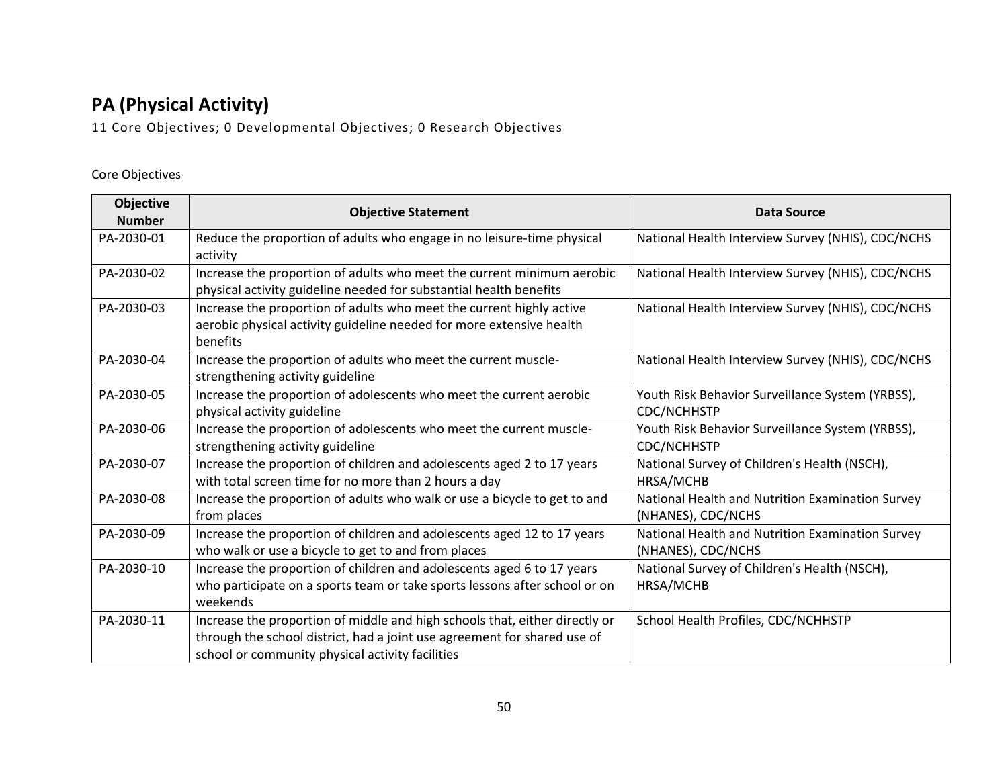# <span id="page-49-0"></span>**PA (Physical Activity)**

11 Core Objectives; 0 Developmental Objectives; 0 Research Objectives

| Objective<br><b>Number</b> | <b>Objective Statement</b>                                                                                                                                                                                  | <b>Data Source</b>                                                     |
|----------------------------|-------------------------------------------------------------------------------------------------------------------------------------------------------------------------------------------------------------|------------------------------------------------------------------------|
| PA-2030-01                 | Reduce the proportion of adults who engage in no leisure-time physical<br>activity                                                                                                                          | National Health Interview Survey (NHIS), CDC/NCHS                      |
| PA-2030-02                 | Increase the proportion of adults who meet the current minimum aerobic<br>physical activity guideline needed for substantial health benefits                                                                | National Health Interview Survey (NHIS), CDC/NCHS                      |
| PA-2030-03                 | Increase the proportion of adults who meet the current highly active<br>aerobic physical activity guideline needed for more extensive health<br>benefits                                                    | National Health Interview Survey (NHIS), CDC/NCHS                      |
| PA-2030-04                 | Increase the proportion of adults who meet the current muscle-<br>strengthening activity guideline                                                                                                          | National Health Interview Survey (NHIS), CDC/NCHS                      |
| PA-2030-05                 | Increase the proportion of adolescents who meet the current aerobic<br>physical activity guideline                                                                                                          | Youth Risk Behavior Surveillance System (YRBSS),<br>CDC/NCHHSTP        |
| PA-2030-06                 | Increase the proportion of adolescents who meet the current muscle-<br>strengthening activity guideline                                                                                                     | Youth Risk Behavior Surveillance System (YRBSS),<br>CDC/NCHHSTP        |
| PA-2030-07                 | Increase the proportion of children and adolescents aged 2 to 17 years<br>with total screen time for no more than 2 hours a day                                                                             | National Survey of Children's Health (NSCH),<br>HRSA/MCHB              |
| PA-2030-08                 | Increase the proportion of adults who walk or use a bicycle to get to and<br>from places                                                                                                                    | National Health and Nutrition Examination Survey<br>(NHANES), CDC/NCHS |
| PA-2030-09                 | Increase the proportion of children and adolescents aged 12 to 17 years<br>who walk or use a bicycle to get to and from places                                                                              | National Health and Nutrition Examination Survey<br>(NHANES), CDC/NCHS |
| PA-2030-10                 | Increase the proportion of children and adolescents aged 6 to 17 years<br>who participate on a sports team or take sports lessons after school or on<br>weekends                                            | National Survey of Children's Health (NSCH),<br>HRSA/MCHB              |
| PA-2030-11                 | Increase the proportion of middle and high schools that, either directly or<br>through the school district, had a joint use agreement for shared use of<br>school or community physical activity facilities | School Health Profiles, CDC/NCHHSTP                                    |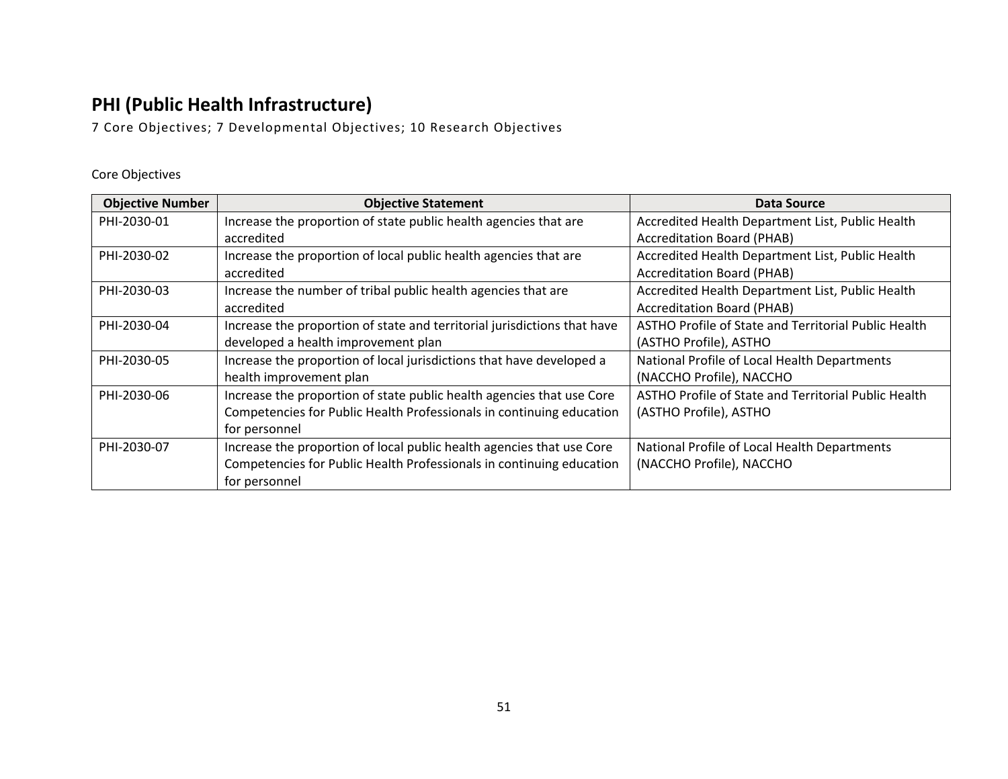# <span id="page-50-0"></span>**PHI (Public Health Infrastructure)**

7 Core Objectives; 7 Developmental Objectives; 10 Research Objectives

| <b>Objective Number</b> | <b>Objective Statement</b>                                               | Data Source                                          |
|-------------------------|--------------------------------------------------------------------------|------------------------------------------------------|
| PHI-2030-01             | Increase the proportion of state public health agencies that are         | Accredited Health Department List, Public Health     |
|                         | accredited                                                               | <b>Accreditation Board (PHAB)</b>                    |
| PHI-2030-02             | Increase the proportion of local public health agencies that are         | Accredited Health Department List, Public Health     |
|                         | accredited                                                               | <b>Accreditation Board (PHAB)</b>                    |
| PHI-2030-03             | Increase the number of tribal public health agencies that are            | Accredited Health Department List, Public Health     |
|                         | accredited                                                               | <b>Accreditation Board (PHAB)</b>                    |
| PHI-2030-04             | Increase the proportion of state and territorial jurisdictions that have | ASTHO Profile of State and Territorial Public Health |
|                         | developed a health improvement plan                                      | (ASTHO Profile), ASTHO                               |
| PHI-2030-05             | Increase the proportion of local jurisdictions that have developed a     | National Profile of Local Health Departments         |
|                         | health improvement plan                                                  | (NACCHO Profile), NACCHO                             |
| PHI-2030-06             | Increase the proportion of state public health agencies that use Core    | ASTHO Profile of State and Territorial Public Health |
|                         | Competencies for Public Health Professionals in continuing education     | (ASTHO Profile), ASTHO                               |
|                         | for personnel                                                            |                                                      |
| PHI-2030-07             | Increase the proportion of local public health agencies that use Core    | National Profile of Local Health Departments         |
|                         | Competencies for Public Health Professionals in continuing education     | (NACCHO Profile), NACCHO                             |
|                         | for personnel                                                            |                                                      |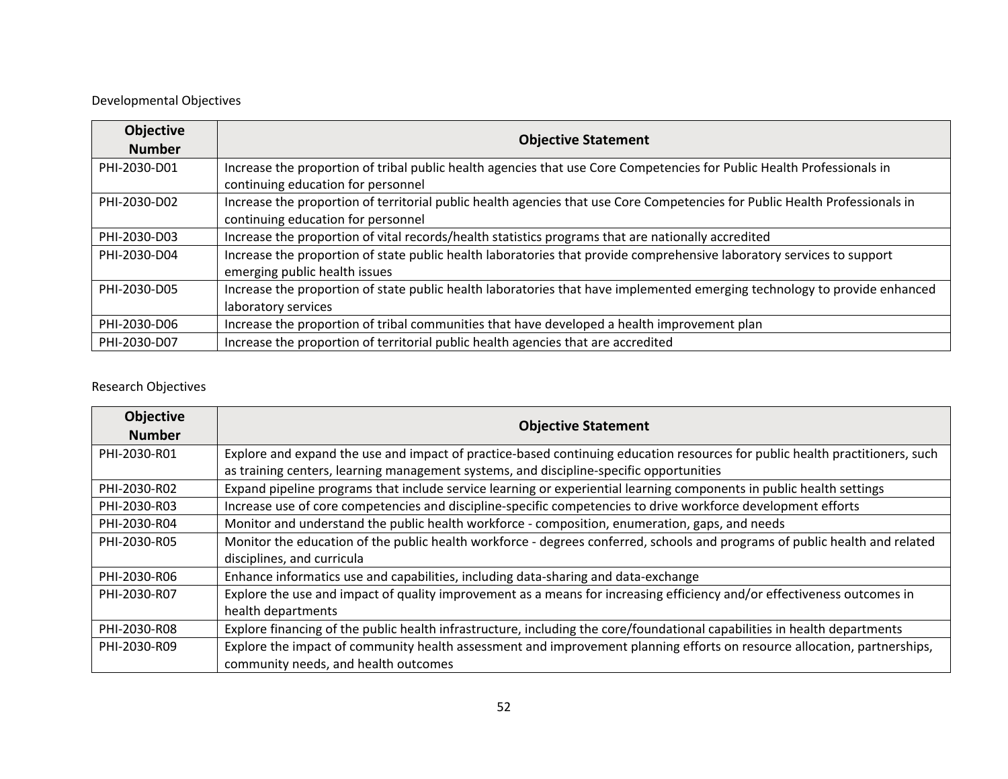### Developmental Objectives

| <b>Objective</b><br><b>Number</b> | <b>Objective Statement</b>                                                                                                                                        |
|-----------------------------------|-------------------------------------------------------------------------------------------------------------------------------------------------------------------|
| PHI-2030-D01                      | Increase the proportion of tribal public health agencies that use Core Competencies for Public Health Professionals in<br>continuing education for personnel      |
| PHI-2030-D02                      | Increase the proportion of territorial public health agencies that use Core Competencies for Public Health Professionals in<br>continuing education for personnel |
| PHI-2030-D03                      | Increase the proportion of vital records/health statistics programs that are nationally accredited                                                                |
| PHI-2030-D04                      | Increase the proportion of state public health laboratories that provide comprehensive laboratory services to support<br>emerging public health issues            |
| PHI-2030-D05                      | Increase the proportion of state public health laboratories that have implemented emerging technology to provide enhanced<br>laboratory services                  |
| PHI-2030-D06                      | Increase the proportion of tribal communities that have developed a health improvement plan                                                                       |
| PHI-2030-D07                      | Increase the proportion of territorial public health agencies that are accredited                                                                                 |

## Research Objectives

| <b>Objective</b><br><b>Number</b> | <b>Objective Statement</b>                                                                                                   |  |
|-----------------------------------|------------------------------------------------------------------------------------------------------------------------------|--|
| PHI-2030-R01                      | Explore and expand the use and impact of practice-based continuing education resources for public health practitioners, such |  |
|                                   | as training centers, learning management systems, and discipline-specific opportunities                                      |  |
| PHI-2030-R02                      | Expand pipeline programs that include service learning or experiential learning components in public health settings         |  |
| PHI-2030-R03                      | Increase use of core competencies and discipline-specific competencies to drive workforce development efforts                |  |
| PHI-2030-R04                      | Monitor and understand the public health workforce - composition, enumeration, gaps, and needs                               |  |
| PHI-2030-R05                      | Monitor the education of the public health workforce - degrees conferred, schools and programs of public health and related  |  |
|                                   | disciplines, and curricula                                                                                                   |  |
| PHI-2030-R06                      | Enhance informatics use and capabilities, including data-sharing and data-exchange                                           |  |
| PHI-2030-R07                      | Explore the use and impact of quality improvement as a means for increasing efficiency and/or effectiveness outcomes in      |  |
|                                   | health departments                                                                                                           |  |
| PHI-2030-R08                      | Explore financing of the public health infrastructure, including the core/foundational capabilities in health departments    |  |
| PHI-2030-R09                      | Explore the impact of community health assessment and improvement planning efforts on resource allocation, partnerships,     |  |
|                                   | community needs, and health outcomes                                                                                         |  |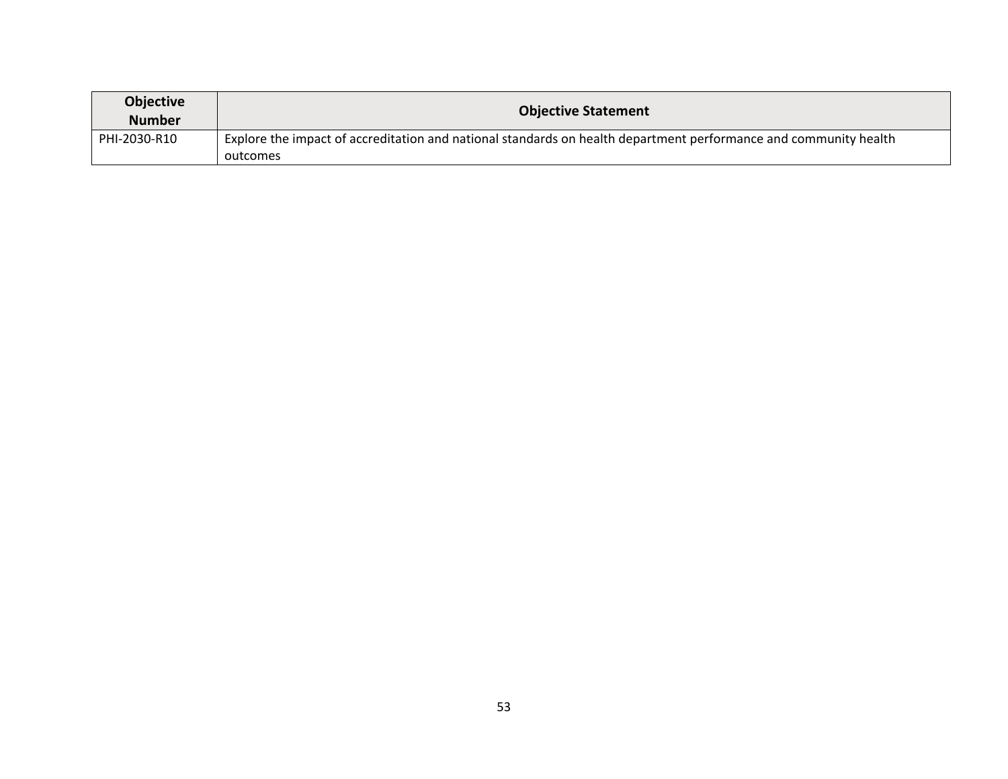| Objective<br><b>Number</b> | <b>Objective Statement</b>                                                                                       |  |
|----------------------------|------------------------------------------------------------------------------------------------------------------|--|
| PHI-2030-R10               | Explore the impact of accreditation and national standards on health department performance and community health |  |
|                            | outcomes                                                                                                         |  |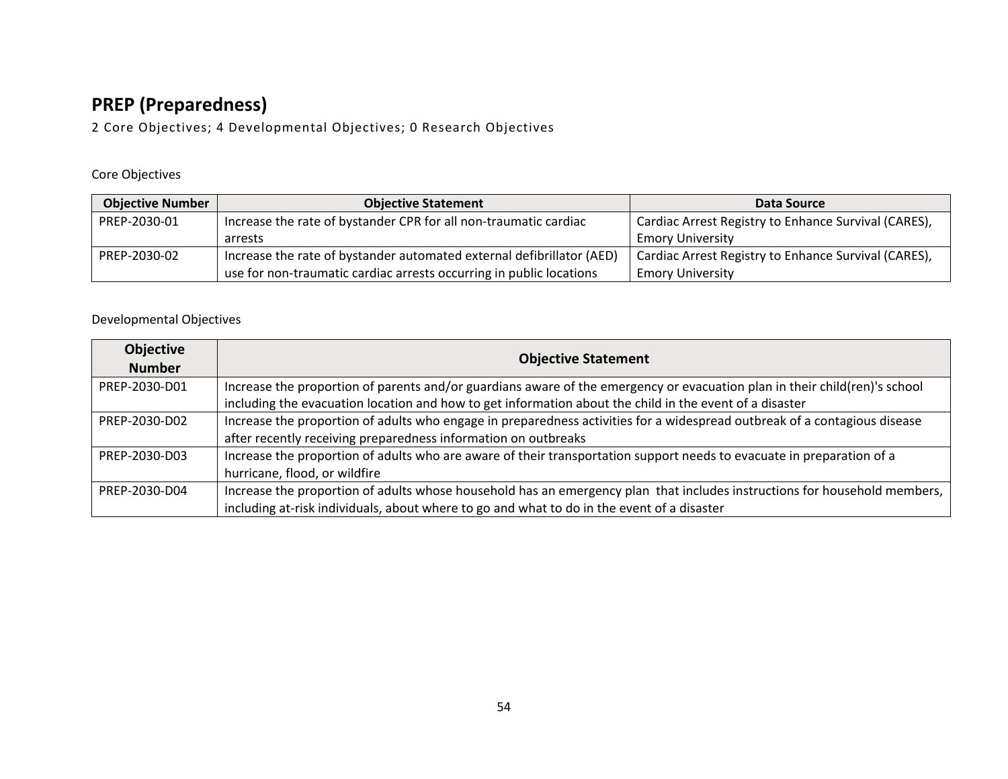# <span id="page-53-0"></span>**PREP (Preparedness)**

2 Core Objectives; 4 Developmental Objectives; 0 Research Objectives

### Core Objectives

| <b>Objective Number</b> | <b>Objective Statement</b>                                            | Data Source                                          |
|-------------------------|-----------------------------------------------------------------------|------------------------------------------------------|
| PREP-2030-01            | Increase the rate of bystander CPR for all non-traumatic cardiac      | Cardiac Arrest Registry to Enhance Survival (CARES), |
|                         | arrests                                                               | <b>Emory University</b>                              |
| PREP-2030-02            | Increase the rate of bystander automated external defibrillator (AED) | Cardiac Arrest Registry to Enhance Survival (CARES), |
|                         | use for non-traumatic cardiac arrests occurring in public locations   | <b>Emory University</b>                              |

| <b>Objective</b><br><b>Number</b> | <b>Objective Statement</b>                                                                                                 |  |
|-----------------------------------|----------------------------------------------------------------------------------------------------------------------------|--|
| PREP-2030-D01                     | Increase the proportion of parents and/or guardians aware of the emergency or evacuation plan in their child(ren)'s school |  |
|                                   | including the evacuation location and how to get information about the child in the event of a disaster                    |  |
| PREP-2030-D02                     | Increase the proportion of adults who engage in preparedness activities for a widespread outbreak of a contagious disease  |  |
|                                   | after recently receiving preparedness information on outbreaks                                                             |  |
| PREP-2030-D03                     | Increase the proportion of adults who are aware of their transportation support needs to evacuate in preparation of a      |  |
|                                   | hurricane, flood, or wildfire                                                                                              |  |
| PREP-2030-D04                     | Increase the proportion of adults whose household has an emergency plan that includes instructions for household members,  |  |
|                                   | including at-risk individuals, about where to go and what to do in the event of a disaster                                 |  |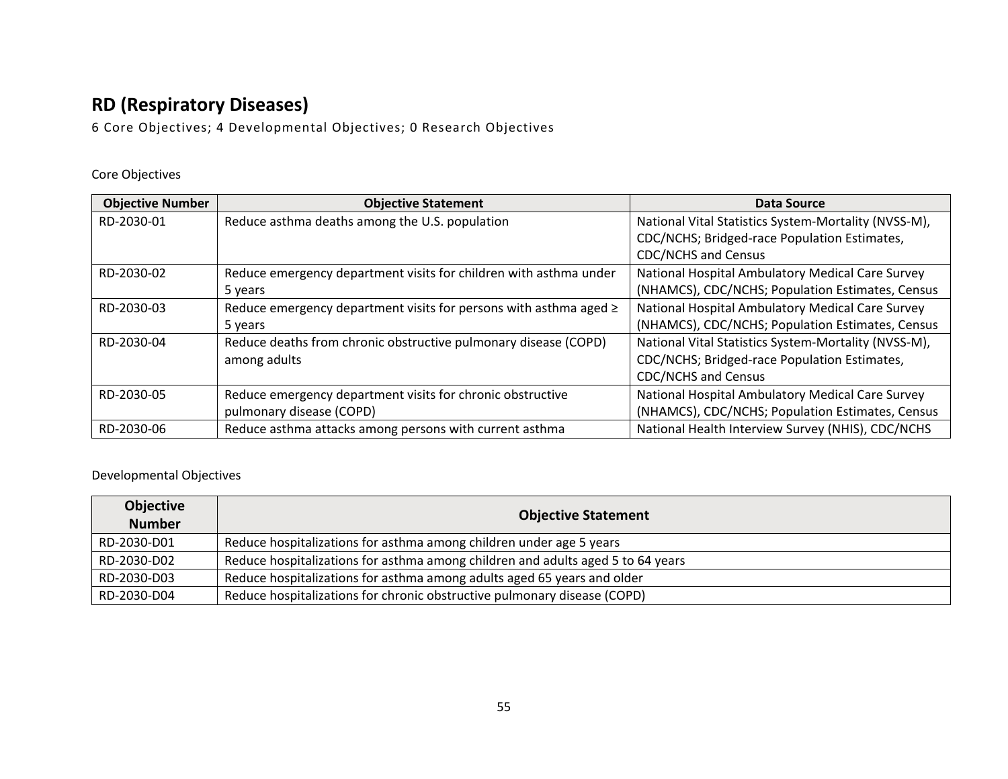# <span id="page-54-0"></span>**RD (Respiratory Diseases)**

6 Core Objectives; 4 Developmental Objectives; 0 Research Objectives

### Core Objectives

| <b>Objective Number</b> | <b>Objective Statement</b>                                             | Data Source                                          |
|-------------------------|------------------------------------------------------------------------|------------------------------------------------------|
| RD-2030-01              | Reduce asthma deaths among the U.S. population                         | National Vital Statistics System-Mortality (NVSS-M), |
|                         |                                                                        | CDC/NCHS; Bridged-race Population Estimates,         |
|                         |                                                                        | <b>CDC/NCHS and Census</b>                           |
| RD-2030-02              | Reduce emergency department visits for children with asthma under      | National Hospital Ambulatory Medical Care Survey     |
|                         | 5 years                                                                | (NHAMCS), CDC/NCHS; Population Estimates, Census     |
| RD-2030-03              | Reduce emergency department visits for persons with asthma aged $\geq$ | National Hospital Ambulatory Medical Care Survey     |
|                         | 5 years                                                                | (NHAMCS), CDC/NCHS; Population Estimates, Census     |
| RD-2030-04              | Reduce deaths from chronic obstructive pulmonary disease (COPD)        | National Vital Statistics System-Mortality (NVSS-M), |
|                         | among adults                                                           | CDC/NCHS; Bridged-race Population Estimates,         |
|                         |                                                                        | <b>CDC/NCHS and Census</b>                           |
| RD-2030-05              | Reduce emergency department visits for chronic obstructive             | National Hospital Ambulatory Medical Care Survey     |
|                         | pulmonary disease (COPD)                                               | (NHAMCS), CDC/NCHS; Population Estimates, Census     |
| RD-2030-06              | Reduce asthma attacks among persons with current asthma                | National Health Interview Survey (NHIS), CDC/NCHS    |

| <b>Objective</b> | <b>Objective Statement</b>                                                      |  |
|------------------|---------------------------------------------------------------------------------|--|
| <b>Number</b>    |                                                                                 |  |
| RD-2030-D01      | Reduce hospitalizations for asthma among children under age 5 years             |  |
| RD-2030-D02      | Reduce hospitalizations for asthma among children and adults aged 5 to 64 years |  |
| RD-2030-D03      | Reduce hospitalizations for asthma among adults aged 65 years and older         |  |
| RD-2030-D04      | Reduce hospitalizations for chronic obstructive pulmonary disease (COPD)        |  |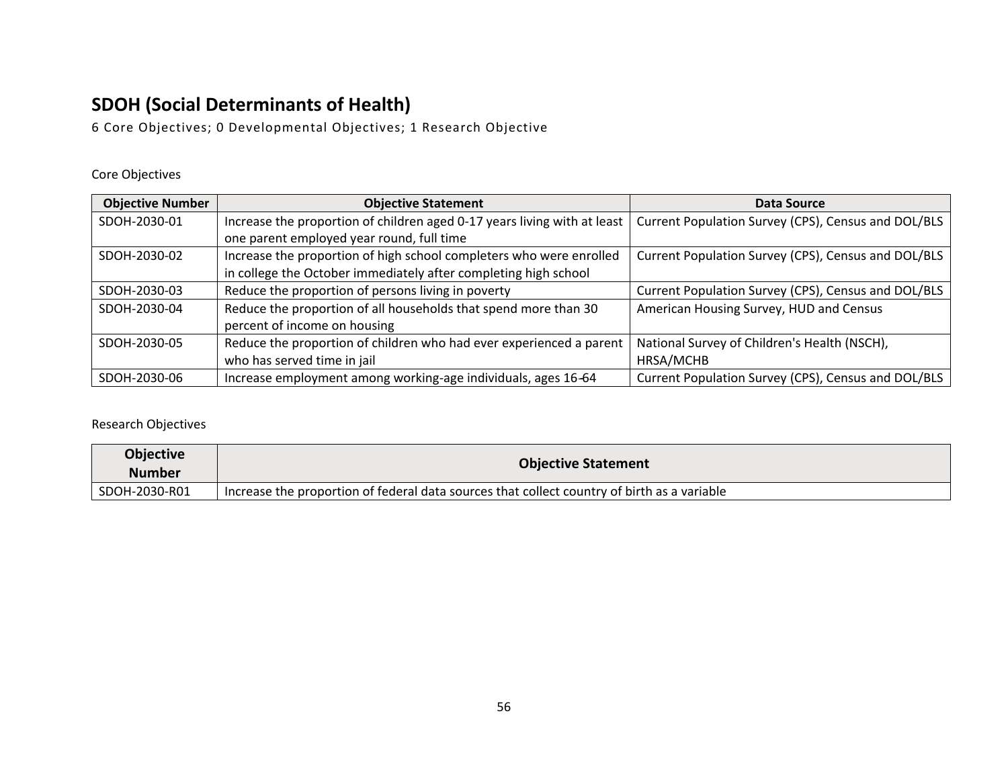## <span id="page-55-0"></span>**SDOH (Social Determinants of Health)**

6 Core Objectives; 0 Developmental Objectives; 1 Research Objective

### Core Objectives

| <b>Objective Number</b> | <b>Objective Statement</b>                                               | Data Source                                         |
|-------------------------|--------------------------------------------------------------------------|-----------------------------------------------------|
| SDOH-2030-01            | Increase the proportion of children aged 0-17 years living with at least | Current Population Survey (CPS), Census and DOL/BLS |
|                         | one parent employed year round, full time                                |                                                     |
| SDOH-2030-02            | Increase the proportion of high school completers who were enrolled      | Current Population Survey (CPS), Census and DOL/BLS |
|                         | in college the October immediately after completing high school          |                                                     |
| SDOH-2030-03            | Reduce the proportion of persons living in poverty                       | Current Population Survey (CPS), Census and DOL/BLS |
| SDOH-2030-04            | Reduce the proportion of all households that spend more than 30          | American Housing Survey, HUD and Census             |
|                         | percent of income on housing                                             |                                                     |
| SDOH-2030-05            | Reduce the proportion of children who had ever experienced a parent      | National Survey of Children's Health (NSCH),        |
|                         | who has served time in jail                                              | HRSA/MCHB                                           |
| SDOH-2030-06            | Increase employment among working-age individuals, ages 16-64            | Current Population Survey (CPS), Census and DOL/BLS |

Research Objectives

| Objective<br><b>Number</b> | <b>Objective Statement</b>                                                                  |
|----------------------------|---------------------------------------------------------------------------------------------|
| SDOH-2030-R01              | Increase the proportion of federal data sources that collect country of birth as a variable |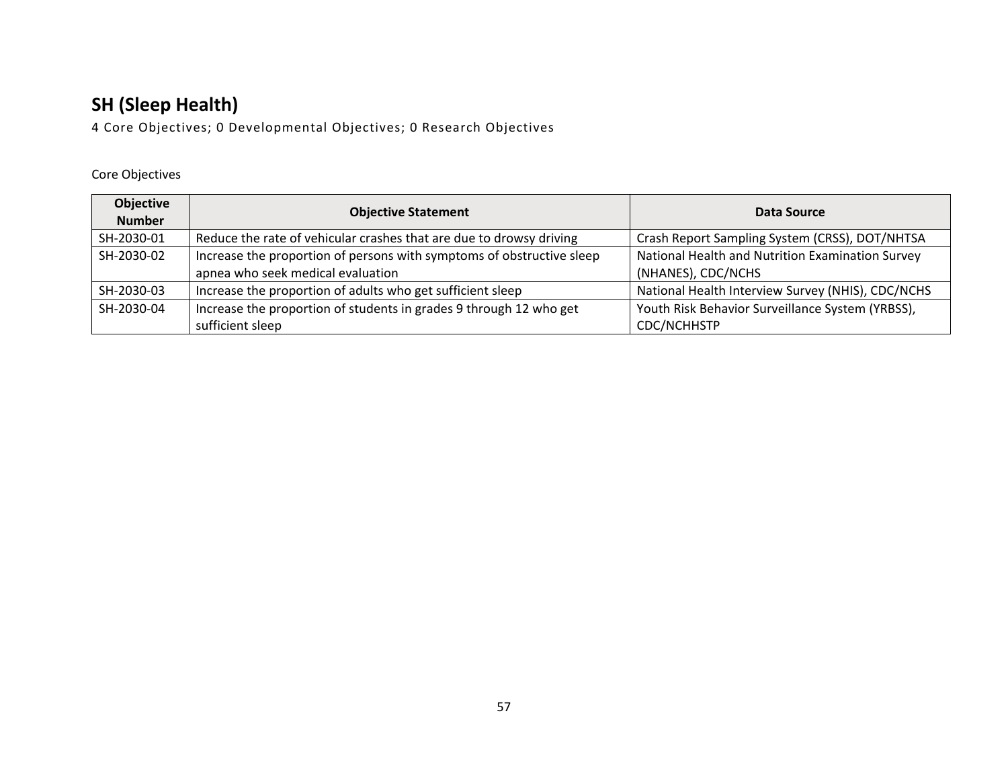# <span id="page-56-0"></span>**SH (Sleep Health)**

4 Core Objectives; 0 Developmental Objectives; 0 Research Objectives

| <b>Objective</b><br><b>Number</b> | <b>Objective Statement</b>                                            | Data Source                                       |
|-----------------------------------|-----------------------------------------------------------------------|---------------------------------------------------|
| SH-2030-01                        | Reduce the rate of vehicular crashes that are due to drowsy driving   | Crash Report Sampling System (CRSS), DOT/NHTSA    |
| SH-2030-02                        | Increase the proportion of persons with symptoms of obstructive sleep | National Health and Nutrition Examination Survey  |
|                                   | apnea who seek medical evaluation                                     | (NHANES), CDC/NCHS                                |
| SH-2030-03                        | Increase the proportion of adults who get sufficient sleep            | National Health Interview Survey (NHIS), CDC/NCHS |
| SH-2030-04                        | Increase the proportion of students in grades 9 through 12 who get    | Youth Risk Behavior Surveillance System (YRBSS),  |
|                                   | sufficient sleep                                                      | CDC/NCHHSTP                                       |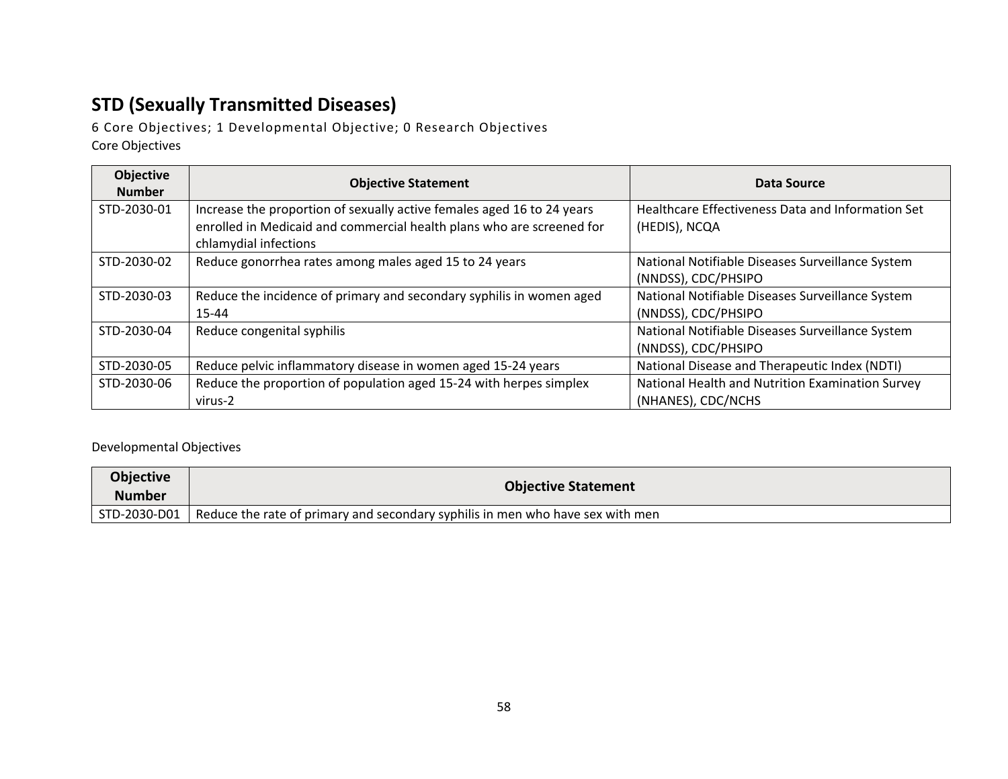# <span id="page-57-0"></span>**STD (Sexually Transmitted Diseases)**

6 Core Objectives; 1 Developmental Objective; 0 Research Objectives Core Objectives

| <b>Objective</b><br><b>Number</b> | <b>Objective Statement</b>                                                                                                                                               | Data Source                                                             |
|-----------------------------------|--------------------------------------------------------------------------------------------------------------------------------------------------------------------------|-------------------------------------------------------------------------|
| STD-2030-01                       | Increase the proportion of sexually active females aged 16 to 24 years<br>enrolled in Medicaid and commercial health plans who are screened for<br>chlamydial infections | Healthcare Effectiveness Data and Information Set<br>(HEDIS), NCQA      |
| STD-2030-02                       | Reduce gonorrhea rates among males aged 15 to 24 years                                                                                                                   | National Notifiable Diseases Surveillance System<br>(NNDSS), CDC/PHSIPO |
| STD-2030-03                       | Reduce the incidence of primary and secondary syphilis in women aged<br>$15 - 44$                                                                                        | National Notifiable Diseases Surveillance System<br>(NNDSS), CDC/PHSIPO |
| STD-2030-04                       | Reduce congenital syphilis                                                                                                                                               | National Notifiable Diseases Surveillance System<br>(NNDSS), CDC/PHSIPO |
| STD-2030-05                       | Reduce pelvic inflammatory disease in women aged 15-24 years                                                                                                             | National Disease and Therapeutic Index (NDTI)                           |
| STD-2030-06                       | Reduce the proportion of population aged 15-24 with herpes simplex<br>virus-2                                                                                            | National Health and Nutrition Examination Survey<br>(NHANES), CDC/NCHS  |

| Objective<br><b>Number</b> | <b>Objective Statement</b>                                                                    |
|----------------------------|-----------------------------------------------------------------------------------------------|
|                            | STD-2030-D01   Reduce the rate of primary and secondary syphilis in men who have sex with men |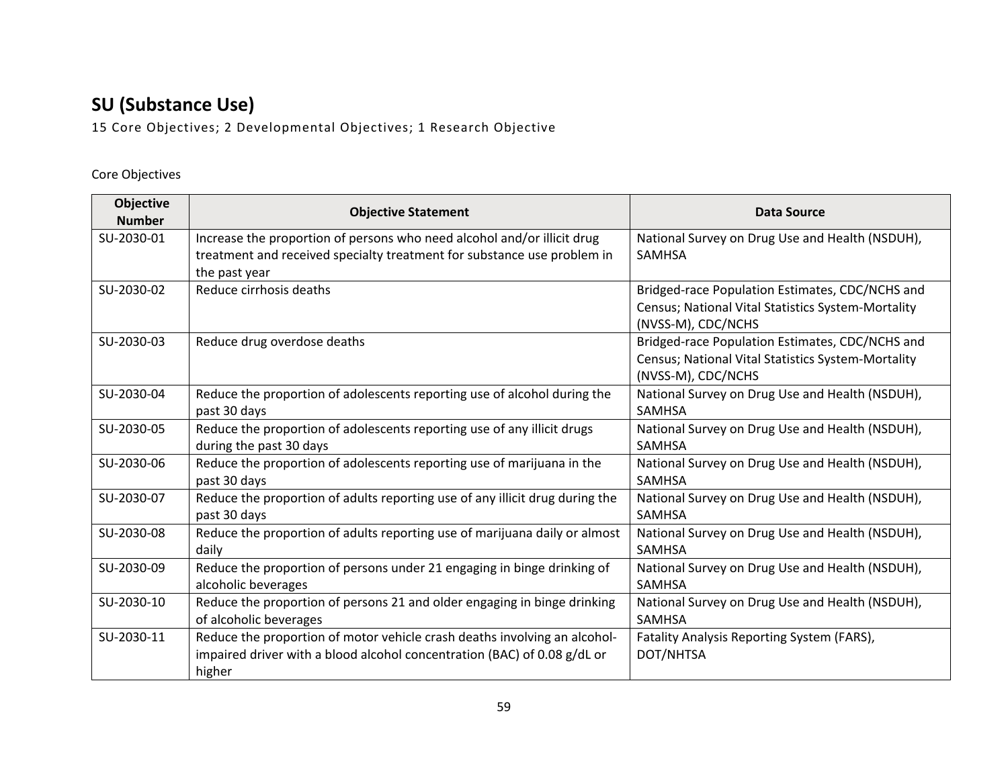# <span id="page-58-0"></span>**SU (Substance Use)**

15 Core Objectives; 2 Developmental Objectives; 1 Research Objective

| <b>Objective</b><br><b>Number</b> | <b>Objective Statement</b>                                                                                                                                          | <b>Data Source</b>                                                                                                          |
|-----------------------------------|---------------------------------------------------------------------------------------------------------------------------------------------------------------------|-----------------------------------------------------------------------------------------------------------------------------|
| SU-2030-01                        | Increase the proportion of persons who need alcohol and/or illicit drug<br>treatment and received specialty treatment for substance use problem in<br>the past year | National Survey on Drug Use and Health (NSDUH),<br><b>SAMHSA</b>                                                            |
| SU-2030-02                        | Reduce cirrhosis deaths                                                                                                                                             | Bridged-race Population Estimates, CDC/NCHS and<br>Census; National Vital Statistics System-Mortality<br>(NVSS-M), CDC/NCHS |
| SU-2030-03                        | Reduce drug overdose deaths                                                                                                                                         | Bridged-race Population Estimates, CDC/NCHS and<br>Census; National Vital Statistics System-Mortality<br>(NVSS-M), CDC/NCHS |
| SU-2030-04                        | Reduce the proportion of adolescents reporting use of alcohol during the<br>past 30 days                                                                            | National Survey on Drug Use and Health (NSDUH),<br><b>SAMHSA</b>                                                            |
| SU-2030-05                        | Reduce the proportion of adolescents reporting use of any illicit drugs<br>during the past 30 days                                                                  | National Survey on Drug Use and Health (NSDUH),<br><b>SAMHSA</b>                                                            |
| SU-2030-06                        | Reduce the proportion of adolescents reporting use of marijuana in the<br>past 30 days                                                                              | National Survey on Drug Use and Health (NSDUH),<br><b>SAMHSA</b>                                                            |
| SU-2030-07                        | Reduce the proportion of adults reporting use of any illicit drug during the<br>past 30 days                                                                        | National Survey on Drug Use and Health (NSDUH),<br><b>SAMHSA</b>                                                            |
| SU-2030-08                        | Reduce the proportion of adults reporting use of marijuana daily or almost<br>daily                                                                                 | National Survey on Drug Use and Health (NSDUH),<br><b>SAMHSA</b>                                                            |
| SU-2030-09                        | Reduce the proportion of persons under 21 engaging in binge drinking of<br>alcoholic beverages                                                                      | National Survey on Drug Use and Health (NSDUH),<br><b>SAMHSA</b>                                                            |
| SU-2030-10                        | Reduce the proportion of persons 21 and older engaging in binge drinking<br>of alcoholic beverages                                                                  | National Survey on Drug Use and Health (NSDUH),<br><b>SAMHSA</b>                                                            |
| SU-2030-11                        | Reduce the proportion of motor vehicle crash deaths involving an alcohol-<br>impaired driver with a blood alcohol concentration (BAC) of 0.08 g/dL or<br>higher     | Fatality Analysis Reporting System (FARS),<br>DOT/NHTSA                                                                     |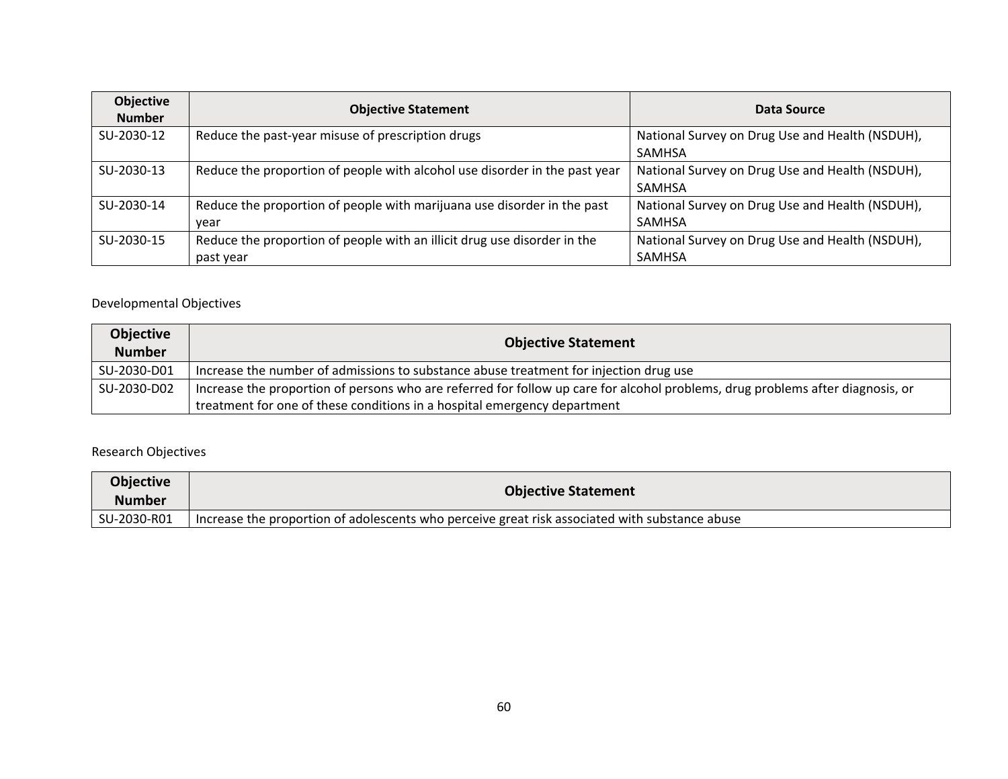| <b>Objective</b><br><b>Number</b> | <b>Objective Statement</b>                                                            | Data Source                                               |
|-----------------------------------|---------------------------------------------------------------------------------------|-----------------------------------------------------------|
| SU-2030-12                        | Reduce the past-year misuse of prescription drugs                                     | National Survey on Drug Use and Health (NSDUH),<br>SAMHSA |
| SU-2030-13                        | Reduce the proportion of people with alcohol use disorder in the past year            | National Survey on Drug Use and Health (NSDUH),<br>SAMHSA |
| SU-2030-14                        | Reduce the proportion of people with marijuana use disorder in the past<br>year       | National Survey on Drug Use and Health (NSDUH),<br>SAMHSA |
| SU-2030-15                        | Reduce the proportion of people with an illicit drug use disorder in the<br>past year | National Survey on Drug Use and Health (NSDUH),<br>SAMHSA |

## Developmental Objectives

| Objective<br><b>Number</b> | <b>Objective Statement</b>                                                                                                                                                                                 |
|----------------------------|------------------------------------------------------------------------------------------------------------------------------------------------------------------------------------------------------------|
| SU-2030-D01                | Increase the number of admissions to substance abuse treatment for injection drug use                                                                                                                      |
| SU-2030-D02                | Increase the proportion of persons who are referred for follow up care for alcohol problems, drug problems after diagnosis, or<br>treatment for one of these conditions in a hospital emergency department |

## Research Objectives

| <b>Objective</b><br><b>Number</b> | <b>Objective Statement</b>                                                                       |
|-----------------------------------|--------------------------------------------------------------------------------------------------|
| SU-2030-R01                       | I Increase the proportion of adolescents who perceive great risk associated with substance abuse |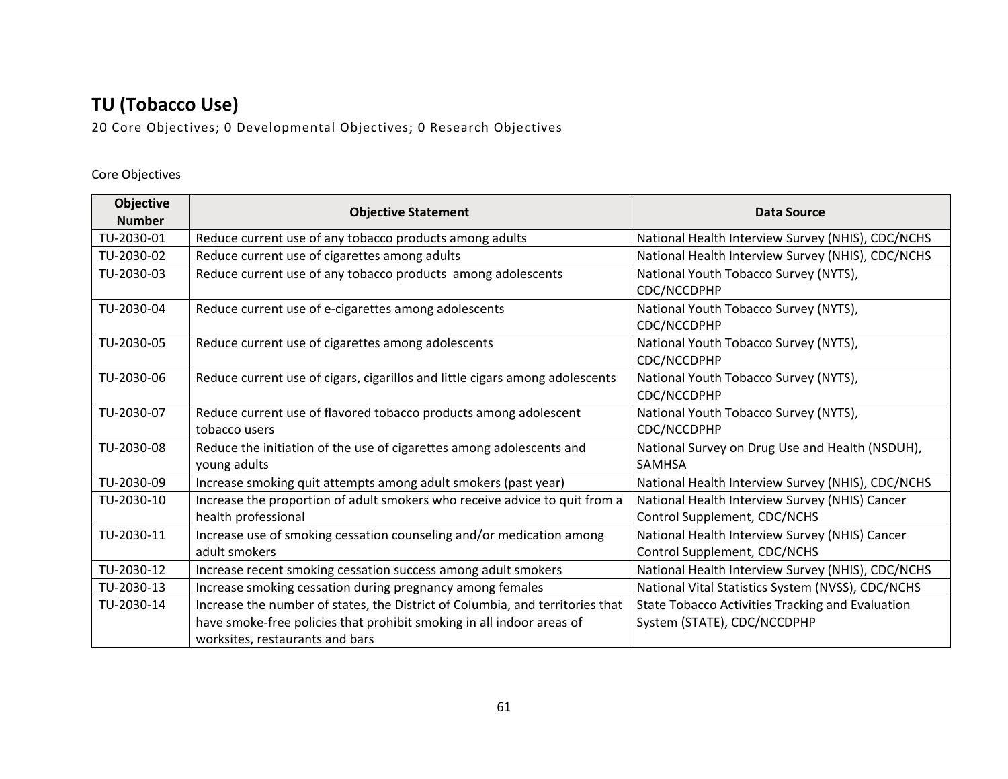# <span id="page-60-0"></span>**TU (Tobacco Use)**

20 Core Objectives; 0 Developmental Objectives; 0 Research Objectives

| Objective<br><b>Number</b> | <b>Objective Statement</b>                                                    | <b>Data Source</b>                                |
|----------------------------|-------------------------------------------------------------------------------|---------------------------------------------------|
| TU-2030-01                 | Reduce current use of any tobacco products among adults                       | National Health Interview Survey (NHIS), CDC/NCHS |
| TU-2030-02                 | Reduce current use of cigarettes among adults                                 | National Health Interview Survey (NHIS), CDC/NCHS |
| TU-2030-03                 | Reduce current use of any tobacco products among adolescents                  | National Youth Tobacco Survey (NYTS),             |
|                            |                                                                               | CDC/NCCDPHP                                       |
| TU-2030-04                 | Reduce current use of e-cigarettes among adolescents                          | National Youth Tobacco Survey (NYTS),             |
|                            |                                                                               | CDC/NCCDPHP                                       |
| TU-2030-05                 | Reduce current use of cigarettes among adolescents                            | National Youth Tobacco Survey (NYTS),             |
|                            |                                                                               | CDC/NCCDPHP                                       |
| TU-2030-06                 | Reduce current use of cigars, cigarillos and little cigars among adolescents  | National Youth Tobacco Survey (NYTS),             |
|                            |                                                                               | CDC/NCCDPHP                                       |
| TU-2030-07                 | Reduce current use of flavored tobacco products among adolescent              | National Youth Tobacco Survey (NYTS),             |
|                            | tobacco users                                                                 | CDC/NCCDPHP                                       |
| TU-2030-08                 | Reduce the initiation of the use of cigarettes among adolescents and          | National Survey on Drug Use and Health (NSDUH),   |
|                            | young adults                                                                  | <b>SAMHSA</b>                                     |
| TU-2030-09                 | Increase smoking quit attempts among adult smokers (past year)                | National Health Interview Survey (NHIS), CDC/NCHS |
| TU-2030-10                 | Increase the proportion of adult smokers who receive advice to quit from a    | National Health Interview Survey (NHIS) Cancer    |
|                            | health professional                                                           | Control Supplement, CDC/NCHS                      |
| TU-2030-11                 | Increase use of smoking cessation counseling and/or medication among          | National Health Interview Survey (NHIS) Cancer    |
|                            | adult smokers                                                                 | Control Supplement, CDC/NCHS                      |
| TU-2030-12                 | Increase recent smoking cessation success among adult smokers                 | National Health Interview Survey (NHIS), CDC/NCHS |
| TU-2030-13                 | Increase smoking cessation during pregnancy among females                     | National Vital Statistics System (NVSS), CDC/NCHS |
| TU-2030-14                 | Increase the number of states, the District of Columbia, and territories that | State Tobacco Activities Tracking and Evaluation  |
|                            | have smoke-free policies that prohibit smoking in all indoor areas of         | System (STATE), CDC/NCCDPHP                       |
|                            | worksites, restaurants and bars                                               |                                                   |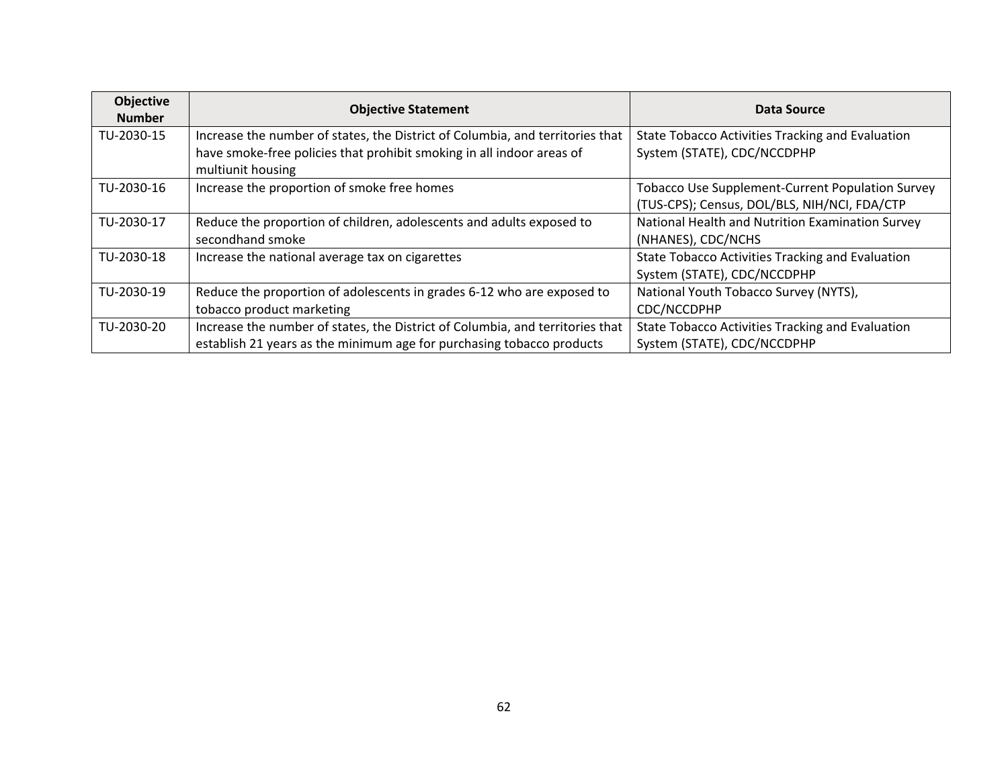| <b>Objective</b><br><b>Number</b> | <b>Objective Statement</b>                                                                                                                             | Data Source                                                                     |
|-----------------------------------|--------------------------------------------------------------------------------------------------------------------------------------------------------|---------------------------------------------------------------------------------|
| TU-2030-15                        | Increase the number of states, the District of Columbia, and territories that<br>have smoke-free policies that prohibit smoking in all indoor areas of | State Tobacco Activities Tracking and Evaluation<br>System (STATE), CDC/NCCDPHP |
|                                   | multiunit housing                                                                                                                                      |                                                                                 |
| TU-2030-16                        | Increase the proportion of smoke free homes                                                                                                            | <b>Tobacco Use Supplement-Current Population Survey</b>                         |
|                                   |                                                                                                                                                        | (TUS-CPS); Census, DOL/BLS, NIH/NCI, FDA/CTP                                    |
| TU-2030-17                        | Reduce the proportion of children, adolescents and adults exposed to                                                                                   | National Health and Nutrition Examination Survey                                |
|                                   | secondhand smoke                                                                                                                                       | (NHANES), CDC/NCHS                                                              |
| TU-2030-18                        | Increase the national average tax on cigarettes                                                                                                        | State Tobacco Activities Tracking and Evaluation                                |
|                                   |                                                                                                                                                        | System (STATE), CDC/NCCDPHP                                                     |
| TU-2030-19                        | Reduce the proportion of adolescents in grades 6-12 who are exposed to                                                                                 | National Youth Tobacco Survey (NYTS),                                           |
|                                   | tobacco product marketing                                                                                                                              | CDC/NCCDPHP                                                                     |
| TU-2030-20                        | Increase the number of states, the District of Columbia, and territories that                                                                          | State Tobacco Activities Tracking and Evaluation                                |
|                                   | establish 21 years as the minimum age for purchasing tobacco products                                                                                  | System (STATE), CDC/NCCDPHP                                                     |